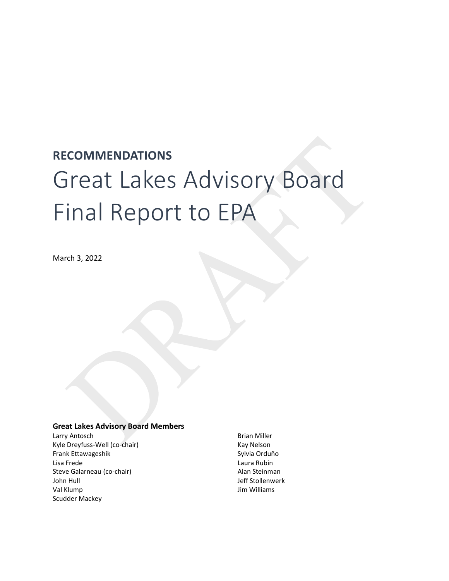# **RECOMMENDATIONS** Great Lakes Advisory Board Final Report to EPA

March 3, 2022

# **Great Lakes Advisory Board Members**

Larry Antosch Kyle Dreyfuss-Well (co-chair) Frank Ettawageshik Lisa Frede Steve Galarneau (co-chair) John Hull Val Klump Scudder Mackey

Brian Miller Kay Nelson Sylvia Orduño Laura Rubin Alan Steinman Jeff Stollenwerk Jim Williams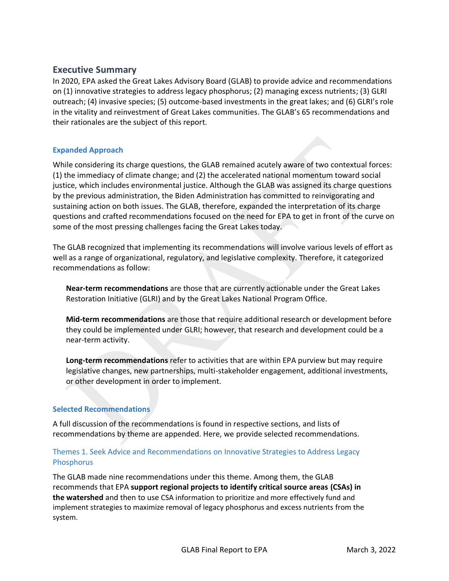# <span id="page-1-0"></span>**Executive Summary**

In 2020, EPA asked the Great Lakes Advisory Board (GLAB) to provide advice and recommendations on (1) innovative strategies to address legacy phosphorus; (2) managing excess nutrients; (3) GLRI outreach; (4) invasive species; (5) outcome-based investments in the great lakes; and (6) GLRI's role in the vitality and reinvestment of Great Lakes communities. The GLAB's 65 recommendations and their rationales are the subject of this report.

# **Expanded Approach**

While considering its charge questions, the GLAB remained acutely aware of two contextual forces: (1) the immediacy of climate change; and (2) the accelerated national momentum toward social justice, which includes environmental justice. Although the GLAB was assigned its charge questions by the previous administration, the Biden Administration has committed to reinvigorating and sustaining action on both issues. The GLAB, therefore, expanded the interpretation of its charge questions and crafted recommendations focused on the need for EPA to get in front of the curve on some of the most pressing challenges facing the Great Lakes today.

The GLAB recognized that implementing its recommendations will involve various levels of effort as well as a range of organizational, regulatory, and legislative complexity. Therefore, it categorized recommendations as follow:

**Near-term recommendations** are those that are currently actionable under the Great Lakes Restoration Initiative (GLRI) and by the Great Lakes National Program Office.

**Mid-term recommendations** are those that require additional research or development before they could be implemented under GLRI; however, that research and development could be a near-term activity.

**Long-term recommendations** refer to activities that are within EPA purview but may require legislative changes, new partnerships, multi-stakeholder engagement, additional investments, or other development in order to implement.

# **Selected Recommendations**

A full discussion of the recommendations is found in respective sections, and lists of recommendations by theme are appended. Here, we provide selected recommendations.

# Themes 1. Seek Advice and Recommendations on Innovative Strategies to Address Legacy **Phosphorus**

The GLAB made nine recommendations under this theme. Among them, the GLAB recommends that EPA **support regional projects to identify critical source areas (CSAs) in the watershed** and then to use CSA information to prioritize and more effectively fund and implement strategies to maximize removal of legacy phosphorus and excess nutrients from the system.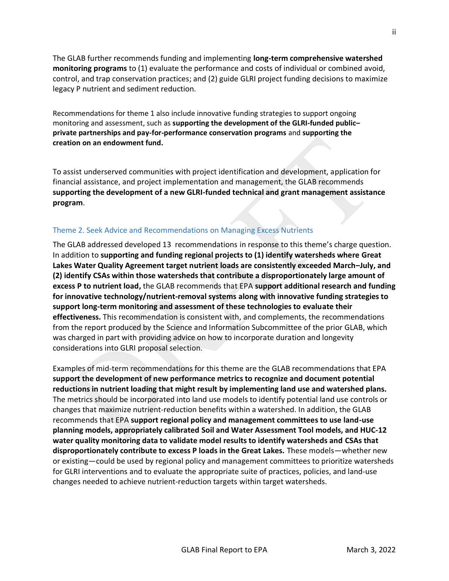The GLAB further recommends funding and implementing **long-term comprehensive watershed monitoring programs** to (1) evaluate the performance and costs of individual or combined avoid, control, and trap conservation practices; and (2) guide GLRI project funding decisions to maximize legacy P nutrient and sediment reduction.

Recommendations for theme 1 also include innovative funding strategies to support ongoing monitoring and assessment, such as **supporting the development of the GLRI-funded public– private partnerships and pay-for-performance conservation programs** and **supporting the creation on an endowment fund.**

To assist underserved communities with project identification and development, application for financial assistance, and project implementation and management, the GLAB recommends **supporting the development of a new GLRI-funded technical and grant management assistance program**.

# Theme 2. Seek Advice and Recommendations on Managing Excess Nutrients

The GLAB addressed developed 13 recommendations in response to this theme's charge question. In addition to **supporting and funding regional projects to (1) identify watersheds where Great Lakes Water Quality Agreement target nutrient loads are consistently exceeded March–July, and (2) identify CSAs within those watersheds that contribute a disproportionately large amount of excess P to nutrient load,** the GLAB recommends that EPA **support additional research and funding for innovative technology/nutrient-removal systems along with innovative funding strategies to support long-term monitoring and assessment of these technologies to evaluate their effectiveness.** This recommendation is consistent with, and complements, the recommendations from the report produced by the Science and Information Subcommittee of the prior GLAB, which was charged in part with providing advice on how to incorporate duration and longevity considerations into GLRI proposal selection.

Examples of mid-term recommendations for this theme are the GLAB recommendations that EPA **support the development of new performance metrics to recognize and document potential reductions in nutrient loading that might result by implementing land use and watershed plans.** The metrics should be incorporated into land use models to identify potential land use controls or changes that maximize nutrient-reduction benefits within a watershed. In addition, the GLAB recommends that EPA **support regional policy and management committees to use land-use planning models, appropriately calibrated Soil and Water Assessment Tool models, and HUC-12 water quality monitoring data to validate model results to identify watersheds and CSAs that disproportionately contribute to excess P loads in the Great Lakes.** These models—whether new or existing—could be used by regional policy and management committees to prioritize watersheds for GLRI interventions and to evaluate the appropriate suite of practices, policies, and land-use changes needed to achieve nutrient-reduction targets within target watersheds.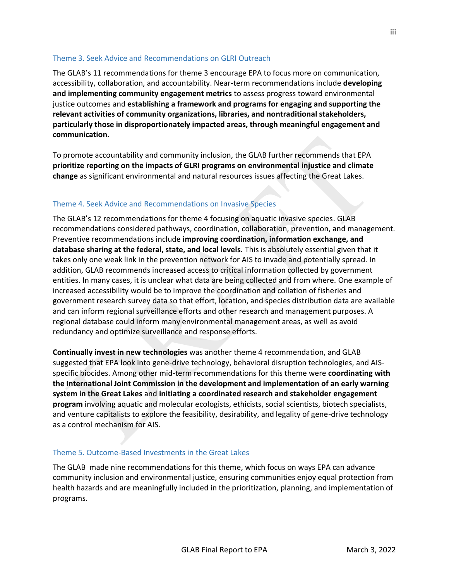# Theme 3. Seek Advice and Recommendations on GLRI Outreach

The GLAB's 11 recommendations for theme 3 encourage EPA to focus more on communication, accessibility, collaboration, and accountability. Near-term recommendations include **developing and implementing community engagement metrics** to assess progress toward environmental justice outcomes and **establishing a framework and programs for engaging and supporting the relevant activities of community organizations, libraries, and nontraditional stakeholders, particularly those in disproportionately impacted areas, through meaningful engagement and communication.**

To promote accountability and community inclusion, the GLAB further recommends that EPA **prioritize reporting on the impacts of GLRI programs on environmental injustice and climate change** as significant environmental and natural resources issues affecting the Great Lakes.

# Theme 4. Seek Advice and Recommendations on Invasive Species

The GLAB's 12 recommendations for theme 4 focusing on aquatic invasive species. GLAB recommendations considered pathways, coordination, collaboration, prevention, and management. Preventive recommendations include **improving coordination, information exchange, and database sharing at the federal, state, and local levels.** This is absolutely essential given that it takes only one weak link in the prevention network for AIS to invade and potentially spread. In addition, GLAB recommends increased access to critical information collected by government entities. In many cases, it is unclear what data are being collected and from where. One example of increased accessibility would be to improve the coordination and collation of fisheries and government research survey data so that effort, location, and species distribution data are available and can inform regional surveillance efforts and other research and management purposes. A regional database could inform many environmental management areas, as well as avoid redundancy and optimize surveillance and response efforts.

**Continually invest in new technologies** was another theme 4 recommendation, and GLAB suggested that EPA look into gene-drive technology, behavioral disruption technologies, and AISspecific biocides. Among other mid-term recommendations for this theme were **coordinating with the International Joint Commission in the development and implementation of an early warning system in the Great Lakes** and **initiating a coordinated research and stakeholder engagement program** involving aquatic and molecular ecologists, ethicists, social scientists, biotech specialists, and venture capitalists to explore the feasibility, desirability, and legality of gene-drive technology as a control mechanism for AIS.

# Theme 5. Outcome-Based Investments in the Great Lakes

The GLAB made nine recommendations for this theme, which focus on ways EPA can advance community inclusion and environmental justice, ensuring communities enjoy equal protection from health hazards and are meaningfully included in the prioritization, planning, and implementation of programs.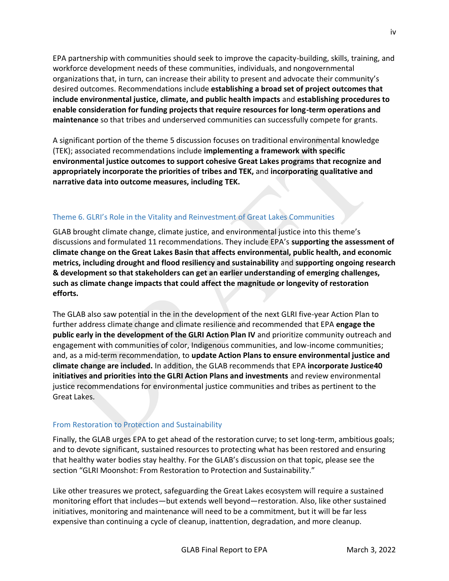EPA partnership with communities should seek to improve the capacity-building, skills, training, and workforce development needs of these communities, individuals, and nongovernmental organizations that, in turn, can increase their ability to present and advocate their community's desired outcomes. Recommendations include **establishing a broad set of project outcomes that include environmental justice, climate, and public health impacts** and **establishing procedures to enable consideration for funding projects that require resources for long-term operations and maintenance** so that tribes and underserved communities can successfully compete for grants.

A significant portion of the theme 5 discussion focuses on traditional environmental knowledge (TEK); associated recommendations include **implementing a framework with specific environmental justice outcomes to support cohesive Great Lakes programs that recognize and appropriately incorporate the priorities of tribes and TEK,** and **incorporating qualitative and narrative data into outcome measures, including TEK.**

# Theme 6. GLRI's Role in the Vitality and Reinvestment of Great Lakes Communities

GLAB brought climate change, climate justice, and environmental justice into this theme's discussions and formulated 11 recommendations. They include EPA's **supporting the assessment of climate change on the Great Lakes Basin that affects environmental, public health, and economic metrics, including drought and flood resiliency and sustainability** and **supporting ongoing research & development so that stakeholders can get an earlier understanding of emerging challenges, such as climate change impacts that could affect the magnitude or longevity of restoration efforts.**

The GLAB also saw potential in the in the development of the next GLRI five-year Action Plan to further address climate change and climate resilience and recommended that EPA **engage the public early in the development of the GLRI Action Plan IV** and prioritize community outreach and engagement with communities of color, Indigenous communities, and low-income communities; and, as a mid-term recommendation, to **update Action Plans to ensure environmental justice and climate change are included.** In addition, the GLAB recommends that EPA **incorporate Justice40 initiatives and priorities into the GLRI Action Plans and investments** and review environmental justice recommendations for environmental justice communities and tribes as pertinent to the Great Lakes.

# From Restoration to Protection and Sustainability

Finally, the GLAB urges EPA to get ahead of the restoration curve; to set long-term, ambitious goals; and to devote significant, sustained resources to protecting what has been restored and ensuring that healthy water bodies stay healthy. For the GLAB's discussion on that topic, please see the section "GLRI Moonshot: From Restoration to Protection and Sustainability."

Like other treasures we protect, safeguarding the Great Lakes ecosystem will require a sustained monitoring effort that includes—but extends well beyond—restoration. Also, like other sustained initiatives, monitoring and maintenance will need to be a commitment, but it will be far less expensive than continuing a cycle of cleanup, inattention, degradation, and more cleanup.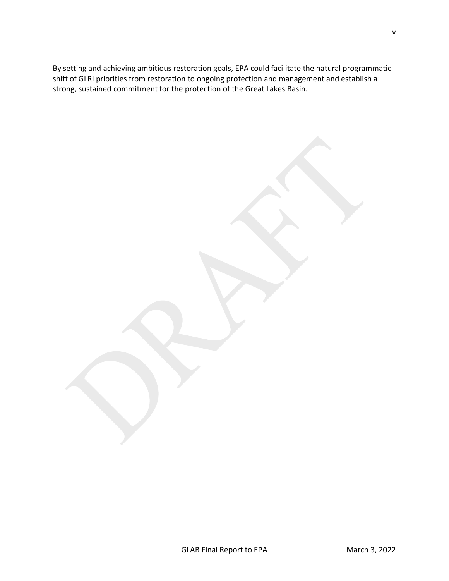By setting and achieving ambitious restoration goals, EPA could facilitate the natural programmatic shift of GLRI priorities from restoration to ongoing protection and management and establish a strong, sustained commitment for the protection of the Great Lakes Basin.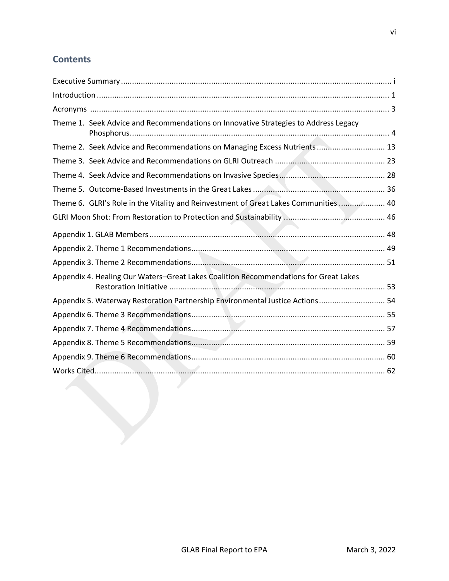# **Contents**

|  | Theme 1. Seek Advice and Recommendations on Innovative Strategies to Address Legacy  |  |  |  |
|--|--------------------------------------------------------------------------------------|--|--|--|
|  | Theme 2. Seek Advice and Recommendations on Managing Excess Nutrients  13            |  |  |  |
|  |                                                                                      |  |  |  |
|  |                                                                                      |  |  |  |
|  |                                                                                      |  |  |  |
|  | Theme 6. GLRI's Role in the Vitality and Reinvestment of Great Lakes Communities  40 |  |  |  |
|  |                                                                                      |  |  |  |
|  |                                                                                      |  |  |  |
|  |                                                                                      |  |  |  |
|  |                                                                                      |  |  |  |
|  | Appendix 4. Healing Our Waters-Great Lakes Coalition Recommendations for Great Lakes |  |  |  |
|  | Appendix 5. Waterway Restoration Partnership Environmental Justice Actions 54        |  |  |  |
|  |                                                                                      |  |  |  |
|  |                                                                                      |  |  |  |
|  |                                                                                      |  |  |  |
|  |                                                                                      |  |  |  |
|  |                                                                                      |  |  |  |
|  |                                                                                      |  |  |  |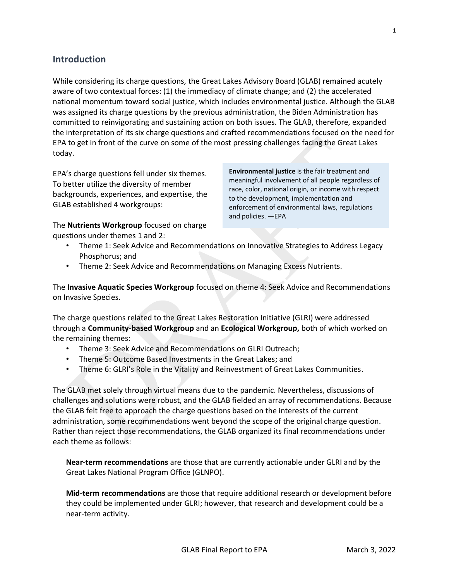<span id="page-7-0"></span>**Introduction**

While considering its charge questions, the Great Lakes Advisory Board (GLAB) remained acutely aware of two contextual forces: (1) the immediacy of climate change; and (2) the accelerated national momentum toward social justice, which includes environmental justice. Although the GLAB was assigned its charge questions by the previous administration, the Biden Administration has committed to reinvigorating and sustaining action on both issues. The GLAB, therefore, expanded the interpretation of its six charge questions and crafted recommendations focused on the need for EPA to get in front of the curve on some of the most pressing challenges facing the Great Lakes today.

EPA's charge questions fell under six themes. To better utilize the diversity of member backgrounds, experiences, and expertise, the GLAB established 4 workgroups:

**Environmental justice** is the fair treatment and meaningful involvement of all people regardless of race, color, national origin, or income with respect to the development, implementation and enforcement of environmental laws, regulations and policies. —EPA

The **Nutrients Workgroup** focused on charge questions under themes 1 and 2:

- Theme 1: Seek Advice and Recommendations on Innovative Strategies to Address Legacy Phosphorus; and
- Theme 2: Seek Advice and Recommendations on Managing Excess Nutrients.

The **Invasive Aquatic Species Workgroup** focused on theme 4: Seek Advice and Recommendations on Invasive Species.

The charge questions related to the Great Lakes Restoration Initiative (GLRI) were addressed through a **Community-based Workgroup** and an **Ecological Workgroup,** both of which worked on the remaining themes:

- Theme 3: Seek Advice and Recommendations on GLRI Outreach;
- Theme 5: Outcome Based Investments in the Great Lakes; and
- Theme 6: GLRI's Role in the Vitality and Reinvestment of Great Lakes Communities.

The GLAB met solely through virtual means due to the pandemic. Nevertheless, discussions of challenges and solutions were robust, and the GLAB fielded an array of recommendations. Because the GLAB felt free to approach the charge questions based on the interests of the current administration, some recommendations went beyond the scope of the original charge question. Rather than reject those recommendations, the GLAB organized its final recommendations under each theme as follows:

**Near-term recommendations** are those that are currently actionable under GLRI and by the Great Lakes National Program Office (GLNPO).

**Mid-term recommendations** are those that require additional research or development before they could be implemented under GLRI; however, that research and development could be a near-term activity.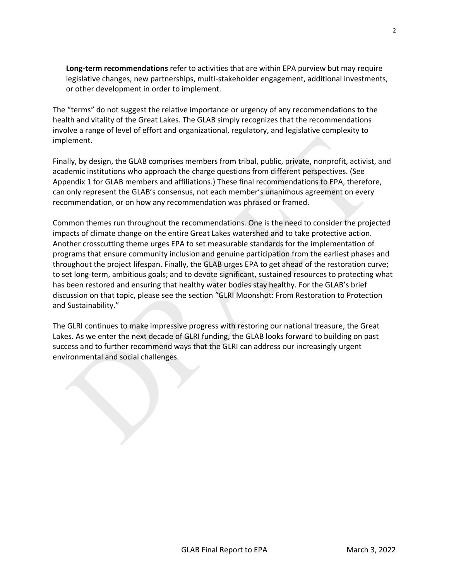**Long-term recommendations** refer to activities that are within EPA purview but may require legislative changes, new partnerships, multi-stakeholder engagement, additional investments, or other development in order to implement.

The "terms" do not suggest the relative importance or urgency of any recommendations to the health and vitality of the Great Lakes. The GLAB simply recognizes that the recommendations involve a range of level of effort and organizational, regulatory, and legislative complexity to implement.

Finally, by design, the GLAB comprises members from tribal, public, private, nonprofit, activist, and academic institutions who approach the charge questions from different perspectives. (See Appendix 1 for GLAB members and affiliations.) These final recommendations to EPA, therefore, can only represent the GLAB's consensus, not each member's unanimous agreement on every recommendation, or on how any recommendation was phrased or framed.

Common themes run throughout the recommendations. One is the need to consider the projected impacts of climate change on the entire Great Lakes watershed and to take protective action. Another crosscutting theme urges EPA to set measurable standards for the implementation of programs that ensure community inclusion and genuine participation from the earliest phases and throughout the project lifespan. Finally, the GLAB urges EPA to get ahead of the restoration curve; to set long-term, ambitious goals; and to devote significant, sustained resources to protecting what has been restored and ensuring that healthy water bodies stay healthy. For the GLAB's brief discussion on that topic, please see the section "GLRI Moonshot: From Restoration to Protection and Sustainability."

The GLRI continues to make impressive progress with restoring our national treasure, the Great Lakes. As we enter the next decade of GLRI funding, the GLAB looks forward to building on past success and to further recommend ways that the GLRI can address our increasingly urgent environmental and social challenges.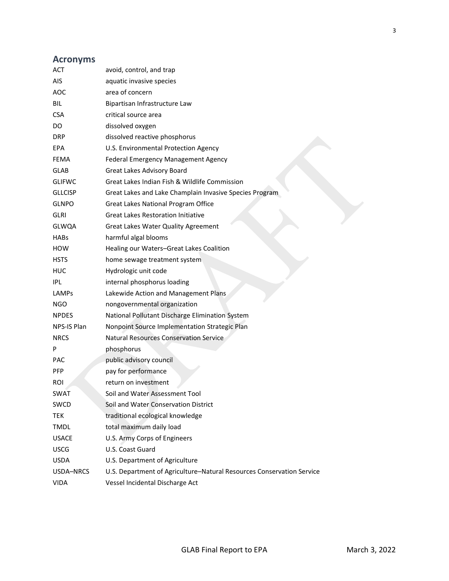# <span id="page-9-0"></span>**Acronyms**

| ACT            | avoid, control, and trap                                              |
|----------------|-----------------------------------------------------------------------|
| AIS.           | aquatic invasive species                                              |
| <b>AOC</b>     | area of concern                                                       |
| <b>BIL</b>     | Bipartisan Infrastructure Law                                         |
| <b>CSA</b>     | critical source area                                                  |
| DO.            | dissolved oxygen                                                      |
| <b>DRP</b>     | dissolved reactive phosphorus                                         |
| EPA            | U.S. Environmental Protection Agency                                  |
| FEMA           | Federal Emergency Management Agency                                   |
| <b>GLAB</b>    | Great Lakes Advisory Board                                            |
| <b>GLIFWC</b>  | Great Lakes Indian Fish & Wildlife Commission                         |
| <b>GLLCISP</b> | Great Lakes and Lake Champlain Invasive Species Program               |
| <b>GLNPO</b>   | Great Lakes National Program Office                                   |
| <b>GLRI</b>    | <b>Great Lakes Restoration Initiative</b>                             |
| <b>GLWQA</b>   | <b>Great Lakes Water Quality Agreement</b>                            |
| <b>HABs</b>    | harmful algal blooms                                                  |
| <b>HOW</b>     | Healing our Waters-Great Lakes Coalition                              |
| <b>HSTS</b>    | home sewage treatment system                                          |
| <b>HUC</b>     | Hydrologic unit code                                                  |
| IPL            | internal phosphorus loading                                           |
| LAMPs          | Lakewide Action and Management Plans                                  |
| NGO.           | nongovernmental organization                                          |
| <b>NPDES</b>   | National Pollutant Discharge Elimination System                       |
| NPS-IS Plan    | Nonpoint Source Implementation Strategic Plan                         |
| <b>NRCS</b>    | <b>Natural Resources Conservation Service</b>                         |
| P              | phosphorus                                                            |
| <b>PAC</b>     | public advisory council                                               |
| <b>PFP</b>     | pay for performance                                                   |
| <b>ROI</b>     | return on investment                                                  |
| <b>SWAT</b>    | Soil and Water Assessment Tool                                        |
| <b>SWCD</b>    | Soil and Water Conservation District                                  |
| <b>TEK</b>     | traditional ecological knowledge                                      |
| <b>TMDL</b>    | total maximum daily load                                              |
| <b>USACE</b>   | U.S. Army Corps of Engineers                                          |
| <b>USCG</b>    | U.S. Coast Guard                                                      |
| <b>USDA</b>    | U.S. Department of Agriculture                                        |
| USDA-NRCS      | U.S. Department of Agriculture-Natural Resources Conservation Service |
| <b>VIDA</b>    | Vessel Incidental Discharge Act                                       |
|                |                                                                       |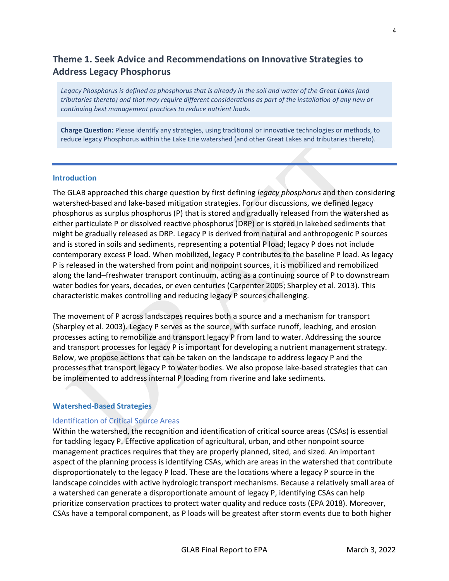# <span id="page-10-0"></span>**Theme 1. Seek Advice and Recommendations on Innovative Strategies to Address Legacy Phosphorus**

*Legacy Phosphorus is defined as phosphorus that is already in the soil and water of the Great Lakes (and tributaries thereto) and that may require different considerations as part of the installation of any new or continuing best management practices to reduce nutrient loads.* 

**Charge Question:** Please identify any strategies, using traditional or innovative technologies or methods, to reduce legacy Phosphorus within the Lake Erie watershed (and other Great Lakes and tributaries thereto).

#### **Introduction**

The GLAB approached this charge question by first defining *legacy phosphorus* and then considering watershed-based and lake-based mitigation strategies. For our discussions, we defined legacy phosphorus as surplus phosphorus (P) that is stored and gradually released from the watershed as either particulate P or dissolved reactive phosphorus (DRP) or is stored in lakebed sediments that might be gradually released as DRP. Legacy P is derived from natural and anthropogenic P sources and is stored in soils and sediments, representing a potential P load; legacy P does not include contemporary excess P load. When mobilized, legacy P contributes to the baseline P load. As legacy P is released in the watershed from point and nonpoint sources, it is mobilized and remobilized along the land–freshwater transport continuum, acting as a continuing source of P to downstream water bodies for years, decades, or even centuries (Carpenter 2005; Sharpley et al. 2013). This characteristic makes controlling and reducing legacy P sources challenging.

The movement of P across landscapes requires both a source and a mechanism for transport (Sharpley et al. 2003). Legacy P serves as the source, with surface runoff, leaching, and erosion processes acting to remobilize and transport legacy P from land to water. Addressing the source and transport processes for legacy P is important for developing a nutrient management strategy. Below, we propose actions that can be taken on the landscape to address legacy P and the processes that transport legacy P to water bodies. We also propose lake-based strategies that can be implemented to address internal P loading from riverine and lake sediments.

#### **Watershed-Based Strategies**

# Identification of Critical Source Areas

Within the watershed, the recognition and identification of critical source areas (CSAs) is essential for tackling legacy P. Effective application of agricultural, urban, and other nonpoint source management practices requires that they are properly planned, sited, and sized. An important aspect of the planning process is identifying CSAs, which are areas in the watershed that contribute disproportionately to the legacy P load. These are the locations where a legacy P source in the landscape coincides with active hydrologic transport mechanisms. Because a relatively small area of a watershed can generate a disproportionate amount of legacy P, identifying CSAs can help prioritize conservation practices to protect water quality and reduce costs (EPA 2018). Moreover, CSAs have a temporal component, as P loads will be greatest after storm events due to both higher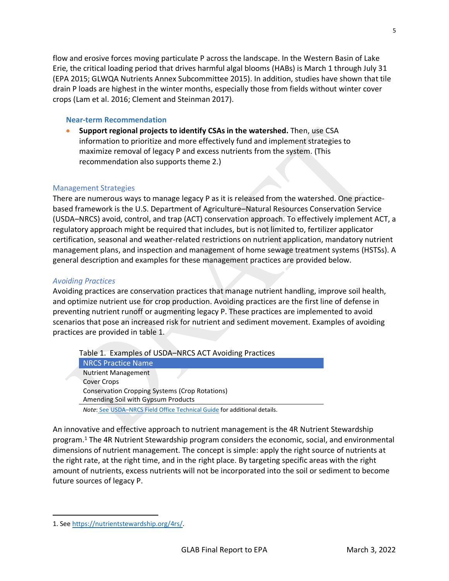flow and erosive forces moving particulate P across the landscape. In the Western Basin of Lake Erie, the critical loading period that drives harmful algal blooms (HABs) is March 1 through July 31 (EPA 2015; GLWQA Nutrients Annex Subcommittee 2015). In addition, studies have shown that tile drain P loads are highest in the winter months, especially those from fields without winter cover crops (Lam et al. 2016; Clement and Steinman 2017).

## **Near-term Recommendation**

• **Support regional projects to identify CSAs in the watershed.** Then, use CSA information to prioritize and more effectively fund and implement strategies to maximize removal of legacy P and excess nutrients from the system. (This recommendation also supports theme 2.)

# Management Strategies

There are numerous ways to manage legacy P as it is released from the watershed. One practicebased framework is the U.S. Department of Agriculture–Natural Resources Conservation Service (USDA–NRCS) avoid, control, and trap (ACT) conservation approach. To effectively implement ACT, a regulatory approach might be required that includes, but is not limited to, fertilizer applicator certification, seasonal and weather-related restrictions on nutrient application, mandatory nutrient management plans, and inspection and management of home sewage treatment systems (HSTSs). A general description and examples for these management practices are provided below.

# *Avoiding Practices*

Avoiding practices are conservation practices that manage nutrient handling, improve soil health, and optimize nutrient use for crop production. Avoiding practices are the first line of defense in preventing nutrient runoff or augmenting legacy P. These practices are implemented to avoid scenarios that pose an increased risk for nutrient and sediment movement. Examples of avoiding practices are provided in table 1.

Table 1. Examples of USDA–NRCS ACT Avoiding Practices NRCS Practice Name Nutrient Management Cover Crops Conservation Cropping Systems (Crop Rotations) Amending Soil with Gypsum Products

*Note*: See USDA–[NRCS Field Office Technical Guide](https://www.nrcs.usda.gov/wps/portal/nrcs/main/national/technical/fotg) for additional details.

An innovative and effective approach to nutrient management is the 4R Nutrient Stewardship program. <sup>1</sup> The 4R Nutrient Stewardship program considers the economic, social, and environmental dimensions of nutrient management. The concept is simple: apply the right source of nutrients at the right rate, at the right time, and in the right place. By targeting specific areas with the right amount of nutrients, excess nutrients will not be incorporated into the soil or sediment to become future sources of legacy P.

<sup>1.</sup> Se[e https://nutrientstewardship.org/4rs/.](https://nutrientstewardship.org/4rs/)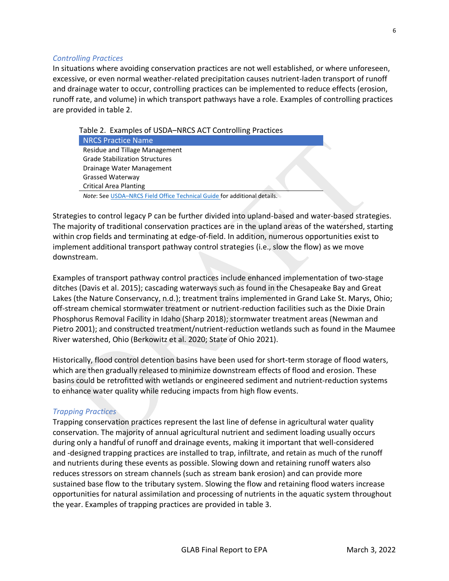# *Controlling Practices*

In situations where avoiding conservation practices are not well established, or where unforeseen, excessive, or even normal weather-related precipitation causes nutrient-laden transport of runoff and drainage water to occur, controlling practices can be implemented to reduce effects (erosion, runoff rate, and volume) in which transport pathways have a role. Examples of controlling practices are provided in table 2.

Table 2. Examples of USDA–NRCS ACT Controlling Practices

| <b>NRCS Practice Name</b>             |  |
|---------------------------------------|--|
| Residue and Tillage Management        |  |
| <b>Grade Stabilization Structures</b> |  |
| Drainage Water Management             |  |
| Grassed Waterway                      |  |
| <b>Critical Area Planting</b>         |  |
|                                       |  |

*Note*: See USDA–[NRCS Field Office Technical Guide f](https://www.nrcs.usda.gov/wps/portal/nrcs/main/national/technical/fotg)or additional details.

Strategies to control legacy P can be further divided into upland-based and water-based strategies. The majority of traditional conservation practices are in the upland areas of the watershed, starting within crop fields and terminating at edge-of-field. In addition, numerous opportunities exist to implement additional transport pathway control strategies (i.e., slow the flow) as we move downstream.

Examples of transport pathway control practices include enhanced implementation of two-stage ditches (Davis et al. 2015); cascading waterways such as found in the Chesapeake Bay and Great Lakes (the Nature Conservancy, n.d.); treatment trains implemented in Grand Lake St. Marys, Ohio; off-stream chemical stormwater treatment or nutrient-reduction facilities such as the Dixie Drain Phosphorus Removal Facility in Idaho (Sharp 2018); stormwater treatment areas (Newman and Pietro 2001); and constructed treatment/nutrient-reduction wetlands such as found in the Maumee River watershed, Ohio (Berkowitz et al. 2020; State of Ohio 2021).

Historically, flood control detention basins have been used for short-term storage of flood waters, which are then gradually released to minimize downstream effects of flood and erosion. These basins could be retrofitted with wetlands or engineered sediment and nutrient-reduction systems to enhance water quality while reducing impacts from high flow events.

# *Trapping Practices*

Trapping conservation practices represent the last line of defense in agricultural water quality conservation. The majority of annual agricultural nutrient and sediment loading usually occurs during only a handful of runoff and drainage events, making it important that well-considered and -designed trapping practices are installed to trap, infiltrate, and retain as much of the runoff and nutrients during these events as possible. Slowing down and retaining runoff waters also reduces stressors on stream channels (such as stream bank erosion) and can provide more sustained base flow to the tributary system. Slowing the flow and retaining flood waters increase opportunities for natural assimilation and processing of nutrients in the aquatic system throughout the year. Examples of trapping practices are provided in table 3.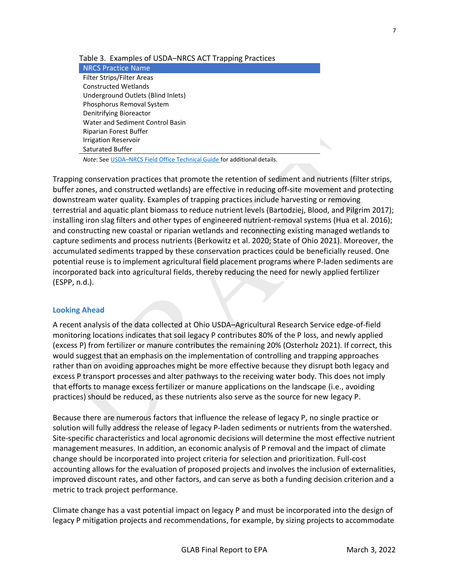#### Table 3. Examples of USDA–NRCS ACT Trapping Practices

NRCS Practice Name Filter Strips/Filter Areas Constructed Wetlands Underground Outlets (Blind Inlets) Phosphorus Removal System Denitrifying Bioreactor Water and Sediment Control Basin Riparian Forest Buffer Irrigation Reservoir Saturated Buffer

*Note*: See USDA–[NRCS Field Office Technical Guide f](https://www.nrcs.usda.gov/wps/portal/nrcs/main/national/technical/fotg)or additional details.

Trapping conservation practices that promote the retention of sediment and nutrients (filter strips, buffer zones, and constructed wetlands) are effective in reducing off-site movement and protecting downstream water quality. Examples of trapping practices include harvesting or removing terrestrial and aquatic plant biomass to reduce nutrient levels (Bartodziej, Blood, and Pilgrim 2017); installing iron slag filters and other types of engineered nutrient-removal systems (Hua et al. 2016); and constructing new coastal or riparian wetlands and reconnecting existing managed wetlands to capture sediments and process nutrients (Berkowitz et al. 2020; State of Ohio 2021). Moreover, the accumulated sediments trapped by these conservation practices could be beneficially reused. One potential reuse is to implement agricultural field placement programs where P-laden sediments are incorporated back into agricultural fields, thereby reducing the need for newly applied fertilizer (ESPP, n.d.).

#### **Looking Ahead**

A recent analysis of the data collected at Ohio USDA–Agricultural Research Service edge-of-field monitoring locations indicates that soil legacy P contributes 80% of the P loss, and newly applied (excess P) from fertilizer or manure contributes the remaining 20% (Osterholz 2021). If correct, this would suggest that an emphasis on the implementation of controlling and trapping approaches rather than on avoiding approaches might be more effective because they disrupt both legacy and excess P transport processes and alter pathways to the receiving water body. This does not imply that efforts to manage excess fertilizer or manure applications on the landscape (i.e., avoiding practices) should be reduced, as these nutrients also serve as the source for new legacy P.

Because there are numerous factors that influence the release of legacy P, no single practice or solution will fully address the release of legacy P-laden sediments or nutrients from the watershed. Site-specific characteristics and local agronomic decisions will determine the most effective nutrient management measures. In addition, an economic analysis of P removal and the impact of climate change should be incorporated into project criteria for selection and prioritization. Full-cost accounting allows for the evaluation of proposed projects and involves the inclusion of externalities, improved discount rates, and other factors, and can serve as both a funding decision criterion and a metric to track project performance.

Climate change has a vast potential impact on legacy P and must be incorporated into the design of legacy P mitigation projects and recommendations, for example, by sizing projects to accommodate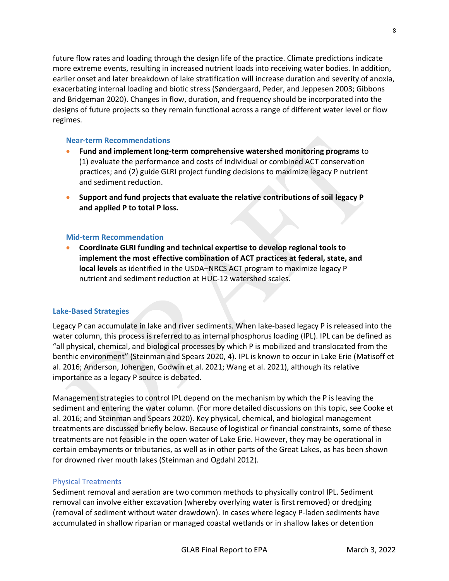8

future flow rates and loading through the design life of the practice. Climate predictions indicate more extreme events, resulting in increased nutrient loads into receiving water bodies. In addition, earlier onset and later breakdown of lake stratification will increase duration and severity of anoxia, exacerbating internal loading and biotic stress (Søndergaard, Peder, and Jeppesen 2003; Gibbons and Bridgeman 2020). Changes in flow, duration, and frequency should be incorporated into the designs of future projects so they remain functional across a range of different water level or flow regimes.

## **Near-term Recommendations**

- **Fund and implement long-term comprehensive watershed monitoring programs** to (1) evaluate the performance and costs of individual or combined ACT conservation practices; and (2) guide GLRI project funding decisions to maximize legacy P nutrient and sediment reduction.
- **Support and fund projects that evaluate the relative contributions of soil legacy P and applied P to total P loss.**

#### **Mid-term Recommendation**

• **Coordinate GLRI funding and technical expertise to develop regional tools to implement the most effective combination of ACT practices at federal, state, and local levels** as identified in the USDA–NRCS ACT program to maximize legacy P nutrient and sediment reduction at HUC-12 watershed scales.

# **Lake-Based Strategies**

Legacy P can accumulate in lake and river sediments. When lake-based legacy P is released into the water column, this process is referred to as internal phosphorus loading (IPL). IPL can be defined as "all physical, chemical, and biological processes by which P is mobilized and translocated from the benthic environment" (Steinman and Spears 2020, 4). IPL is known to occur in Lake Erie (Matisoff et al. 2016; Anderson, Johengen, Godwin et al. 2021; Wang et al. 2021), although its relative importance as a legacy P source is debated.

Management strategies to control IPL depend on the mechanism by which the P is leaving the sediment and entering the water column. (For more detailed discussions on this topic, see Cooke et al. 2016; and Steinman and Spears 2020). Key physical, chemical, and biological management treatments are discussed briefly below. Because of logistical or financial constraints, some of these treatments are not feasible in the open water of Lake Erie. However, they may be operational in certain embayments or tributaries, as well as in other parts of the Great Lakes, as has been shown for drowned river mouth lakes (Steinman and Ogdahl 2012).

#### Physical Treatments

Sediment removal and aeration are two common methods to physically control IPL. Sediment removal can involve either excavation (whereby overlying water is first removed) or dredging (removal of sediment without water drawdown). In cases where legacy P-laden sediments have accumulated in shallow riparian or managed coastal wetlands or in shallow lakes or detention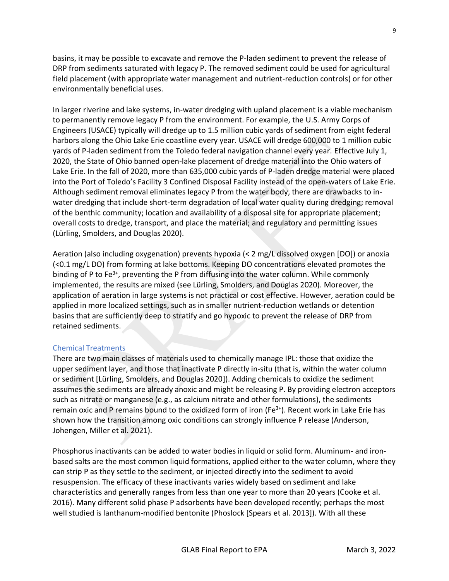basins, it may be possible to excavate and remove the P-laden sediment to prevent the release of DRP from sediments saturated with legacy P. The removed sediment could be used for agricultural field placement (with appropriate water management and nutrient-reduction controls) or for other environmentally beneficial uses.

In larger riverine and lake systems, in-water dredging with upland placement is a viable mechanism to permanently remove legacy P from the environment. For example, the U.S. Army Corps of Engineers (USACE) typically will dredge up to 1.5 million cubic yards of sediment from eight federal harbors along the Ohio Lake Erie coastline every year. USACE will dredge 600,000 to 1 million cubic yards of P-laden sediment from the Toledo federal navigation channel every year. Effective July 1, 2020, the State of Ohio banned open-lake placement of dredge material into the Ohio waters of Lake Erie. In the fall of 2020, more than 635,000 cubic yards of P-laden dredge material were placed into the Port of Toledo's Facility 3 Confined Disposal Facility instead of the open-waters of Lake Erie. Although sediment removal eliminates legacy P from the water body, there are drawbacks to inwater dredging that include short-term degradation of local water quality during dredging; removal of the benthic community; location and availability of a disposal site for appropriate placement; overall costs to dredge, transport, and place the material; and regulatory and permitting issues (Lürling, Smolders, and Douglas 2020).

Aeration (also including oxygenation) prevents hypoxia (< 2 mg/L dissolved oxygen [DO]) or anoxia (<0.1 mg/L DO) from forming at lake bottoms. Keeping DO concentrations elevated promotes the binding of P to Fe<sup>3+</sup>, preventing the P from diffusing into the water column. While commonly implemented, the results are mixed (see Lürling, Smolders, and Douglas 2020). Moreover, the application of aeration in large systems is not practical or cost effective. However, aeration could be applied in more localized settings, such as in smaller nutrient-reduction wetlands or detention basins that are sufficiently deep to stratify and go hypoxic to prevent the release of DRP from retained sediments.

# Chemical Treatments

There are two main classes of materials used to chemically manage IPL: those that oxidize the upper sediment layer, and those that inactivate P directly in-situ (that is, within the water column or sediment [Lürling, Smolders, and Douglas 2020]). Adding chemicals to oxidize the sediment assumes the sediments are already anoxic and might be releasing P. By providing electron acceptors such as nitrate or manganese (e.g., as calcium nitrate and other formulations), the sediments remain oxic and P remains bound to the oxidized form of iron ( $Fe<sup>3+</sup>$ ). Recent work in Lake Erie has shown how the transition among oxic conditions can strongly influence P release (Anderson, Johengen, Miller et al. 2021).

Phosphorus inactivants can be added to water bodies in liquid or solid form. Aluminum- and ironbased salts are the most common liquid formations, applied either to the water column, where they can strip P as they settle to the sediment, or injected directly into the sediment to avoid resuspension. The efficacy of these inactivants varies widely based on sediment and lake characteristics and generally ranges from less than one year to more than 20 years (Cooke et al. 2016). Many different solid phase P adsorbents have been developed recently; perhaps the most well studied is lanthanum-modified bentonite (Phoslock [Spears et al. 2013]). With all these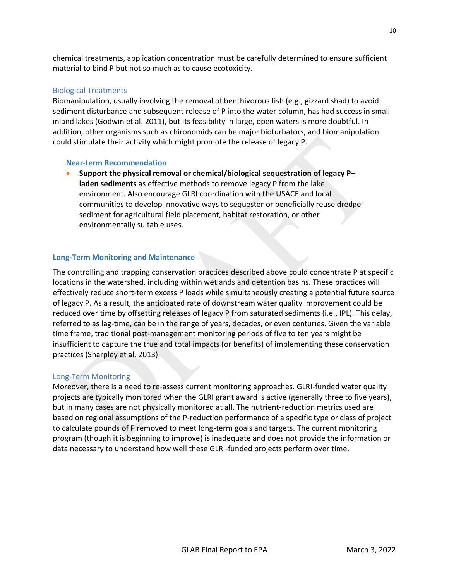chemical treatments, application concentration must be carefully determined to ensure sufficient material to bind P but not so much as to cause ecotoxicity.

# Biological Treatments

Biomanipulation, usually involving the removal of benthivorous fish (e.g., gizzard shad) to avoid sediment disturbance and subsequent release of P into the water column, has had success in small inland lakes (Godwin et al. 2011), but its feasibility in large, open waters is more doubtful. In addition, other organisms such as chironomids can be major bioturbators, and biomanipulation could stimulate their activity which might promote the release of legacy P.

#### **Near-term Recommendation**

• **Support the physical removal or chemical/biological sequestration of legacy P– laden sediments** as effective methods to remove legacy P from the lake environment. Also encourage GLRI coordination with the USACE and local communities to develop innovative ways to sequester or beneficially reuse dredge sediment for agricultural field placement, habitat restoration, or other environmentally suitable uses.

#### **Long-Term Monitoring and Maintenance**

The controlling and trapping conservation practices described above could concentrate P at specific locations in the watershed, including within wetlands and detention basins. These practices will effectively reduce short-term excess P loads while simultaneously creating a potential future source of legacy P. As a result, the anticipated rate of downstream water quality improvement could be reduced over time by offsetting releases of legacy P from saturated sediments (i.e., IPL). This delay, referred to as lag-time, can be in the range of years, decades, or even centuries. Given the variable time frame, traditional post-management monitoring periods of five to ten years might be insufficient to capture the true and total impacts (or benefits) of implementing these conservation practices (Sharpley et al. 2013).

#### Long-Term Monitoring

Moreover, there is a need to re-assess current monitoring approaches. GLRI-funded water quality projects are typically monitored when the GLRI grant award is active (generally three to five years), but in many cases are not physically monitored at all. The nutrient-reduction metrics used are based on regional assumptions of the P-reduction performance of a specific type or class of project to calculate pounds of P removed to meet long-term goals and targets. The current monitoring program (though it is beginning to improve) is inadequate and does not provide the information or data necessary to understand how well these GLRI-funded projects perform over time.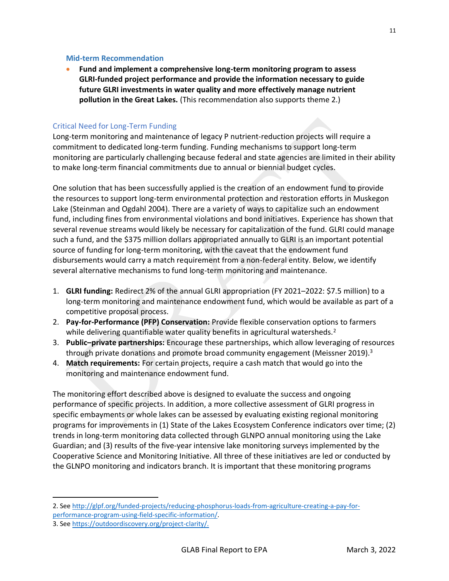#### **Mid-term Recommendation**

• **Fund and implement a comprehensive long-term monitoring program to assess GLRI-funded project performance and provide the information necessary to guide future GLRI investments in water quality and more effectively manage nutrient pollution in the Great Lakes.** (This recommendation also supports theme 2.)

# Critical Need for Long-Term Funding

Long-term monitoring and maintenance of legacy P nutrient-reduction projects will require a commitment to dedicated long-term funding. Funding mechanisms to support long-term monitoring are particularly challenging because federal and state agencies are limited in their ability to make long-term financial commitments due to annual or biennial budget cycles.

One solution that has been successfully applied is the creation of an endowment fund to provide the resources to support long-term environmental protection and restoration efforts in Muskegon Lake (Steinman and Ogdahl 2004). There are a variety of ways to capitalize such an endowment fund, including fines from environmental violations and bond initiatives. Experience has shown that several revenue streams would likely be necessary for capitalization of the fund. GLRI could manage such a fund, and the \$375 million dollars appropriated annually to GLRI is an important potential source of funding for long-term monitoring, with the caveat that the endowment fund disbursements would carry a match requirement from a non-federal entity. Below, we identify several alternative mechanisms to fund long-term monitoring and maintenance.

- 1. **GLRI funding:** Redirect 2% of the annual GLRI appropriation (FY 2021–2022: \$7.5 million) to a long-term monitoring and maintenance endowment fund, which would be available as part of a competitive proposal process.
- 2. **Pay-for-Performance (PFP) Conservation:** Provide flexible conservation options to farmers while delivering quantifiable water quality benefits in agricultural watersheds.<sup>2</sup>
- 3. **Public–private partnerships:** Encourage these partnerships, which allow leveraging of resources through private donations and promote broad community engagement (Meissner 2019).<sup>3</sup>
- 4. **Match requirements:** For certain projects, require a cash match that would go into the monitoring and maintenance endowment fund.

The monitoring effort described above is designed to evaluate the success and ongoing performance of specific projects. In addition, a more collective assessment of GLRI progress in specific embayments or whole lakes can be assessed by evaluating existing regional monitoring programs for improvements in (1) State of the Lakes Ecosystem Conference indicators over time; (2) trends in long-term monitoring data collected through GLNPO annual monitoring using the Lake Guardian; and (3) results of the five-year intensive lake monitoring surveys implemented by the Cooperative Science and Monitoring Initiative. All three of these initiatives are led or conducted by the GLNPO monitoring and indicators branch. It is important that these monitoring programs

<sup>2.</sup> Se[e http://glpf.org/funded-projects/reducing-phosphorus-loads-from-agriculture-creating-a-pay-for](http://glpf.org/funded-projects/reducing-phosphorus-loads-from-agriculture-creating-a-pay-for-performance-program-using-field-specific-information/)[performance-program-using-field-specific-information/.](http://glpf.org/funded-projects/reducing-phosphorus-loads-from-agriculture-creating-a-pay-for-performance-program-using-field-specific-information/)

<sup>3.</sup> Se[e https://outdoordiscovery.org/project-clarity/.](https://outdoordiscovery.org/project-clarity/)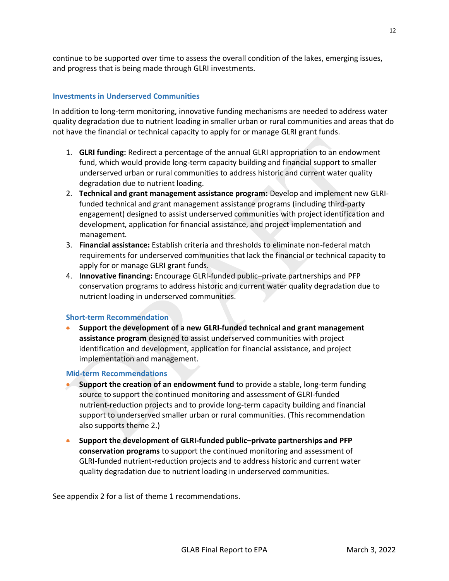continue to be supported over time to assess the overall condition of the lakes, emerging issues, and progress that is being made through GLRI investments.

## **Investments in Underserved Communities**

In addition to long-term monitoring, innovative funding mechanisms are needed to address water quality degradation due to nutrient loading in smaller urban or rural communities and areas that do not have the financial or technical capacity to apply for or manage GLRI grant funds.

- 1. **GLRI funding:** Redirect a percentage of the annual GLRI appropriation to an endowment fund, which would provide long-term capacity building and financial support to smaller underserved urban or rural communities to address historic and current water quality degradation due to nutrient loading.
- 2. **Technical and grant management assistance program:** Develop and implement new GLRIfunded technical and grant management assistance programs (including third-party engagement) designed to assist underserved communities with project identification and development, application for financial assistance, and project implementation and management.
- 3. **Financial assistance:** Establish criteria and thresholds to eliminate non-federal match requirements for underserved communities that lack the financial or technical capacity to apply for or manage GLRI grant funds.
- 4. **Innovative financing:** Encourage GLRI-funded public–private partnerships and PFP conservation programs to address historic and current water quality degradation due to nutrient loading in underserved communities.

#### **Short-term Recommendation**

• **Support the development of a new GLRI-funded technical and grant management assistance program** designed to assist underserved communities with project identification and development, application for financial assistance, and project implementation and management.

#### **Mid-term Recommendations**

- **Support the creation of an endowment fund** to provide a stable, long-term funding source to support the continued monitoring and assessment of GLRI-funded nutrient-reduction projects and to provide long-term capacity building and financial support to underserved smaller urban or rural communities. (This recommendation also supports theme 2.)
- **Support the development of GLRI-funded public–private partnerships and PFP conservation programs** to support the continued monitoring and assessment of GLRI-funded nutrient-reduction projects and to address historic and current water quality degradation due to nutrient loading in underserved communities.

See appendix 2 for a list of theme 1 recommendations.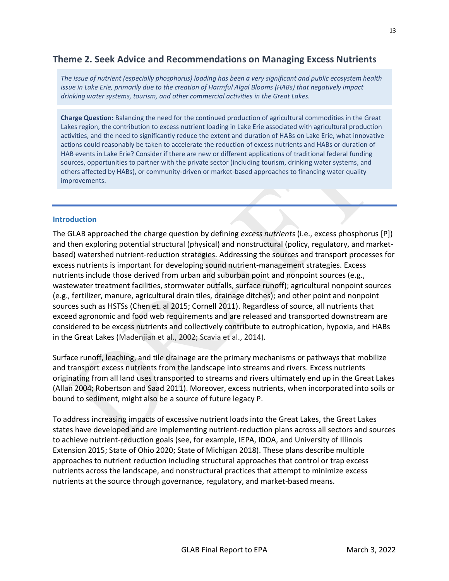# <span id="page-19-0"></span>**Theme 2. Seek Advice and Recommendations on Managing Excess Nutrients**

*The issue of nutrient (especially phosphorus) loading has been a very significant and public ecosystem health issue in Lake Erie, primarily due to the creation of Harmful Algal Blooms (HABs) that negatively impact drinking water systems, tourism, and other commercial activities in the Great Lakes.* 

**Charge Question:** Balancing the need for the continued production of agricultural commodities in the Great Lakes region, the contribution to excess nutrient loading in Lake Erie associated with agricultural production activities, and the need to significantly reduce the extent and duration of HABs on Lake Erie, what innovative actions could reasonably be taken to accelerate the reduction of excess nutrients and HABs or duration of HAB events in Lake Erie? Consider if there are new or different applications of traditional federal funding sources, opportunities to partner with the private sector (including tourism, drinking water systems, and others affected by HABs), or community-driven or market-based approaches to financing water quality improvements.

#### **Introduction**

The GLAB approached the charge question by defining *excess nutrients* (i.e., excess phosphorus [P]) and then exploring potential structural (physical) and nonstructural (policy, regulatory, and marketbased) watershed nutrient-reduction strategies. Addressing the sources and transport processes for excess nutrients is important for developing sound nutrient-management strategies. Excess nutrients include those derived from urban and suburban point and nonpoint sources (e.g., wastewater treatment facilities, stormwater outfalls, surface runoff); agricultural nonpoint sources (e.g., fertilizer, manure, agricultural drain tiles, drainage ditches); and other point and nonpoint sources such as HSTSs (Chen et. al 2015; Cornell 2011). Regardless of source, all nutrients that exceed agronomic and food web requirements and are released and transported downstream are considered to be excess nutrients and collectively contribute to eutrophication, hypoxia, and HABs in the Great Lakes (Madenjian et al., 2002; Scavia et al., 2014).

Surface runoff, leaching, and tile drainage are the primary mechanisms or pathways that mobilize and transport excess nutrients from the landscape into streams and rivers. Excess nutrients originating from all land uses transported to streams and rivers ultimately end up in the Great Lakes (Allan 2004; Robertson and Saad 2011). Moreover, excess nutrients, when incorporated into soils or bound to sediment, might also be a source of future legacy P.

To address increasing impacts of excessive nutrient loads into the Great Lakes, the Great Lakes states have developed and are implementing nutrient-reduction plans across all sectors and sources to achieve nutrient-reduction goals (see, for example, IEPA, IDOA, and University of Illinois Extension 2015; State of Ohio 2020; State of Michigan 2018). These plans describe multiple approaches to nutrient reduction including structural approaches that control or trap excess nutrients across the landscape, and nonstructural practices that attempt to minimize excess nutrients at the source through governance, regulatory, and market-based means.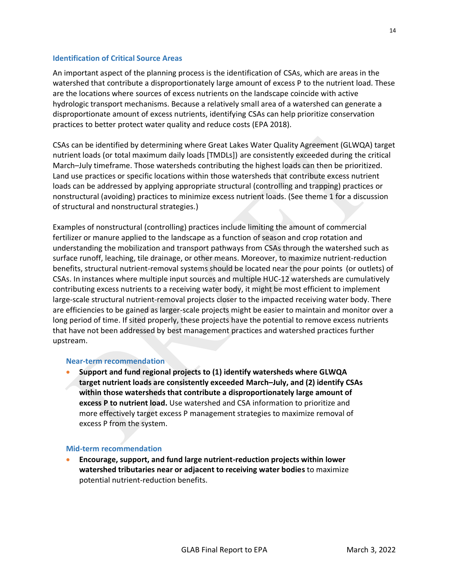## **Identification of Critical Source Areas**

An important aspect of the planning process is the identification of CSAs, which are areas in the watershed that contribute a disproportionately large amount of excess P to the nutrient load. These are the locations where sources of excess nutrients on the landscape coincide with active hydrologic transport mechanisms. Because a relatively small area of a watershed can generate a disproportionate amount of excess nutrients, identifying CSAs can help prioritize conservation practices to better protect water quality and reduce costs (EPA 2018).

CSAs can be identified by determining where Great Lakes Water Quality Agreement (GLWQA) target nutrient loads (or total maximum daily loads [TMDLs]) are consistently exceeded during the critical March–July timeframe. Those watersheds contributing the highest loads can then be prioritized. Land use practices or specific locations within those watersheds that contribute excess nutrient loads can be addressed by applying appropriate structural (controlling and trapping) practices or nonstructural (avoiding) practices to minimize excess nutrient loads. (See theme 1 for a discussion of structural and nonstructural strategies.)

Examples of nonstructural (controlling) practices include limiting the amount of commercial fertilizer or manure applied to the landscape as a function of season and crop rotation and understanding the mobilization and transport pathways from CSAs through the watershed such as surface runoff, leaching, tile drainage, or other means. Moreover, to maximize nutrient-reduction benefits, structural nutrient-removal systems should be located near the pour points (or outlets) of CSAs. In instances where multiple input sources and multiple HUC-12 watersheds are cumulatively contributing excess nutrients to a receiving water body, it might be most efficient to implement large-scale structural nutrient-removal projects closer to the impacted receiving water body. There are efficiencies to be gained as larger-scale projects might be easier to maintain and monitor over a long period of time. If sited properly, these projects have the potential to remove excess nutrients that have not been addressed by best management practices and watershed practices further upstream.

#### **Near-term recommendation**

• **Support and fund regional projects to (1) identify watersheds where GLWQA target nutrient loads are consistently exceeded March–July, and (2) identify CSAs within those watersheds that contribute a disproportionately large amount of excess P to nutrient load.** Use watershed and CSA information to prioritize and more effectively target excess P management strategies to maximize removal of excess P from the system.

#### **Mid-term recommendation**

• **Encourage, support, and fund large nutrient-reduction projects within lower watershed tributaries near or adjacent to receiving water bodies** to maximize potential nutrient-reduction benefits.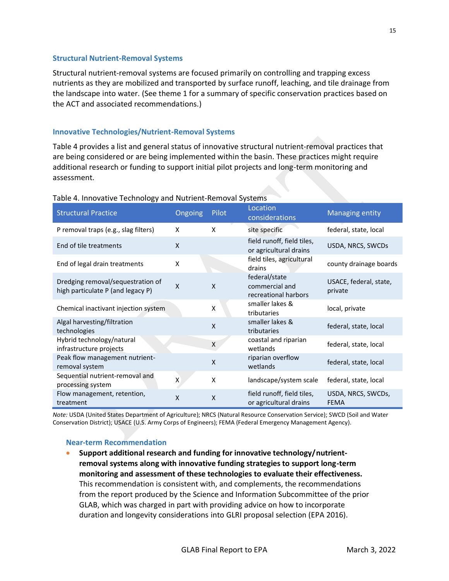#### **Structural Nutrient-Removal Systems**

Structural nutrient-removal systems are focused primarily on controlling and trapping excess nutrients as they are mobilized and transported by surface runoff, leaching, and tile drainage from the landscape into water. (See theme 1 for a summary of specific conservation practices based on the ACT and associated recommendations.)

# **Innovative Technologies/Nutrient-Removal Systems**

Table 4 provides a list and general status of innovative structural nutrient-removal practices that are being considered or are being implemented within the basin. These practices might require additional research or funding to support initial pilot projects and long-term monitoring and assessment.

| <b>Structural Practice</b>                                             | <b>Ongoing</b>            | Pilot                     | Location<br>considerations                              | <b>Managing entity</b>            |
|------------------------------------------------------------------------|---------------------------|---------------------------|---------------------------------------------------------|-----------------------------------|
| P removal traps (e.g., slag filters)                                   | X                         | X                         | site specific                                           | federal, state, local             |
| End of tile treatments                                                 | $\boldsymbol{\mathsf{X}}$ |                           | field runoff, field tiles,<br>or agricultural drains    | USDA, NRCS, SWCDs                 |
| End of legal drain treatments                                          | X                         |                           | field tiles, agricultural<br>drains                     | county drainage boards            |
| Dredging removal/sequestration of<br>high particulate P (and legacy P) | $\mathsf{x}$              | $\boldsymbol{\mathsf{X}}$ | federal/state<br>commercial and<br>recreational harbors | USACE, federal, state,<br>private |
| Chemical inactivant injection system                                   |                           | Χ                         | smaller lakes &<br>tributaries                          | local, private                    |
| Algal harvesting/filtration<br>technologies                            |                           | X                         | smaller lakes &<br>tributaries                          | federal, state, local             |
| Hybrid technology/natural<br>infrastructure projects                   |                           | X                         | coastal and riparian<br>wetlands                        | federal, state, local             |
| Peak flow management nutrient-<br>removal system                       |                           | X                         | riparian overflow<br>wetlands                           | federal, state, local             |
| Sequential nutrient-removal and<br>processing system                   | $\mathsf{x}$              | X                         | landscape/system scale                                  | federal, state, local             |
| Flow management, retention,<br>treatment                               | X                         | X                         | field runoff, field tiles,<br>or agricultural drains    | USDA, NRCS, SWCDs,<br><b>FEMA</b> |

# Table 4. Innovative Technology and Nutrient-Removal Systems

*Note:* USDA (United States Department of Agriculture); NRCS (Natural Resource Conservation Service); SWCD (Soil and Water Conservation District); USACE (U.S. Army Corps of Engineers); FEMA (Federal Emergency Management Agency).

#### **Near-term Recommendation**

• **Support additional research and funding for innovative technology/nutrientremoval systems along with innovative funding strategies to support long-term monitoring and assessment of these technologies to evaluate their effectiveness.** This recommendation is consistent with, and complements, the recommendations from the report produced by the Science and Information Subcommittee of the prior GLAB, which was charged in part with providing advice on how to incorporate duration and longevity considerations into GLRI proposal selection (EPA 2016).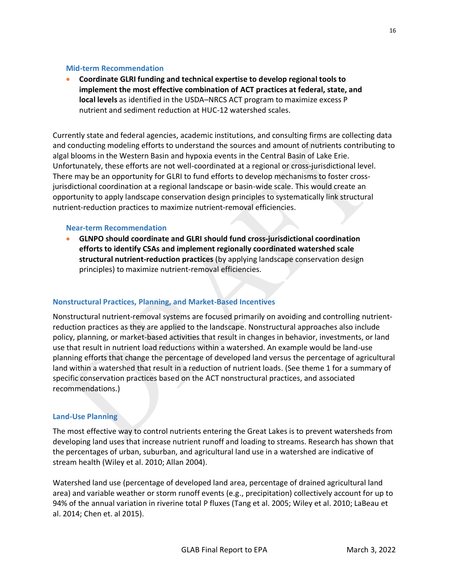#### **Mid-term Recommendation**

• **Coordinate GLRI funding and technical expertise to develop regional tools to implement the most effective combination of ACT practices at federal, state, and local levels** as identified in the USDA–NRCS ACT program to maximize excess P nutrient and sediment reduction at HUC-12 watershed scales.

Currently state and federal agencies, academic institutions, and consulting firms are collecting data and conducting modeling efforts to understand the sources and amount of nutrients contributing to algal blooms in the Western Basin and hypoxia events in the Central Basin of Lake Erie. Unfortunately, these efforts are not well-coordinated at a regional or cross-jurisdictional level. There may be an opportunity for GLRI to fund efforts to develop mechanisms to foster crossjurisdictional coordination at a regional landscape or basin-wide scale. This would create an opportunity to apply landscape conservation design principles to systematically link structural nutrient-reduction practices to maximize nutrient-removal efficiencies.

#### **Near-term Recommendation**

• **GLNPO should coordinate and GLRI should fund cross-jurisdictional coordination efforts to identify CSAs and implement regionally coordinated watershed scale structural nutrient-reduction practices** (by applying landscape conservation design principles) to maximize nutrient-removal efficiencies.

#### **Nonstructural Practices, Planning, and Market-Based Incentives**

Nonstructural nutrient-removal systems are focused primarily on avoiding and controlling nutrientreduction practices as they are applied to the landscape. Nonstructural approaches also include policy, planning, or market-based activities that result in changes in behavior, investments, or land use that result in nutrient load reductions within a watershed. An example would be land-use planning efforts that change the percentage of developed land versus the percentage of agricultural land within a watershed that result in a reduction of nutrient loads. (See theme 1 for a summary of specific conservation practices based on the ACT nonstructural practices, and associated recommendations.)

# **Land-Use Planning**

The most effective way to control nutrients entering the Great Lakes is to prevent watersheds from developing land uses that increase nutrient runoff and loading to streams. Research has shown that the percentages of urban, suburban, and agricultural land use in a watershed are indicative of stream health (Wiley et al. 2010; Allan 2004).

Watershed land use (percentage of developed land area, percentage of drained agricultural land area) and variable weather or storm runoff events (e.g., precipitation) collectively account for up to 94% of the annual variation in riverine total P fluxes (Tang et al. 2005; Wiley et al. 2010; LaBeau et al. 2014; Chen et. al 2015).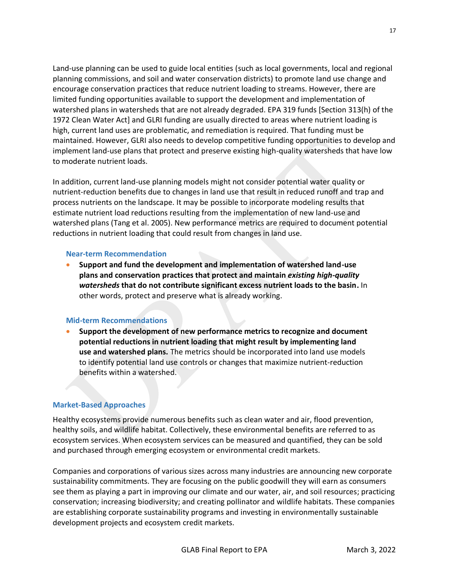Land-use planning can be used to guide local entities (such as local governments, local and regional planning commissions, and soil and water conservation districts) to promote land use change and encourage conservation practices that reduce nutrient loading to streams. However, there are limited funding opportunities available to support the development and implementation of watershed plans in watersheds that are not already degraded. EPA 319 funds [Section 313(h) of the 1972 Clean Water Act] and GLRI funding are usually directed to areas where nutrient loading is high, current land uses are problematic, and remediation is required. That funding must be maintained. However, GLRI also needs to develop competitive funding opportunities to develop and implement land-use plans that protect and preserve existing high-quality watersheds that have low to moderate nutrient loads.

In addition, current land-use planning models might not consider potential water quality or nutrient-reduction benefits due to changes in land use that result in reduced runoff and trap and process nutrients on the landscape. It may be possible to incorporate modeling results that estimate nutrient load reductions resulting from the implementation of new land-use and watershed plans (Tang et al. 2005). New performance metrics are required to document potential reductions in nutrient loading that could result from changes in land use.

# **Near-term Recommendation**

• **Support and fund the development and implementation of watershed land-use plans and conservation practices that protect and maintain** *existing high-quality watersheds* **that do not contribute significant excess nutrient loads to the basin.** In other words, protect and preserve what is already working.

# **Mid-term Recommendations**

• **Support the development of new performance metrics to recognize and document potential reductions in nutrient loading that might result by implementing land use and watershed plans.** The metrics should be incorporated into land use models to identify potential land use controls or changes that maximize nutrient-reduction benefits within a watershed.

# **Market-Based Approaches**

Healthy ecosystems provide numerous benefits such as clean water and air, flood prevention, healthy soils, and wildlife habitat. Collectively, these environmental benefits are referred to as ecosystem services. When ecosystem services can be measured and quantified, they can be sold and purchased through emerging ecosystem or environmental credit markets.

Companies and corporations of various sizes across many industries are announcing new corporate sustainability commitments. They are focusing on the public goodwill they will earn as consumers see them as playing a part in improving our climate and our water, air, and soil resources; practicing conservation; increasing biodiversity; and creating pollinator and wildlife habitats. These companies are establishing corporate sustainability programs and investing in environmentally sustainable development projects and ecosystem credit markets.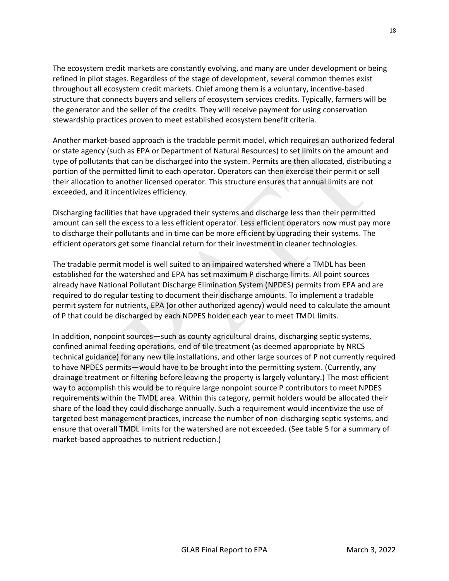The ecosystem credit markets are constantly evolving, and many are under development or being refined in pilot stages. Regardless of the stage of development, several common themes exist throughout all ecosystem credit markets. Chief among them is a voluntary, incentive-based structure that connects buyers and sellers of ecosystem services credits. Typically, farmers will be the generator and the seller of the credits. They will receive payment for using conservation stewardship practices proven to meet established ecosystem benefit criteria.

Another market-based approach is the tradable permit model, which requires an authorized federal or state agency (such as EPA or Department of Natural Resources) to set limits on the amount and type of pollutants that can be discharged into the system. Permits are then allocated, distributing a portion of the permitted limit to each operator. Operators can then exercise their permit or sell their allocation to another licensed operator. This structure ensures that annual limits are not exceeded, and it incentivizes efficiency.

Discharging facilities that have upgraded their systems and discharge less than their permitted amount can sell the excess to a less efficient operator. Less efficient operators now must pay more to discharge their pollutants and in time can be more efficient by upgrading their systems. The efficient operators get some financial return for their investment in cleaner technologies.

The tradable permit model is well suited to an impaired watershed where a TMDL has been established for the watershed and EPA has set maximum P discharge limits. All point sources already have National Pollutant Discharge Elimination System (NPDES) permits from EPA and are required to do regular testing to document their discharge amounts. To implement a tradable permit system for nutrients, EPA (or other authorized agency) would need to calculate the amount of P that could be discharged by each NDPES holder each year to meet TMDL limits.

In addition, nonpoint sources—such as county agricultural drains, discharging septic systems, confined animal feeding operations, end of tile treatment (as deemed appropriate by NRCS technical guidance) for any new tile installations, and other large sources of P not currently required to have NPDES permits—would have to be brought into the permitting system. (Currently, any drainage treatment or filtering before leaving the property is largely voluntary.) The most efficient way to accomplish this would be to require large nonpoint source P contributors to meet NPDES requirements within the TMDL area. Within this category, permit holders would be allocated their share of the load they could discharge annually. Such a requirement would incentivize the use of targeted best management practices, increase the number of non-discharging septic systems, and ensure that overall TMDL limits for the watershed are not exceeded. (See table 5 for a summary of market-based approaches to nutrient reduction.)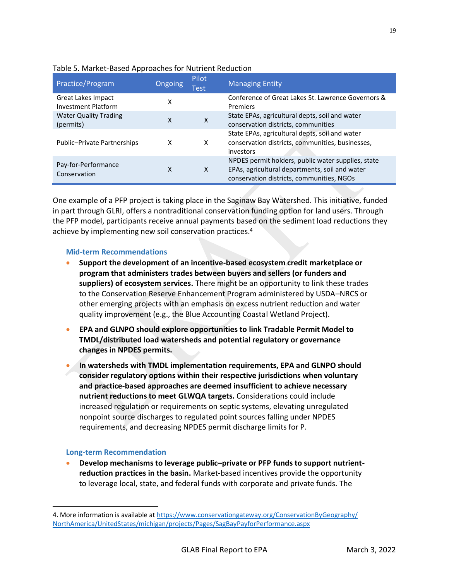| Practice/Program                                 | Ongoing | Pilot<br>Test | <b>Managing Entity</b>                                                                                                                            |
|--------------------------------------------------|---------|---------------|---------------------------------------------------------------------------------------------------------------------------------------------------|
| Great Lakes Impact<br><b>Investment Platform</b> | x       |               | Conference of Great Lakes St. Lawrence Governors &<br>Premiers                                                                                    |
| <b>Water Quality Trading</b><br>(permits)        | x       | $\mathsf{x}$  | State EPAs, agricultural depts, soil and water<br>conservation districts, communities                                                             |
| Public-Private Partnerships                      | х       | x             | State EPAs, agricultural depts, soil and water<br>conservation districts, communities, businesses,<br>investors                                   |
| Pay-for-Performance<br>Conservation              | X       | X             | NPDES permit holders, public water supplies, state<br>EPAs, agricultural departments, soil and water<br>conservation districts, communities, NGOs |

# Table 5. Market-Based Approaches for Nutrient Reduction

One example of a PFP project is taking place in the Saginaw Bay Watershed. This initiative, funded in part through GLRI, offers a nontraditional conservation funding option for land users. Through the PFP model, participants receive annual payments based on the sediment load reductions they achieve by implementing new soil conservation practices. 4

#### **Mid-term Recommendations**

- **Support the development of an incentive-based ecosystem credit marketplace or program that administers trades between buyers and sellers (or funders and suppliers) of ecosystem services.** There might be an opportunity to link these trades to the Conservation Reserve Enhancement Program administered by USDA–NRCS or other emerging projects with an emphasis on excess nutrient reduction and water quality improvement (e.g., the Blue Accounting Coastal Wetland Project).
- **EPA and GLNPO should explore opportunities to link Tradable Permit Model to TMDL/distributed load watersheds and potential regulatory or governance changes in NPDES permits.**
- **In watersheds with TMDL implementation requirements, EPA and GLNPO should consider regulatory options within their respective jurisdictions when voluntary and practice-based approaches are deemed insufficient to achieve necessary nutrient reductions to meet GLWQA targets.** Considerations could include increased regulation or requirements on septic systems, elevating unregulated nonpoint source discharges to regulated point sources falling under NPDES requirements, and decreasing NPDES permit discharge limits for P.

# **Long-term Recommendation**

• **Develop mechanisms to leverage public–private or PFP funds to support nutrientreduction practices in the basin.** Market-based incentives provide the opportunity to leverage local, state, and federal funds with corporate and private funds. The

<sup>4.</sup> More information is available at [https://www.conservationgateway.org/ConservationByGeography/](https://www.conservationgateway.org/ConservationByGeography/NorthAmerica/UnitedStates/michigan/projects/Pages/SagBayPayforPerformance.aspx) [NorthAmerica/UnitedStates/michigan/projects/Pages/SagBayPayforPerformance.aspx](https://www.conservationgateway.org/ConservationByGeography/NorthAmerica/UnitedStates/michigan/projects/Pages/SagBayPayforPerformance.aspx)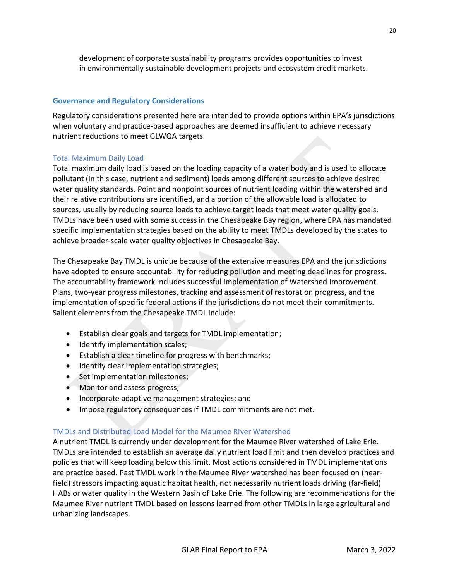development of corporate sustainability programs provides opportunities to invest in environmentally sustainable development projects and ecosystem credit markets.

## **Governance and Regulatory Considerations**

Regulatory considerations presented here are intended to provide options within EPA's jurisdictions when voluntary and practice-based approaches are deemed insufficient to achieve necessary nutrient reductions to meet GLWQA targets.

#### Total Maximum Daily Load

Total maximum daily load is based on the loading capacity of a water body and is used to allocate pollutant (in this case, nutrient and sediment) loads among different sources to achieve desired water quality standards. Point and nonpoint sources of nutrient loading within the watershed and their relative contributions are identified, and a portion of the allowable load is allocated to sources, usually by reducing source loads to achieve target loads that meet water quality goals. TMDLs have been used with some success in the Chesapeake Bay region, where EPA has mandated specific implementation strategies based on the ability to meet TMDLs developed by the states to achieve broader-scale water quality objectives in Chesapeake Bay.

The Chesapeake Bay TMDL is unique because of the extensive measures EPA and the jurisdictions have adopted to ensure accountability for reducing pollution and meeting deadlines for progress. The accountability framework includes successful implementation of Watershed Improvement Plans, two-year progress milestones, tracking and assessment of restoration progress, and the implementation of specific federal actions if the jurisdictions do not meet their commitments. Salient elements from the Chesapeake TMDL include:

- Establish clear goals and targets for TMDL implementation;
- Identify implementation scales;
- Establish a clear timeline for progress with benchmarks;
- Identify clear implementation strategies;
- Set implementation milestones;
- Monitor and assess progress;
- Incorporate adaptive management strategies; and
- Impose regulatory consequences if TMDL commitments are not met.

#### TMDLs and Distributed Load Model for the Maumee River Watershed

A nutrient TMDL is currently under development for the Maumee River watershed of Lake Erie. TMDLs are intended to establish an average daily nutrient load limit and then develop practices and policies that will keep loading below this limit. Most actions considered in TMDL implementations are practice based. Past TMDL work in the Maumee River watershed has been focused on (nearfield) stressors impacting aquatic habitat health, not necessarily nutrient loads driving (far-field) HABs or water quality in the Western Basin of Lake Erie. The following are recommendations for the Maumee River nutrient TMDL based on lessons learned from other TMDLs in large agricultural and urbanizing landscapes.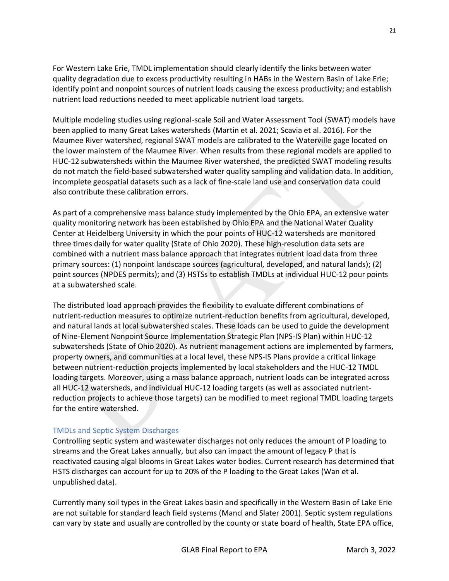For Western Lake Erie, TMDL implementation should clearly identify the links between water quality degradation due to excess productivity resulting in HABs in the Western Basin of Lake Erie; identify point and nonpoint sources of nutrient loads causing the excess productivity; and establish nutrient load reductions needed to meet applicable nutrient load targets.

Multiple modeling studies using regional-scale Soil and Water Assessment Tool (SWAT) models have been applied to many Great Lakes watersheds (Martin et al. 2021; Scavia et al. 2016). For the Maumee River watershed, regional SWAT models are calibrated to the Waterville gage located on the lower mainstem of the Maumee River. When results from these regional models are applied to HUC-12 subwatersheds within the Maumee River watershed, the predicted SWAT modeling results do not match the field-based subwatershed water quality sampling and validation data. In addition, incomplete geospatial datasets such as a lack of fine-scale land use and conservation data could also contribute these calibration errors.

As part of a comprehensive mass balance study implemented by the Ohio EPA, an extensive water quality monitoring network has been established by Ohio EPA and the National Water Quality Center at Heidelberg University in which the pour points of HUC-12 watersheds are monitored three times daily for water quality (State of Ohio 2020). These high-resolution data sets are combined with a nutrient mass balance approach that integrates nutrient load data from three primary sources: (1) nonpoint landscape sources (agricultural, developed, and natural lands); (2) point sources (NPDES permits); and (3) HSTSs to establish TMDLs at individual HUC-12 pour points at a subwatershed scale.

The distributed load approach provides the flexibility to evaluate different combinations of nutrient-reduction measures to optimize nutrient-reduction benefits from agricultural, developed, and natural lands at local subwatershed scales. These loads can be used to guide the development of Nine-Element Nonpoint Source Implementation Strategic Plan (NPS-IS Plan) within HUC-12 subwatersheds (State of Ohio 2020). As nutrient management actions are implemented by farmers, property owners, and communities at a local level, these NPS-IS Plans provide a critical linkage between nutrient-reduction projects implemented by local stakeholders and the HUC-12 TMDL loading targets. Moreover, using a mass balance approach, nutrient loads can be integrated across all HUC-12 watersheds, and individual HUC-12 loading targets (as well as associated nutrientreduction projects to achieve those targets) can be modified to meet regional TMDL loading targets for the entire watershed.

# TMDLs and Septic System Discharges

Controlling septic system and wastewater discharges not only reduces the amount of P loading to streams and the Great Lakes annually, but also can impact the amount of legacy P that is reactivated causing algal blooms in Great Lakes water bodies. Current research has determined that HSTS discharges can account for up to 20% of the P loading to the Great Lakes (Wan et al. unpublished data).

Currently many soil types in the Great Lakes basin and specifically in the Western Basin of Lake Erie are not suitable for standard leach field systems (Mancl and Slater 2001). Septic system regulations can vary by state and usually are controlled by the county or state board of health, State EPA office,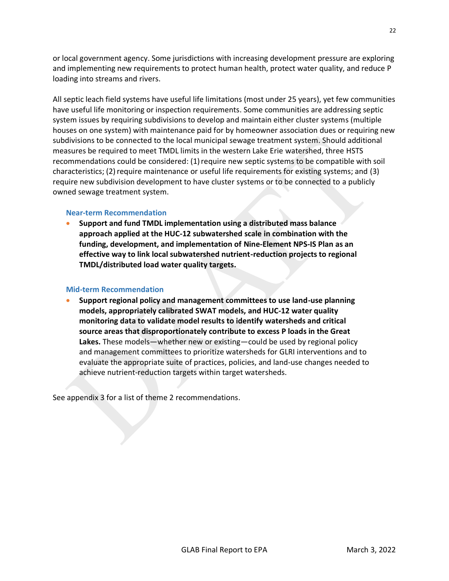or local government agency. Some jurisdictions with increasing development pressure are exploring and implementing new requirements to protect human health, protect water quality, and reduce P loading into streams and rivers.

All septic leach field systems have useful life limitations (most under 25 years), yet few communities have useful life monitoring or inspection requirements. Some communities are addressing septic system issues by requiring subdivisions to develop and maintain either cluster systems (multiple houses on one system) with maintenance paid for by homeowner association dues or requiring new subdivisions to be connected to the local municipal sewage treatment system. Should additional measures be required to meet TMDL limits in the western Lake Erie watershed, three HSTS recommendations could be considered: (1) require new septic systems to be compatible with soil characteristics; (2)require maintenance or useful life requirements for existing systems; and (3) require new subdivision development to have cluster systems or to be connected to a publicly owned sewage treatment system.

#### **Near-term Recommendation**

• **Support and fund TMDL implementation using a distributed mass balance approach applied at the HUC-12 subwatershed scale in combination with the funding, development, and implementation of Nine-Element NPS-IS Plan as an effective way to link local subwatershed nutrient-reduction projects to regional TMDL/distributed load water quality targets.**

#### **Mid-term Recommendation**

• **Support regional policy and management committees to use land-use planning models, appropriately calibrated SWAT models, and HUC-12 water quality monitoring data to validate model results to identify watersheds and critical source areas that disproportionately contribute to excess P loads in the Great Lakes.** These models—whether new or existing—could be used by regional policy and management committees to prioritize watersheds for GLRI interventions and to evaluate the appropriate suite of practices, policies, and land-use changes needed to achieve nutrient-reduction targets within target watersheds.

See appendix 3 for a list of theme 2 recommendations.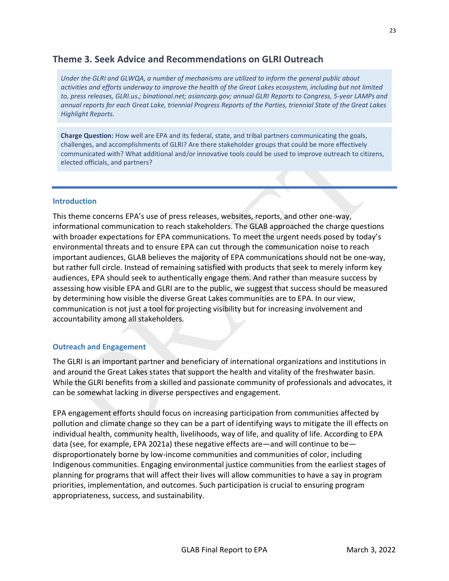# <span id="page-29-0"></span>**Theme 3. Seek Advice and Recommendations on GLRI Outreach**

*Under the GLRI and GLWQA, a number of mechanisms are utilized to inform the general public about activities and efforts underway to improve the health of the Great Lakes ecosystem, including but not limited*  to, press releases, GLRI.us.; binational.net; asiancarp.gov; annual GLRI Reports to Congress, 5-year LAMPs and *annual reports for each Great Lake, triennial Progress Reports of the Parties, triennial State of the Great Lakes Highlight Reports.* 

**Charge Question:** How well are EPA and its federal, state, and tribal partners communicating the goals, challenges, and accomplishments of GLRI? Are there stakeholder groups that could be more effectively communicated with? What additional and/or innovative tools could be used to improve outreach to citizens, elected officials, and partners?

#### **Introduction**

This theme concerns EPA's use of press releases, websites, reports, and other one-way, informational communication to reach stakeholders. The GLAB approached the charge questions with broader expectations for EPA communications. To meet the urgent needs posed by today's environmental threats and to ensure EPA can cut through the communication noise to reach important audiences, GLAB believes the majority of EPA communications should not be one-way, but rather full circle. Instead of remaining satisfied with products that seek to merely inform key audiences, EPA should seek to authentically engage them. And rather than measure success by assessing how visible EPA and GLRI are to the public, we suggest that success should be measured by determining how visible the diverse Great Lakes communities are to EPA. In our view, communication is not just a tool for projecting visibility but for increasing involvement and accountability among all stakeholders.

# **Outreach and Engagement**

The GLRI is an important partner and beneficiary of international organizations and institutions in and around the Great Lakes states that support the health and vitality of the freshwater basin. While the GLRI benefits from a skilled and passionate community of professionals and advocates, it can be somewhat lacking in diverse perspectives and engagement.

EPA engagement efforts should focus on increasing participation from communities affected by pollution and climate change so they can be a part of identifying ways to mitigate the ill effects on individual health, community health, livelihoods, way of life, and quality of life. According to EPA data (see, for example, EPA 2021a) these negative effects are—and will continue to be disproportionately borne by low-income communities and communities of color, including Indigenous communities. Engaging environmental justice communities from the earliest stages of planning for programs that will affect their lives will allow communities to have a say in program priorities, implementation, and outcomes. Such participation is crucial to ensuring program appropriateness, success, and sustainability.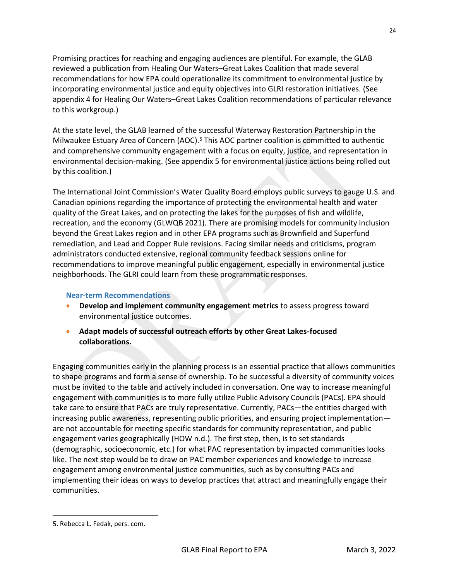Promising practices for reaching and engaging audiences are plentiful. For example, the GLAB reviewed a publication from Healing Our Waters–Great Lakes Coalition that made several recommendations for how EPA could operationalize its commitment to environmental justice by incorporating environmental justice and equity objectives into GLRI restoration initiatives. (See appendix 4 for Healing Our Waters–Great Lakes Coalition recommendations of particular relevance to this workgroup.)

At the state level, the GLAB learned of the successful Waterway Restoration Partnership in the Milwaukee Estuary Area of Concern (AOC).<sup>5</sup> This AOC partner coalition is committed to authentic and comprehensive community engagement with a focus on equity, justice, and representation in environmental decision-making. (See appendix 5 for environmental justice actions being rolled out by this coalition.)

The International Joint Commission's Water Quality Board employs public surveys to gauge U.S. and Canadian opinions regarding the importance of protecting the environmental health and water quality of the Great Lakes, and on protecting the lakes for the purposes of fish and wildlife, recreation, and the economy (GLWQB 2021). There are promising models for community inclusion beyond the Great Lakes region and in other EPA programs such as Brownfield and Superfund remediation, and Lead and Copper Rule revisions. Facing similar needs and criticisms, program administrators conducted extensive, regional community feedback sessions online for recommendations to improve meaningful public engagement, especially in environmental justice neighborhoods. The GLRI could learn from these programmatic responses.

# **Near-term Recommendations**

- **Develop and implement community engagement metrics** to assess progress toward environmental justice outcomes.
- **Adapt models of successful outreach efforts by other Great Lakes-focused collaborations.**

Engaging communities early in the planning process is an essential practice that allows communities to shape programs and form a sense of ownership. To be successful a diversity of community voices must be invited to the table and actively included in conversation. One way to increase meaningful engagement with communities is to more fully utilize Public Advisory Councils (PACs). EPA should take care to ensure that PACs are truly representative. Currently, PACs—the entities charged with increasing public awareness, representing public priorities, and ensuring project implementation are not accountable for meeting specific standards for community representation, and public engagement varies geographically (HOW n.d.). The first step, then, is to set standards (demographic, socioeconomic, etc.) for what PAC representation by impacted communities looks like. The next step would be to draw on PAC member experiences and knowledge to increase engagement among environmental justice communities, such as by consulting PACs and implementing their ideas on ways to develop practices that attract and meaningfully engage their communities.

<sup>5.</sup> Rebecca L. Fedak, pers. com.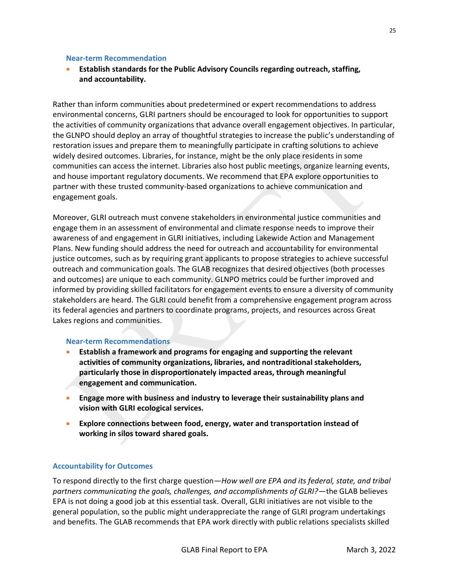#### **Near-term Recommendation**

• **Establish standards for the Public Advisory Councils regarding outreach, staffing, and accountability.**

Rather than inform communities about predetermined or expert recommendations to address environmental concerns, GLRI partners should be encouraged to look for opportunities to support the activities of community organizations that advance overall engagement objectives. In particular, the GLNPO should deploy an array of thoughtful strategies to increase the public's understanding of restoration issues and prepare them to meaningfully participate in crafting solutions to achieve widely desired outcomes. Libraries, for instance, might be the only place residents in some communities can access the internet. Libraries also host public meetings, organize learning events, and house important regulatory documents. We recommend that EPA explore opportunities to partner with these trusted community-based organizations to achieve communication and engagement goals.

Moreover, GLRI outreach must convene stakeholders in environmental justice communities and engage them in an assessment of environmental and climate response needs to improve their awareness of and engagement in GLRI initiatives, including Lakewide Action and Management Plans. New funding should address the need for outreach and accountability for environmental justice outcomes, such as by requiring grant applicants to propose strategies to achieve successful outreach and communication goals. The GLAB recognizes that desired objectives (both processes and outcomes) are unique to each community. GLNPO metrics could be further improved and informed by providing skilled facilitators for engagement events to ensure a diversity of community stakeholders are heard. The GLRI could benefit from a comprehensive engagement program across its federal agencies and partners to coordinate programs, projects, and resources across Great Lakes regions and communities.

# **Near-term Recommendations**

- **Establish a framework and programs for engaging and supporting the relevant activities of community organizations, libraries, and nontraditional stakeholders, particularly those in disproportionately impacted areas, through meaningful engagement and communication.**
- **Engage more with business and industry to leverage their sustainability plans and vision with GLRI ecological services.**
- **Explore connections between food, energy, water and transportation instead of working in silos toward shared goals.**

# **Accountability for Outcomes**

To respond directly to the first charge question—*How well are EPA and its federal, state, and tribal partners communicating the goals, challenges, and accomplishments of GLRI?*—the GLAB believes EPA is not doing a good job at this essential task. Overall, GLRI initiatives are not visible to the general population, so the public might underappreciate the range of GLRI program undertakings and benefits. The GLAB recommends that EPA work directly with public relations specialists skilled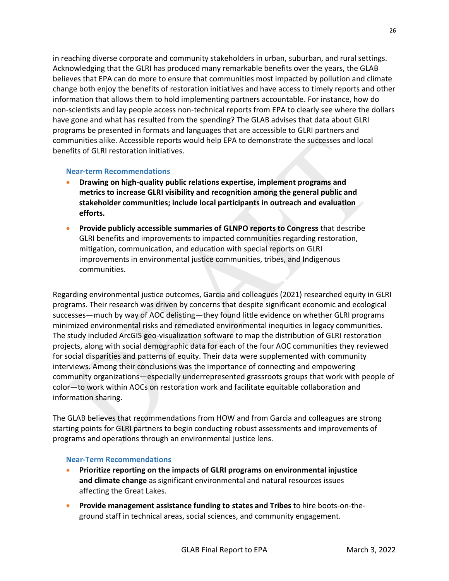in reaching diverse corporate and community stakeholders in urban, suburban, and rural settings. Acknowledging that the GLRI has produced many remarkable benefits over the years, the GLAB believes that EPA can do more to ensure that communities most impacted by pollution and climate change both enjoy the benefits of restoration initiatives and have access to timely reports and other information that allows them to hold implementing partners accountable. For instance, how do non-scientists and lay people access non-technical reports from EPA to clearly see where the dollars have gone and what has resulted from the spending? The GLAB advises that data about GLRI programs be presented in formats and languages that are accessible to GLRI partners and communities alike. Accessible reports would help EPA to demonstrate the successes and local benefits of GLRI restoration initiatives.

# **Near-term Recommendations**

- **Drawing on high-quality public relations expertise, implement programs and metrics to increase GLRI visibility and recognition among the general public and stakeholder communities; include local participants in outreach and evaluation efforts.**
- **Provide publicly accessible summaries of GLNPO reports to Congress** that describe GLRI benefits and improvements to impacted communities regarding restoration, mitigation, communication, and education with special reports on GLRI improvements in environmental justice communities, tribes, and Indigenous communities.

Regarding environmental justice outcomes, Garcia and colleagues (2021) researched equity in GLRI programs. Their research was driven by concerns that despite significant economic and ecological successes—much by way of AOC delisting—they found little evidence on whether GLRI programs minimized environmental risks and remediated environmental inequities in legacy communities. The study included ArcGIS geo-visualization software to map the distribution of GLRI restoration projects, along with social demographic data for each of the four AOC communities they reviewed for social disparities and patterns of equity. Their data were supplemented with community interviews. Among their conclusions was the importance of connecting and empowering community organizations—especially underrepresented grassroots groups that work with people of color—to work within AOCs on restoration work and facilitate equitable collaboration and information sharing.

The GLAB believes that recommendations from HOW and from Garcia and colleagues are strong starting points for GLRI partners to begin conducting robust assessments and improvements of programs and operations through an environmental justice lens.

# **Near-Term Recommendations**

- **Prioritize reporting on the impacts of GLRI programs on environmental injustice and climate change** as significant environmental and natural resources issues affecting the Great Lakes.
- **Provide management assistance funding to states and Tribes** to hire boots-on-theground staff in technical areas, social sciences, and community engagement.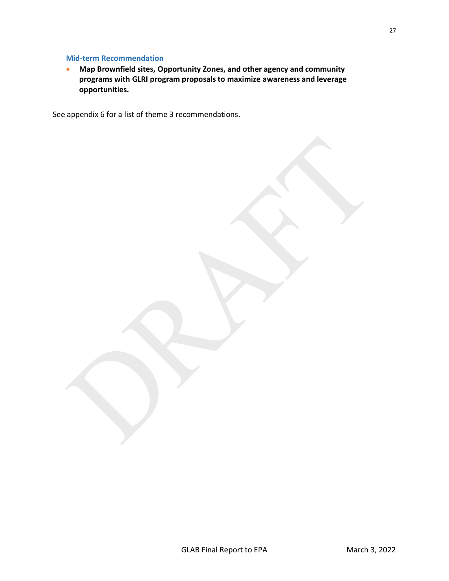# **Mid-term Recommendation**

• **Map Brownfield sites, Opportunity Zones, and other agency and community programs with GLRI program proposals to maximize awareness and leverage opportunities.** 

See appendix 6 for a list of theme 3 recommendations.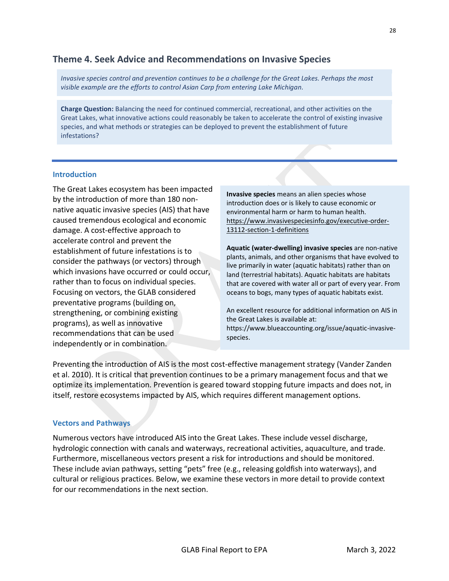# <span id="page-34-0"></span>**Theme 4. Seek Advice and Recommendations on Invasive Species**

*Invasive species control and prevention continues to be a challenge for the Great Lakes. Perhaps the most visible example are the efforts to control Asian Carp from entering Lake Michigan.* 

**Charge Question:** Balancing the need for continued commercial, recreational, and other activities on the Great Lakes, what innovative actions could reasonably be taken to accelerate the control of existing invasive species, and what methods or strategies can be deployed to prevent the establishment of future infestations?

#### **Introduction**

The Great Lakes ecosystem has been impacted by the introduction of more than 180 nonnative aquatic invasive species (AIS) that have caused tremendous ecological and economic damage. A cost-effective approach to accelerate control and prevent the establishment of future infestations is to consider the pathways (or vectors) through which invasions have occurred or could occur, rather than to focus on individual species. Focusing on vectors, the GLAB considered preventative programs (building on, strengthening, or combining existing programs), as well as innovative recommendations that can be used independently or in combination.

**Invasive species** means an alien species whose introduction does or is likely to cause economic or environmental harm or harm to human health. [https://www.invasivespeciesinfo.gov/executive-order-](https://www.invasivespeciesinfo.gov/executive-order-13112-section-1-definitions)[13112-section-1-definitions](https://www.invasivespeciesinfo.gov/executive-order-13112-section-1-definitions)

**Aquatic (water-dwelling) invasive species** are non-native plants, animals, and other organisms that have evolved to live primarily in water (aquatic habitats) rather than on land (terrestrial habitats). Aquatic habitats are habitats that are covered with water all or part of every year. From oceans to bogs, many types of aquatic habitats exist.

An excellent resource for additional information on AIS in the Great Lakes is available at: https://www.blueaccounting.org/issue/aquatic-invasivespecies.

Preventing the introduction of AIS is the most cost-effective management strategy (Vander Zanden et al. 2010). It is critical that prevention continues to be a primary management focus and that we optimize its implementation. Prevention is geared toward stopping future impacts and does not, in itself, restore ecosystems impacted by AIS, which requires different management options.

# **Vectors and Pathways**

Numerous vectors have introduced AIS into the Great Lakes. These include vessel discharge, hydrologic connection with canals and waterways, recreational activities, aquaculture, and trade. Furthermore, miscellaneous vectors present a risk for introductions and should be monitored. These include avian pathways, setting "pets" free (e.g., releasing goldfish into waterways), and cultural or religious practices. Below, we examine these vectors in more detail to provide context for our recommendations in the next section.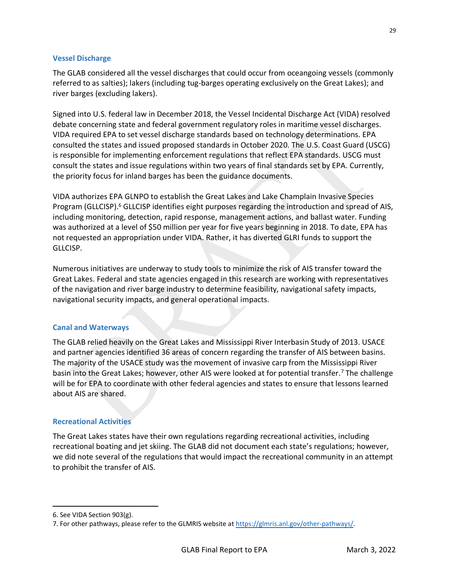# **Vessel Discharge**

The GLAB considered all the vessel discharges that could occur from oceangoing vessels (commonly referred to as salties); lakers (including tug-barges operating exclusively on the Great Lakes); and river barges (excluding lakers).

Signed into U.S. federal law in December 2018, the Vessel Incidental Discharge Act (VIDA) resolved debate concerning state and federal government regulatory roles in maritime vessel discharges. VIDA required EPA to set vessel discharge standards based on technology determinations. EPA consulted the states and issued proposed standards in October 2020. The U.S. Coast Guard (USCG) is responsible for implementing enforcement regulations that reflect EPA standards. USCG must consult the states and issue regulations within two years of final standards set by EPA. Currently, the priority focus for inland barges has been the guidance documents.

VIDA authorizes EPA GLNPO to establish the Great Lakes and Lake Champlain Invasive Species Program (GLLCISP).<sup>6</sup> GLLCISP identifies eight purposes regarding the introduction and spread of AIS, including monitoring, detection, rapid response, management actions, and ballast water. Funding was authorized at a level of \$50 million per year for five years beginning in 2018. To date, EPA has not requested an appropriation under VIDA. Rather, it has diverted GLRI funds to support the GLLCISP.

Numerous initiatives are underway to study tools to minimize the risk of AIS transfer toward the Great Lakes. Federal and state agencies engaged in this research are working with representatives of the navigation and river barge industry to determine feasibility, navigational safety impacts, navigational security impacts, and general operational impacts.

#### **Canal and Waterways**

The GLAB relied heavily on the Great Lakes and Mississippi River Interbasin Study of 2013. USACE and partner agencies identified 36 areas of concern regarding the transfer of AIS between basins. The majority of the USACE study was the movement of invasive carp from the Mississippi River basin into the Great Lakes; however, other AIS were looked at for potential transfer.<sup>7</sup> The challenge will be for EPA to coordinate with other federal agencies and states to ensure that lessons learned about AIS are shared.

#### **Recreational Activities**

The Great Lakes states have their own regulations regarding recreational activities, including recreational boating and jet skiing. The GLAB did not document each state's regulations; however, we did note several of the regulations that would impact the recreational community in an attempt to prohibit the transfer of AIS.

<sup>6.</sup> See VIDA Section 903(g).

<sup>7.</sup> For other pathways, please refer to the GLMRIS website a[t https://glmris.anl.gov/other-pathways/.](https://glmris.anl.gov/other-pathways/)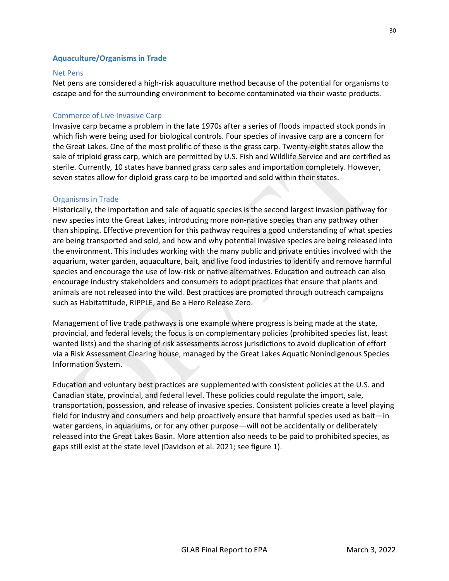### **Aquaculture/Organisms in Trade**

### Net Pens

Net pens are considered a high-risk aquaculture method because of the potential for organisms to escape and for the surrounding environment to become contaminated via their waste products.

## Commerce of Live Invasive Carp

Invasive carp became a problem in the late 1970s after a series of floods impacted stock ponds in which fish were being used for biological controls. Four species of invasive carp are a concern for the Great Lakes. One of the most prolific of these is the grass carp. Twenty-eight states allow the sale of triploid grass carp, which are permitted by U.S. Fish and Wildlife Service and are certified as sterile. Currently, 10 states have banned grass carp sales and importation completely. However, seven states allow for diploid grass carp to be imported and sold within their states.

### Organisms in Trade

Historically, the importation and sale of aquatic species is the second largest invasion pathway for new species into the Great Lakes, introducing more non-native species than any pathway other than shipping. Effective prevention for this pathway requires a good understanding of what species are being transported and sold, and how and why potential invasive species are being released into the environment. This includes working with the many public and private entities involved with the aquarium, water garden, aquaculture, bait, and live food industries to identify and remove harmful species and encourage the use of low-risk or native alternatives. Education and outreach can also encourage industry stakeholders and consumers to adopt practices that ensure that plants and animals are not released into the wild. Best practices are promoted through outreach campaigns such as [Habitattitude,](https://www.blueaccounting.org/link/habitattitude-united-states) [RIPPLE,](https://www.blueaccounting.org/link/ripple-reduce-invasive-pet-and-plant-escapes) and [Be a Hero Release Zero.](https://www.blueaccounting.org/link/be-hero-release-zero)

Management of live trade pathways is one example where progress is being made at the state, provincial, and federal levels; the focus is on complementary policies (prohibited species list, least wanted lists) and the sharing of risk assessments across jurisdictions to avoid duplication of effort via a Risk Assessment Clearing house, managed by the Great Lakes Aquatic Nonindigenous Species Information System.

Education and voluntary best practices are supplemented with consistent policies at the U.S. and Canadian state, provincial, and federal level. These policies could regulate the import, sale, transportation, possession, and release of invasive species. Consistent policies create a level playing field for industry and consumers and help proactively ensure that harmful species used as bait—in water gardens, in aquariums, or for any other purpose—will not be accidentally or deliberately released into the Great Lakes Basin. More attention also needs to be paid to prohibited species, as gaps still exist at the state level (Davidson et al. 2021; see figure 1).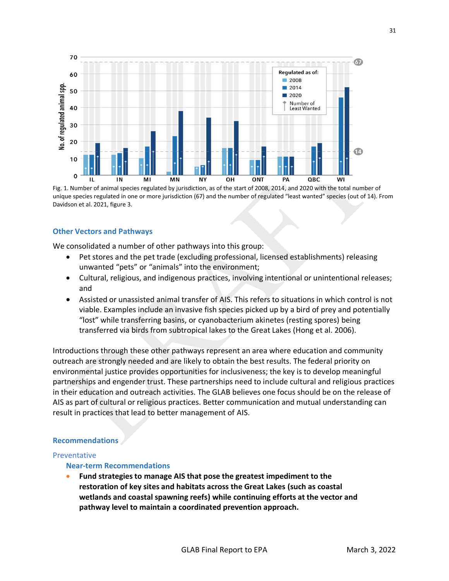

Fig. 1. Number of animal species regulated by jurisdiction, as of the start of 2008, 2014, and 2020 with the total number of unique species regulated in one or more jurisdiction (67) and the number of regulated "least wanted" species (out of 14). From Davidson et al. 2021, figure 3.

### **Other Vectors and Pathways**

We consolidated a number of other pathways into this group:

- Pet stores and the pet trade (excluding professional, licensed establishments) releasing unwanted "pets" or "animals" into the environment;
- Cultural, religious, and indigenous practices, involving intentional or unintentional releases; and
- Assisted or unassisted animal transfer of AIS. This refers to situations in which control is not viable. Examples include an invasive fish species picked up by a bird of prey and potentially "lost" while transferring basins, or cyanobacterium akinetes (resting spores) being transferred via birds from subtropical lakes to the Great Lakes (Hong et al. 2006).

Introductions through these other pathways represent an area where education and community outreach are strongly needed and are likely to obtain the best results. The federal priority on environmental justice provides opportunities for inclusiveness; the key is to develop meaningful partnerships and engender trust. These partnerships need to include cultural and religious practices in their education and outreach activities. The GLAB believes one focus should be on the release of AIS as part of cultural or religious practices. Better communication and mutual understanding can result in practices that lead to better management of AIS.

### **Recommendations**

#### Preventative

### **Near-term Recommendations**

• **Fund strategies to manage AIS that pose the greatest impediment to the restoration of key sites and habitats across the Great Lakes (such as coastal wetlands and coastal spawning reefs) while continuing efforts at the vector and pathway level to maintain a coordinated prevention approach.**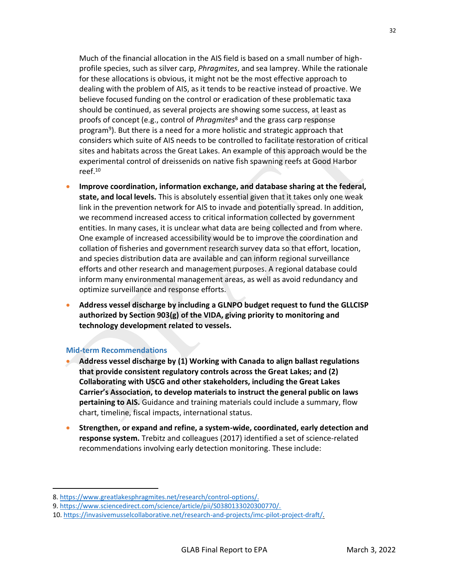Much of the financial allocation in the AIS field is based on a small number of highprofile species, such as silver carp, *Phragmites*, and sea lamprey. While the rationale for these allocations is obvious, it might not be the most effective approach to dealing with the problem of AIS, as it tends to be reactive instead of proactive. We believe focused funding on the control or eradication of these problematic taxa should be continued, as several projects are showing some success, at least as proofs of concept (e.g., control of *Phragmites*<sup>8</sup> and the grass carp response program<sup>9</sup>). But there is a need for a more holistic and strategic approach that considers which suite of AIS needs to be controlled to facilitate restoration of critical sites and habitats across the Great Lakes. An example of this approach would be the experimental control of dreissenids on native fish spawning reefs at Good Harbor reef.<sup>10</sup>

- **Improve coordination, information exchange, and database sharing at the federal, state, and local levels.** This is absolutely essential given that it takes only one weak link in the prevention network for AIS to invade and potentially spread. In addition, we recommend increased access to critical information collected by government entities. In many cases, it is unclear what data are being collected and from where. One example of increased accessibility would be to improve the coordination and collation of fisheries and government research survey data so that effort, location, and species distribution data are available and can inform regional surveillance efforts and other research and management purposes. A regional database could inform many environmental management areas, as well as avoid redundancy and optimize surveillance and response efforts.
- **Address vessel discharge by including a GLNPO budget request to fund the GLLCISP authorized by Section 903(g) of the VIDA, giving priority to monitoring and technology development related to vessels.**

### **Mid-term Recommendations**

- **Address vessel discharge by (1) Working with Canada to align ballast regulations that provide consistent regulatory controls across the Great Lakes; and (2) Collaborating with USCG and other stakeholders, including the Great Lakes Carrier's Association, to develop materials to instruct the general public on laws pertaining to AIS.** Guidance and training materials could include a summary, flow chart, timeline, fiscal impacts, international status.
- **Strengthen, or expand and refine, a system-wide, coordinated, early detection and response system.** Trebitz and colleagues (2017) identified a set of science-related recommendations involving early detection monitoring. These include:

<sup>8.</sup> [https://www.greatlakesphragmites.net/research/control-options/.](https://www.greatlakesphragmites.net/research/control-options/))

<sup>9.</sup> [https://www.sciencedirect.com/science/article/pii/S0380133020300770/.](https://www.sciencedirect.com/science/article/pii/S0380133020300770/)

<sup>10.</sup> [https://invasivemusselcollaborative.net/research-and-projects/imc-pilot-project-draft/.](https://invasivemusselcollaborative.net/research-and-projects/imc-pilot-project-draft/)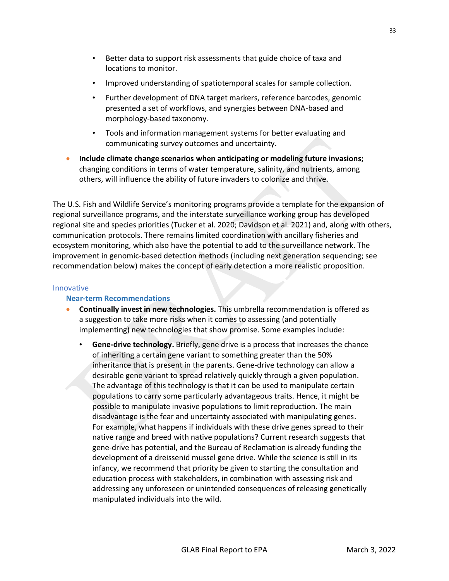- Better data to support risk assessments that guide choice of taxa and locations to monitor.
- Improved understanding of spatiotemporal scales for sample collection.
- Further development of DNA target markers, reference barcodes, genomic presented a set of workflows, and synergies between DNA-based and morphology-based taxonomy.
- Tools and information management systems for better evaluating and communicating survey outcomes and uncertainty.
- **Include climate change scenarios when anticipating or modeling future invasions;** changing conditions in terms of water temperature, salinity, and nutrients, among others, will influence the ability of future invaders to colonize and thrive.

The U.S. Fish and Wildlife Service's monitoring programs provide a template for the expansion of regional surveillance programs, and the interstate surveillance working group has developed regional site and species priorities (Tucker et al. 2020; Davidson et al. 2021) and, along with others, communication protocols. There remains limited coordination with ancillary fisheries and ecosystem monitoring, which also have the potential to add to the surveillance network. The improvement in genomic-based detection methods (including next generation sequencing; see recommendation below) makes the concept of early detection a more realistic proposition.

## Innovative

## **Near-term Recommendations**

- **Continually invest in new technologies.** This umbrella recommendation is offered as a suggestion to take more risks when it comes to assessing (and potentially implementing) new technologies that show promise. Some examples include:
	- **Gene-drive technology.** Briefly, gene drive is a process that increases the chance of inheriting a certain gene variant to something greater than the 50% inheritance that is present in the parents. Gene-drive technology can allow a desirable gene variant to spread relatively quickly through a given population. The advantage of this technology is that it can be used to manipulate certain populations to carry some particularly advantageous traits. Hence, it might be possible to manipulate invasive populations to limit reproduction. The main disadvantage is the fear and uncertainty associated with manipulating genes. For example, what happens if individuals with these drive genes spread to their native range and breed with native populations? Current research suggests that gene-drive has potential, and the Bureau of Reclamation is already funding the development of a dreissenid mussel gene drive. While the science is still in its infancy, we recommend that priority be given to starting the consultation and education process with stakeholders, in combination with assessing risk and addressing any unforeseen or unintended consequences of releasing genetically manipulated individuals into the wild.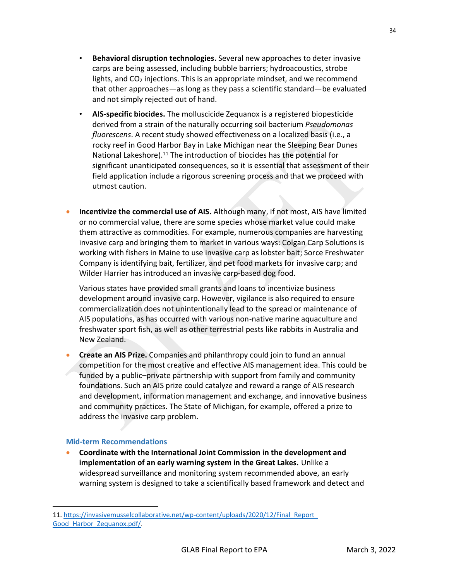- **Behavioral disruption technologies.** Several new approaches to deter invasive carps are being assessed, including bubble barriers; hydroacoustics, strobe lights, and  $CO<sub>2</sub>$  injections. This is an appropriate mindset, and we recommend that other approaches—as long as they pass a scientific standard—be evaluated and not simply rejected out of hand.
- **AIS-specific biocides.** The molluscicide Zequanox is a registered biopesticide derived from a strain of the naturally occurring soil bacterium *Pseudomonas fluorescens*. A recent study showed effectiveness on a localized basis (i.e., a rocky reef in Good Harbor Bay in Lake Michigan near the Sleeping Bear Dunes National Lakeshore).<sup>11</sup> The introduction of biocides has the potential for significant unanticipated consequences, so it is essential that assessment of their field application include a rigorous screening process and that we proceed with utmost caution.
- **Incentivize the commercial use of AIS.** Although many, if not most, AIS have limited or no commercial value, there are some species whose market value could make them attractive as commodities. For example, numerous companies are harvesting invasive carp and bringing them to market in various ways: Colgan Carp Solutions is working with fishers in Maine to use invasive carp as lobster bait; Sorce Freshwater Company is identifying bait, fertilizer, and pet food markets for invasive carp; and Wilder Harrier has introduced an invasive carp-based dog food.

Various states have provided small grants and loans to incentivize business development around invasive carp. However, vigilance is also required to ensure commercialization does not unintentionally lead to the spread or maintenance of AIS populations, as has occurred with various non-native marine aquaculture and freshwater sport fish, as well as other terrestrial pests like rabbits in Australia and New Zealand.

• **Create an AIS Prize.** Companies and philanthropy could join to fund an annual competition for the most creative and effective AIS management idea. This could be funded by a public–private partnership with support from family and community foundations. Such an AIS prize could catalyze and reward a range of AIS research and development, information management and exchange, and innovative business and community practices. The State of Michigan, for example, offered a prize to address the invasive carp problem.

## **Mid-term Recommendations**

• **Coordinate with the International Joint Commission in the development and implementation of an early warning system in the Great Lakes.** Unlike a widespread surveillance and monitoring system recommended above, an early warning system is designed to take a scientifically based framework and detect and

<sup>11.</sup> [https://invasivemusselcollaborative.net/wp-content/uploads/2020/12/Final\\_Report\\_](https://invasivemusselcollaborative.net/wp-content/uploads/2020/12/Final_Report_Good_Harbor_Zequanox.pdf) [Good\\_Harbor\\_Zequanox.pdf/](https://invasivemusselcollaborative.net/wp-content/uploads/2020/12/Final_Report_Good_Harbor_Zequanox.pdf).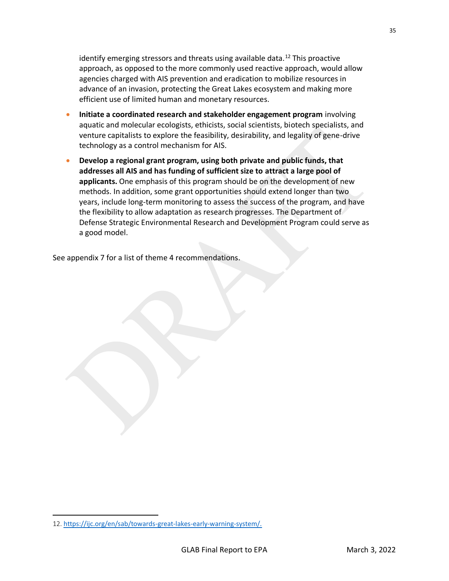identify emerging stressors and threats using available data.<sup>12</sup> This proactive approach, as opposed to the more commonly used reactive approach, would allow agencies charged with AIS prevention and eradication to mobilize resources in advance of an invasion, protecting the Great Lakes ecosystem and making more efficient use of limited human and monetary resources.

- **Initiate a coordinated research and stakeholder engagement program** involving aquatic and molecular ecologists, ethicists, social scientists, biotech specialists, and venture capitalists to explore the feasibility, desirability, and legality of gene-drive technology as a control mechanism for AIS.
- **Develop a regional grant program, using both private and public funds, that addresses all AIS and has funding of sufficient size to attract a large pool of applicants.** One emphasis of this program should be on the development of new methods. In addition, some grant opportunities should extend longer than two years, include long-term monitoring to assess the success of the program, and have the flexibility to allow adaptation as research progresses. The Department of Defense Strategic Environmental Research and Development Program could serve as a good model.

See appendix 7 for a list of theme 4 recommendations.

35

<sup>12.</sup> [https://ijc.org/en/sab/towards-great-lakes-early-warning-system/](https://ijc.org/en/sab/towards-great-lakes-early-warning-system).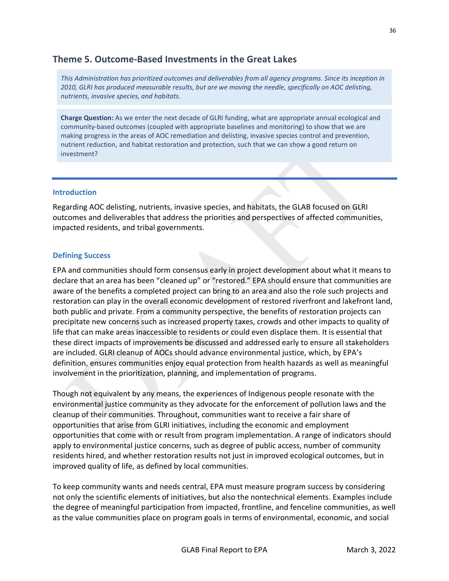# **Theme 5. Outcome-Based Investments in the Great Lakes**

*This Administration has prioritized outcomes and deliverables from all agency programs. Since its inception in 2010, GLRI has produced measurable results, but are we moving the needle, specifically on AOC delisting, nutrients, invasive species, and habitats.*

**Charge Question:** As we enter the next decade of GLRI funding, what are appropriate annual ecological and community-based outcomes (coupled with appropriate baselines and monitoring) to show that we are making progress in the areas of AOC remediation and delisting, invasive species control and prevention, nutrient reduction, and habitat restoration and protection, such that we can show a good return on investment?

### **Introduction**

Regarding AOC delisting, nutrients, invasive species, and habitats, the GLAB focused on GLRI outcomes and deliverables that address the priorities and perspectives of affected communities, impacted residents, and tribal governments.

## **Defining Success**

EPA and communities should form consensus early in project development about what it means to declare that an area has been "cleaned up" or "restored." EPA should ensure that communities are aware of the benefits a completed project can bring to an area and also the role such projects and restoration can play in the overall economic development of restored riverfront and lakefront land, both public and private. From a community perspective, the benefits of restoration projects can precipitate new concerns such as increased property taxes, crowds and other impacts to quality of life that can make areas inaccessible to residents or could even displace them. It is essential that these direct impacts of improvements be discussed and addressed early to ensure all stakeholders are included. GLRI cleanup of AOCs should advance environmental justice, which, by EPA's definition, ensures communities enjoy equal protection from health hazards as well as meaningful involvement in the prioritization, planning, and implementation of programs.

Though not equivalent by any means, the experiences of Indigenous people resonate with the environmental justice community as they advocate for the enforcement of pollution laws and the cleanup of their communities. Throughout, communities want to receive a fair share of opportunities that arise from GLRI initiatives, including the economic and employment opportunities that come with or result from program implementation. A range of indicators should apply to environmental justice concerns, such as degree of public access, number of community residents hired, and whether restoration results not just in improved ecological outcomes, but in improved quality of life, as defined by local communities.

To keep community wants and needs central, EPA must measure program success by considering not only the scientific elements of initiatives, but also the nontechnical elements. Examples include the degree of meaningful participation from impacted, frontline, and fenceline communities, as well as the value communities place on program goals in terms of environmental, economic, and social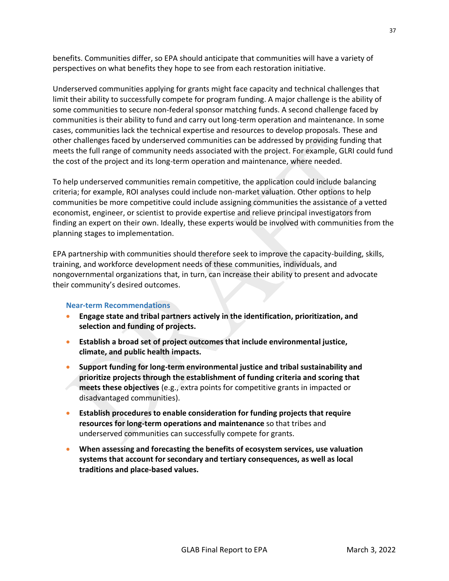benefits. Communities differ, so EPA should anticipate that communities will have a variety of perspectives on what benefits they hope to see from each restoration initiative.

Underserved communities applying for grants might face capacity and technical challenges that limit their ability to successfully compete for program funding. A major challenge is the ability of some communities to secure non-federal sponsor matching funds. A second challenge faced by communities is their ability to fund and carry out long-term operation and maintenance. In some cases, communities lack the technical expertise and resources to develop proposals. These and other challenges faced by underserved communities can be addressed by providing funding that meets the full range of community needs associated with the project. For example, GLRI could fund the cost of the project and its long-term operation and maintenance, where needed.

To help underserved communities remain competitive, the application could include balancing criteria; for example, ROI analyses could include non-market valuation. Other options to help communities be more competitive could include assigning communities the assistance of a vetted economist, engineer, or scientist to provide expertise and relieve principal investigators from finding an expert on their own. Ideally, these experts would be involved with communities from the planning stages to implementation.

EPA partnership with communities should therefore seek to improve the capacity-building, skills, training, and workforce development needs of these communities, individuals, and nongovernmental organizations that, in turn, can increase their ability to present and advocate their community's desired outcomes.

### **Near-term Recommendations**

- **Engage state and tribal partners actively in the identification, prioritization, and selection and funding of projects.**
- **Establish a broad set of project outcomes that include environmental justice, climate, and public health impacts.**
- **Support funding for long-term environmental justice and tribal sustainability and prioritize projects through the establishment of funding criteria and scoring that meets these objectives** (e.g., extra points for competitive grants in impacted or disadvantaged communities).
- **Establish procedures to enable consideration for funding projects that require resources for long-term operations and maintenance** so that tribes and underserved communities can successfully compete for grants.
- **When assessing and forecasting the benefits of ecosystem services, use valuation systems that account for secondary and tertiary consequences, as well as local traditions and place-based values.**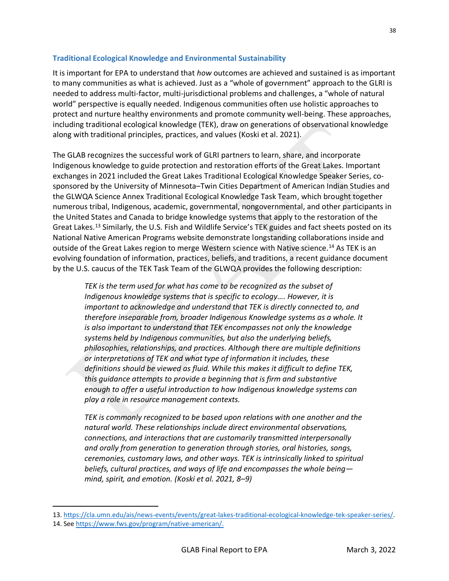## **Traditional Ecological Knowledge and Environmental Sustainability**

It is important for EPA to understand that *how* outcomes are achieved and sustained is as important to many communities as what is achieved. Just as a "whole of government" approach to the GLRI is needed to address multi-factor, multi-jurisdictional problems and challenges, a "whole of natural world" perspective is equally needed. Indigenous communities often use holistic approaches to protect and nurture healthy environments and promote community well-being. These approaches, including traditional ecological knowledge (TEK), draw on generations of observational knowledge along with traditional principles, practices, and values (Koski et al. 2021).

The GLAB recognizes the successful work of GLRI partners to learn, share, and incorporate Indigenous knowledge to guide protection and restoration efforts of the Great Lakes. Important exchanges in 2021 included the Great Lakes Traditional Ecological Knowledge Speaker Series, cosponsored by the University of Minnesota–Twin Cities Department of American Indian Studies and the GLWQA Science Annex Traditional Ecological Knowledge Task Team, which brought together numerous tribal, Indigenous, academic, governmental, nongovernmental, and other participants in the United States and Canada to bridge knowledge systems that apply to the restoration of the Great Lakes.<sup>13</sup> Similarly, the U.S. Fish and Wildlife Service's TEK guides and fact sheets posted on its National Native American Programs website demonstrate longstanding collaborations inside and outside of the Great Lakes region to merge Western science with Native science.<sup>14</sup> As TEK is an evolving foundation of information, practices, beliefs, and traditions, a recent guidance document by the U.S. caucus of the TEK Task Team of the GLWQA provides the following description:

*TEK is the term used for what has come to be recognized as the subset of Indigenous knowledge systems that is specific to ecology…. However, it is important to acknowledge and understand that TEK is directly connected to, and therefore inseparable from, broader Indigenous Knowledge systems as a whole. It is also important to understand that TEK encompasses not only the knowledge systems held by Indigenous communities, but also the underlying beliefs, philosophies, relationships, and practices. Although there are multiple definitions or interpretations of TEK and what type of information it includes, these definitions should be viewed as fluid. While this makes it difficult to define TEK, this guidance attempts to provide a beginning that is firm and substantive enough to offer a useful introduction to how Indigenous knowledge systems can play a role in resource management contexts.* 

*TEK is commonly recognized to be based upon relations with one another and the natural world. These relationships include direct environmental observations, connections, and interactions that are customarily transmitted interpersonally and orally from generation to generation through stories, oral histories, songs, ceremonies, customary laws, and other ways. TEK is intrinsically linked to spiritual beliefs, cultural practices, and ways of life and encompasses the whole being mind, spirit, and emotion. (Koski et al. 2021, 8–9)*

<sup>13.</sup> [https://cla.umn.edu/ais/news-events/events/great-lakes-traditional-ecological-knowledge-tek-speaker-series/.](https://cla.umn.edu/ais/news-events/events/great-lakes-traditional-ecological-knowledge-tek-speaker-series/)

<sup>14.</sup> Se[e https://www.fws.gov/program/native-american/.](https://www.fws.gov/program/native-american)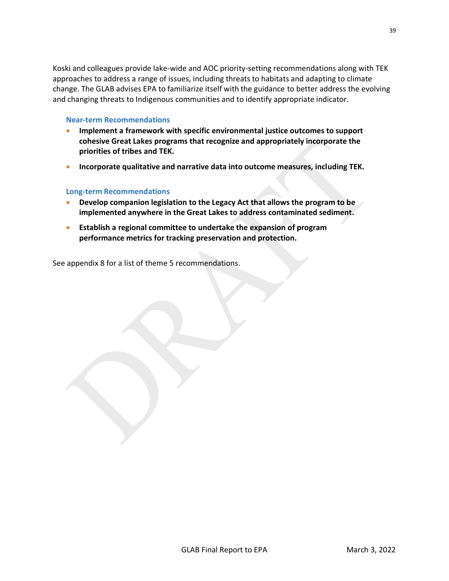Koski and colleagues provide lake-wide and AOC priority-setting recommendations along with TEK approaches to address a range of issues, including threats to habitats and adapting to climate change. The GLAB advises EPA to familiarize itself with the guidance to better address the evolving and changing threats to Indigenous communities and to identify appropriate indicator.

### **Near-term Recommendations**

- **Implement a framework with specific environmental justice outcomes to support cohesive Great Lakes programs that recognize and appropriately incorporate the priorities of tribes and TEK.**
- **Incorporate qualitative and narrative data into outcome measures, including TEK.**

## **Long-term Recommendations**

- **Develop companion legislation to the Legacy Act that allows the program to be implemented anywhere in the Great Lakes to address contaminated sediment.**
- **Establish a regional committee to undertake the expansion of program performance metrics for tracking preservation and protection.**

See appendix 8 for a list of theme 5 recommendations.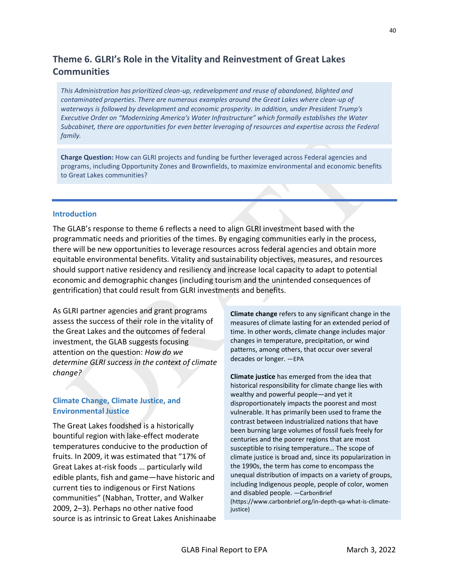# **Theme 6. GLRI's Role in the Vitality and Reinvestment of Great Lakes Communities**

*This Administration has prioritized clean-up, redevelopment and reuse of abandoned, blighted and contaminated properties. There are numerous examples around the Great Lakes where clean-up of waterways is followed by development and economic prosperity. In addition, under President Trump's Executive Order on "Modernizing America's Water Infrastructure" which formally establishes the Water Subcabinet, there are opportunities for even better leveraging of resources and expertise across the Federal family.*

**Charge Question:** How can GLRI projects and funding be further leveraged across Federal agencies and programs, including Opportunity Zones and Brownfields, to maximize environmental and economic benefits to Great Lakes communities?

### **Introduction**

The GLAB's response to theme 6 reflects a need to align GLRI investment based with the programmatic needs and priorities of the times. By engaging communities early in the process, there will be new opportunities to leverage resources across federal agencies and obtain more equitable environmental benefits. Vitality and sustainability objectives, measures, and resources should support native residency and resiliency and increase local capacity to adapt to potential economic and demographic changes (including tourism and the unintended consequences of gentrification) that could result from GLRI investments and benefits.

As GLRI partner agencies and grant programs assess the success of their role in the vitality of the Great Lakes and the outcomes of federal investment, the GLAB suggests focusing attention on the question: *How do we determine GLRI success in the context of climate change?*

## **Climate Change, Climate Justice, and Environmental Justice**

The Great Lakes foodshed is a historically bountiful region with lake-effect moderate temperatures conducive to the production of fruits. In 2009, it was estimated that "17% of Great Lakes at-risk foods … particularly wild edible plants, fish and game—have historic and current ties to indigenous or First Nations communities" (Nabhan, Trotter, and Walker 2009, 2–3). Perhaps no other native food source is as intrinsic to Great Lakes Anishinaabe **Climate change** refers to any significant change in the measures of climate lasting for an extended period of time. In other words, climate change includes major changes in temperature, precipitation, or wind patterns, among others, that occur over several decades or longer. —EPA

**Climate justice** has emerged from the idea that historical responsibility for climate change lies with wealthy and powerful people—and yet it disproportionately impacts the poorest and most vulnerable. It has primarily been used to frame the contrast between industrialized nations that have been burning large volumes of fossil fuels freely for centuries and the poorer regions that are most susceptible to rising temperature… The scope of climate justice is broad and, since its popularization in the 1990s, the term has come to encompass the unequal distribution of impacts on a variety of groups, including Indigenous people, people of color, women and disabled people. —CarbonBrief (https://www.carbonbrief.org/in-depth-qa-what-is-climatejustice)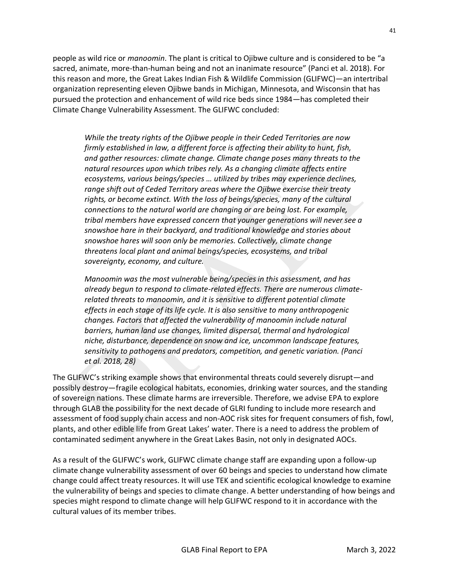people as wild rice or *manoomin*. The plant is critical to Ojibwe culture and is considered to be "a sacred, animate, more-than-human being and not an inanimate resource" (Panci et al. 2018). For this reason and more, the Great Lakes Indian Fish & Wildlife Commission (GLIFWC)—an intertribal organization representing eleven Ojibwe bands in Michigan, Minnesota, and Wisconsin that has pursued the protection and enhancement of wild rice beds since 1984—has completed their Climate Change Vulnerability Assessment. The GLIFWC concluded:

*While the treaty rights of the Ojibwe people in their Ceded Territories are now firmly established in law, a different force is affecting their ability to hunt, fish, and gather resources: climate change. Climate change poses many threats to the natural resources upon which tribes rely. As a changing climate affects entire ecosystems, various beings/species … utilized by tribes may experience declines, range shift out of Ceded Territory areas where the Ojibwe exercise their treaty rights, or become extinct. With the loss of beings/species, many of the cultural connections to the natural world are changing or are being lost. For example, tribal members have expressed concern that younger generations will never see a snowshoe hare in their backyard, and traditional knowledge and stories about snowshoe hares will soon only be memories. Collectively, climate change threatens local plant and animal beings/species, ecosystems, and tribal sovereignty, economy, and culture.*

*Manoomin was the most vulnerable being/species in this assessment, and has already begun to respond to climate-related effects. There are numerous climaterelated threats to manoomin, and it is sensitive to different potential climate effects in each stage of its life cycle. It is also sensitive to many anthropogenic changes. Factors that affected the vulnerability of manoomin include natural barriers, human land use changes, limited dispersal, thermal and hydrological niche, disturbance, dependence on snow and ice, uncommon landscape features, sensitivity to pathogens and predators, competition, and genetic variation. (Panci et al. 2018, 28)*

The GLIFWC's striking example shows that environmental threats could severely disrupt—and possibly destroy—fragile ecological habitats, economies, drinking water sources, and the standing of sovereign nations. These climate harms are irreversible. Therefore, we advise EPA to explore through GLAB the possibility for the next decade of GLRI funding to include more research and assessment of food supply chain access and non-AOC risk sites for frequent consumers of fish, fowl, plants, and other edible life from Great Lakes' water. There is a need to address the problem of contaminated sediment anywhere in the Great Lakes Basin, not only in designated AOCs.

As a result of the GLIFWC's work, GLIFWC climate change staff are expanding upon a follow-up climate change vulnerability assessment of over 60 beings and species to understand how climate change could affect treaty resources. It will use TEK and scientific ecological knowledge to examine the vulnerability of beings and species to climate change. A better understanding of how beings and species might respond to climate change will help GLIFWC respond to it in accordance with the cultural values of its member tribes.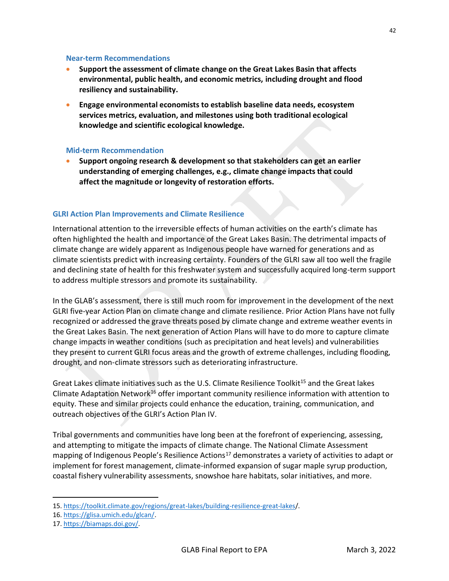### **Near-term Recommendations**

- **Support the assessment of climate change on the Great Lakes Basin that affects environmental, public health, and economic metrics, including drought and flood resiliency and sustainability.**
- **Engage environmental economists to establish baseline data needs, ecosystem services metrics, evaluation, and milestones using both traditional ecological knowledge and scientific ecological knowledge.**

## **Mid-term Recommendation**

• **Support ongoing research & development so that stakeholders can get an earlier understanding of emerging challenges, e.g., climate change impacts that could affect the magnitude or longevity of restoration efforts.**

## **GLRI Action Plan Improvements and Climate Resilience**

International attention to the irreversible effects of human activities on the earth's climate has often highlighted the health and importance of the Great Lakes Basin. The detrimental impacts of climate change are widely apparent as Indigenous people have warned for generations and as climate scientists predict with increasing certainty. Founders of the GLRI saw all too well the fragile and declining state of health for this freshwater system and successfully acquired long-term support to address multiple stressors and promote its sustainability.

In the GLAB's assessment, there is still much room for improvement in the development of the next GLRI five-year Action Plan on climate change and climate resilience. Prior Action Plans have not fully recognized or addressed the grave threats posed by climate change and extreme weather events in the Great Lakes Basin. The next generation of Action Plans will have to do more to capture climate change impacts in weather conditions (such as precipitation and heat levels) and vulnerabilities they present to current GLRI focus areas and the growth of extreme challenges, including flooding, drought, and non-climate stressors such as deteriorating infrastructure.

Great Lakes climate initiatives such as the U.S. Climate Resilience Toolkit<sup>15</sup> and the Great lakes Climate Adaptation Network<sup>16</sup> offer important community resilience information with attention to equity. These and similar projects could enhance the education, training, communication, and outreach objectives of the GLRI's Action Plan IV.

Tribal governments and communities have long been at the forefront of experiencing, assessing, and attempting to mitigate the impacts of climate change. The National Climate Assessment mapping of Indigenous People's Resilience Actions<sup>17</sup> demonstrates a variety of activities to adapt or implement for forest management, climate-informed expansion of sugar maple syrup production, coastal fishery vulnerability assessments, snowshoe hare habitats, solar initiatives, and more.

<sup>15.</sup> [https://toolkit.climate.gov/regions/great-lakes/building-resilience-great-lakes/](https://toolkit.climate.gov/regions/great-lakes/building-resilience-great-lakes).

<sup>16.</sup> [https://glisa.umich.edu/glcan/.](https://glisa.umich.edu/glcan/)

<sup>17.</sup> [https://biamaps.doi.gov/.](https://biamaps.doi.gov/)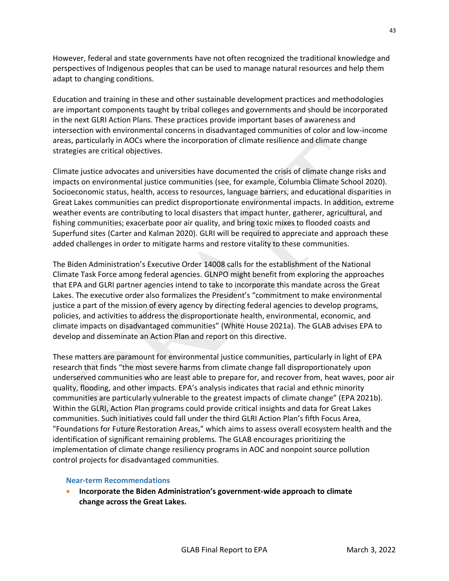However, federal and state governments have not often recognized the traditional knowledge and perspectives of Indigenous peoples that can be used to manage natural resources and help them adapt to changing conditions.

Education and training in these and other sustainable development practices and methodologies are important components taught by tribal colleges and governments and should be incorporated in the next GLRI Action Plans. These practices provide important bases of awareness and intersection with environmental concerns in disadvantaged communities of color and low-income areas, particularly in AOCs where the incorporation of climate resilience and climate change strategies are critical objectives.

Climate justice advocates and universities have documented the crisis of climate change risks and impacts on environmental justice communities (see, for example, Columbia Climate School 2020). Socioeconomic status, health, access to resources, language barriers, and educational disparities in Great Lakes communities can predict disproportionate environmental impacts. In addition, extreme weather events are contributing to local disasters that impact hunter, gatherer, agricultural, and fishing communities; exacerbate poor air quality, and bring toxic mixes to flooded coasts and Superfund sites (Carter and Kalman 2020). GLRI will be required to appreciate and approach these added challenges in order to mitigate harms and restore vitality to these communities.

The Biden Administration's Executive Order 14008 calls for the establishment of the National Climate Task Force among federal agencies. GLNPO might benefit from exploring the approaches that EPA and GLRI partner agencies intend to take to incorporate this mandate across the Great Lakes. The executive order also formalizes the President's "commitment to make environmental justice a part of the mission of every agency by directing federal agencies to develop programs, policies, and activities to address the disproportionate health, environmental, economic, and climate impacts on disadvantaged communities" (White House 2021a). The GLAB advises EPA to develop and disseminate an Action Plan and report on this directive.

These matters are paramount for environmental justice communities, particularly in light of EPA research that finds "the most severe harms from climate change fall disproportionately upon underserved communities who are least able to prepare for, and recover from, heat waves, poor air quality, flooding, and other impacts. EPA's analysis indicates that racial and ethnic minority communities are particularly vulnerable to the greatest impacts of climate change" (EPA 2021b). Within the GLRI, Action Plan programs could provide critical insights and data for Great Lakes communities. Such initiatives could fall under the third GLRI Action Plan's fifth Focus Area, "Foundations for Future Restoration Areas," which aims to assess overall ecosystem health and the identification of significant remaining problems. The GLAB encourages prioritizing the implementation of climate change resiliency programs in AOC and nonpoint source pollution control projects for disadvantaged communities.

### **Near-term Recommendations**

• **Incorporate the Biden Administration's government-wide approach to climate change across the Great Lakes.**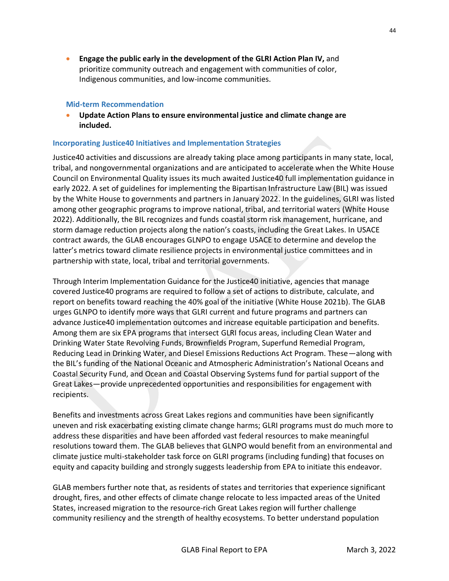• **Engage the public early in the development of the GLRI Action Plan IV,** and prioritize community outreach and engagement with communities of color, Indigenous communities, and low-income communities.

### **Mid-term Recommendation**

• **Update Action Plans to ensure environmental justice and climate change are included.**

## **Incorporating Justice40 Initiatives and Implementation Strategies**

Justice40 activities and discussions are already taking place among participants in many state, local, tribal, and nongovernmental organizations and are anticipated to accelerate when the White House Council on Environmental Quality issues its much awaited Justice40 full implementation guidance in early 2022. A set of guidelines for implementing the Bipartisan Infrastructure Law (BIL) was issued by the White House to governments and partners in January 2022. In the guidelines, GLRI was listed among other geographic programs to improve national, tribal, and territorial waters (White House 2022). Additionally, the BIL recognizes and funds coastal storm risk management, hurricane, and storm damage reduction projects along the nation's coasts, including the Great Lakes. In USACE contract awards, the GLAB encourages GLNPO to engage USACE to determine and develop the latter's metrics toward climate resilience projects in environmental justice committees and in partnership with state, local, tribal and territorial governments.

Through Interim Implementation Guidance for the Justice40 initiative, agencies that manage covered Justice40 programs are required to follow a set of actions to distribute, calculate, and report on benefits toward reaching the 40% goal of the initiative (White House 2021b). The GLAB urges GLNPO to identify more ways that GLRI current and future programs and partners can advance Justice40 implementation outcomes and increase equitable participation and benefits. Among them are six EPA programs that intersect GLRI focus areas, including Clean Water and Drinking Water State Revolving Funds, Brownfields Program, Superfund Remedial Program, Reducing Lead in Drinking Water, and Diesel Emissions Reductions Act Program. These—along with the BIL's funding of the National Oceanic and Atmospheric Administration's National Oceans and Coastal Security Fund, and Ocean and Coastal Observing Systems fund for partial support of the Great Lakes—provide unprecedented opportunities and responsibilities for engagement with recipients.

Benefits and investments across Great Lakes regions and communities have been significantly uneven and risk exacerbating existing climate change harms; GLRI programs must do much more to address these disparities and have been afforded vast federal resources to make meaningful resolutions toward them. The GLAB believes that GLNPO would benefit from an environmental and climate justice multi-stakeholder task force on GLRI programs (including funding) that focuses on equity and capacity building and strongly suggests leadership from EPA to initiate this endeavor.

GLAB members further note that, as residents of states and territories that experience significant drought, fires, and other effects of climate change relocate to less impacted areas of the United States, increased migration to the resource-rich Great Lakes region will further challenge community resiliency and the strength of healthy ecosystems. To better understand population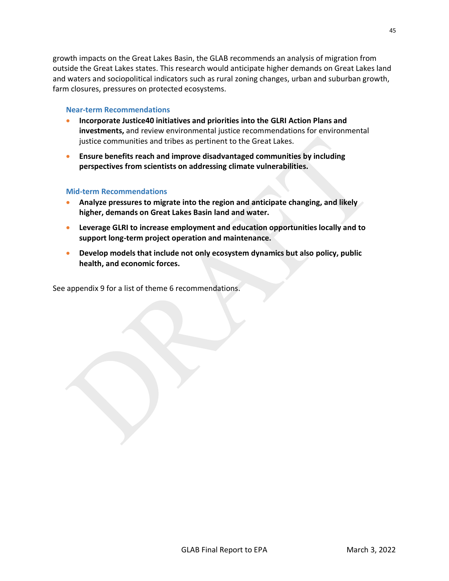growth impacts on the Great Lakes Basin, the GLAB recommends an analysis of migration from outside the Great Lakes states. This research would anticipate higher demands on Great Lakes land and waters and sociopolitical indicators such as rural zoning changes, urban and suburban growth, farm closures, pressures on protected ecosystems.

### **Near-term Recommendations**

- **Incorporate Justice40 initiatives and priorities into the GLRI Action Plans and investments,** and review environmental justice recommendations for environmental justice communities and tribes as pertinent to the Great Lakes.
- **Ensure benefits reach and improve disadvantaged communities by including perspectives from scientists on addressing climate vulnerabilities.**

## **Mid-term Recommendations**

- **Analyze pressures to migrate into the region and anticipate changing, and likely higher, demands on Great Lakes Basin land and water.**
- **Leverage GLRI to increase employment and education opportunities locally and to support long-term project operation and maintenance.**
- **Develop models that include not only ecosystem dynamics but also policy, public health, and economic forces.**

See appendix 9 for a list of theme 6 recommendations.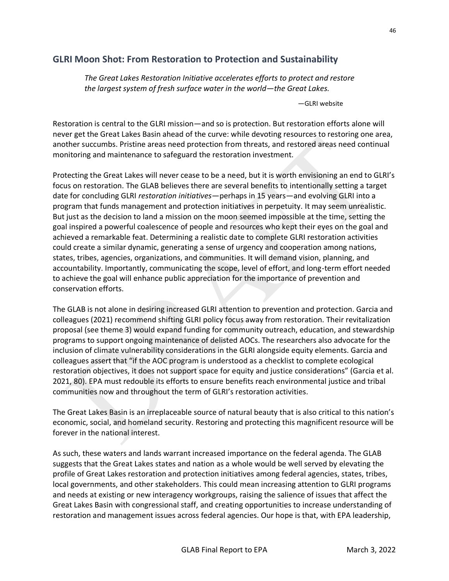# **GLRI Moon Shot: From Restoration to Protection and Sustainability**

*The Great Lakes Restoration Initiative accelerates efforts to protect and restore the largest system of fresh surface water in the world—the Great Lakes.*

—GLRI website

Restoration is central to the GLRI mission—and so is protection. But restoration efforts alone will never get the Great Lakes Basin ahead of the curve: while devoting resources to restoring one area, another succumbs. Pristine areas need protection from threats, and restored areas need continual monitoring and maintenance to safeguard the restoration investment.

Protecting the Great Lakes will never cease to be a need, but it is worth envisioning an end to GLRI's focus on restoration. The GLAB believes there are several benefits to intentionally setting a target date for concluding GLRI *restoration initiatives*—perhaps in 15 years—and evolving GLRI into a program that funds management and protection initiatives in perpetuity. It may seem unrealistic. But just as the decision to land a mission on the moon seemed impossible at the time, setting the goal inspired a powerful coalescence of people and resources who kept their eyes on the goal and achieved a remarkable feat. Determining a realistic date to complete GLRI restoration activities could create a similar dynamic, generating a sense of urgency and cooperation among nations, states, tribes, agencies, organizations, and communities. It will demand vision, planning, and accountability. Importantly, communicating the scope, level of effort, and long-term effort needed to achieve the goal will enhance public appreciation for the importance of prevention and conservation efforts.

The GLAB is not alone in desiring increased GLRI attention to prevention and protection. Garcia and colleagues (2021) recommend shifting GLRI policy focus away from restoration. Their revitalization proposal (see theme 3) would expand funding for community outreach, education, and stewardship programs to support ongoing maintenance of delisted AOCs. The researchers also advocate for the inclusion of climate vulnerability considerations in the GLRI alongside equity elements. Garcia and colleagues assert that "if the AOC program is understood as a checklist to complete ecological restoration objectives, it does not support space for equity and justice considerations" (Garcia et al. 2021, 80). EPA must redouble its efforts to ensure benefits reach environmental justice and tribal communities now and throughout the term of GLRI's restoration activities.

The Great Lakes Basin is an irreplaceable source of natural beauty that is also critical to this nation's economic, social, and homeland security. Restoring and protecting this magnificent resource will be forever in the national interest.

As such, these waters and lands warrant increased importance on the federal agenda. The GLAB suggests that the Great Lakes states and nation as a whole would be well served by elevating the profile of Great Lakes restoration and protection initiatives among federal agencies, states, tribes, local governments, and other stakeholders. This could mean increasing attention to GLRI programs and needs at existing or new interagency workgroups, raising the salience of issues that affect the Great Lakes Basin with congressional staff, and creating opportunities to increase understanding of restoration and management issues across federal agencies. Our hope is that, with EPA leadership,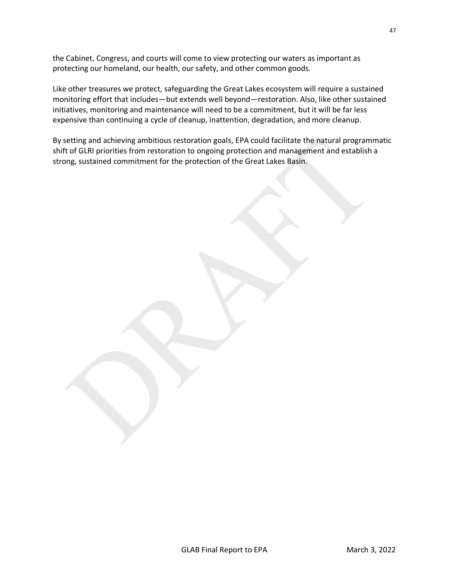the Cabinet, Congress, and courts will come to view protecting our waters as important as protecting our homeland, our health, our safety, and other common goods.

Like other treasures we protect, safeguarding the Great Lakes ecosystem will require a sustained monitoring effort that includes—but extends well beyond—restoration. Also, like other sustained initiatives, monitoring and maintenance will need to be a commitment, but it will be far less expensive than continuing a cycle of cleanup, inattention, degradation, and more cleanup.

By setting and achieving ambitious restoration goals, EPA could facilitate the natural programmatic shift of GLRI priorities from restoration to ongoing protection and management and establish a strong, sustained commitment for the protection of the Great Lakes Basin.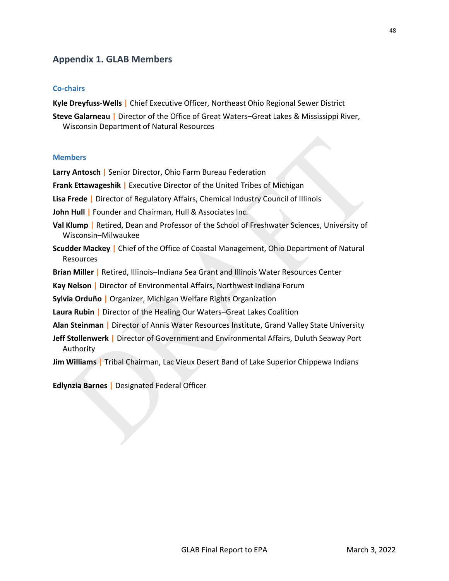# **Appendix 1. GLAB Members**

## **Co-chairs**

**Kyle Dreyfuss-Wells |** Chief Executive Officer, Northeast Ohio Regional Sewer District

**Steve Galarneau |** Director of the Office of Great Waters–Great Lakes & Mississippi River, Wisconsin Department of Natural Resources

### **Members**

**Larry Antosch |** Senior Director, Ohio Farm Bureau Federation

**Frank Ettawageshik |** Executive Director of the United Tribes of Michigan

**Lisa Frede |** Director of Regulatory Affairs, Chemical Industry Council of Illinois

**John Hull |** Founder and Chairman, Hull & Associates Inc.

**Val Klump |** Retired, Dean and Professor of the School of Freshwater Sciences, University of Wisconsin–Milwaukee

- **Scudder Mackey |** Chief of the Office of Coastal Management, Ohio Department of Natural Resources
- **Brian Miller |** Retired, Illinois–Indiana Sea Grant and Illinois Water Resources Center

**Kay Nelson |** Director of Environmental Affairs, Northwest Indiana Forum

**Sylvia Orduño |** Organizer, Michigan Welfare Rights Organization

- **Laura Rubin |** Director of the Healing Our Waters–Great Lakes Coalition
- **Alan Steinman |** Director of Annis Water Resources Institute, Grand Valley State University
- **Jeff Stollenwerk |** Director of Government and Environmental Affairs, Duluth Seaway Port Authority
- **Jim Williams |** Tribal Chairman, Lac Vieux Desert Band of Lake Superior Chippewa Indians

**Edlynzia Barnes |** Designated Federal Officer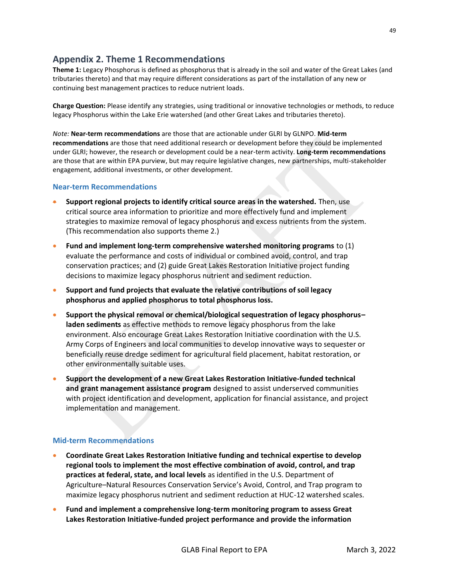# **Appendix 2. Theme 1 Recommendations**

**Theme 1:** Legacy Phosphorus is defined as phosphorus that is already in the soil and water of the Great Lakes (and tributaries thereto) and that may require different considerations as part of the installation of any new or continuing best management practices to reduce nutrient loads.

**Charge Question:** Please identify any strategies, using traditional or innovative technologies or methods, to reduce legacy Phosphorus within the Lake Erie watershed (and other Great Lakes and tributaries thereto).

*Note:* **Near-term recommendations** are those that are actionable under GLRI by GLNPO. **Mid-term recommendations** are those that need additional research or development before they could be implemented under GLRI; however, the research or development could be a near-term activity. **Long-term recommendations** are those that are within EPA purview, but may require legislative changes, new partnerships, multi-stakeholder engagement, additional investments, or other development.

### **Near-term Recommendations**

- **Support regional projects to identify critical source areas in the watershed.** Then, use critical source area information to prioritize and more effectively fund and implement strategies to maximize removal of legacy phosphorus and excess nutrients from the system. (This recommendation also supports theme 2.)
- **Fund and implement long-term comprehensive watershed monitoring programs** to (1) evaluate the performance and costs of individual or combined avoid, control, and trap conservation practices; and (2) guide Great Lakes Restoration Initiative project funding decisions to maximize legacy phosphorus nutrient and sediment reduction.
- **Support and fund projects that evaluate the relative contributions of soil legacy phosphorus and applied phosphorus to total phosphorus loss.**
- **Support the physical removal or chemical/biological sequestration of legacy phosphorus– laden sediments** as effective methods to remove legacy phosphorus from the lake environment. Also encourage Great Lakes Restoration Initiative coordination with the U.S. Army Corps of Engineers and local communities to develop innovative ways to sequester or beneficially reuse dredge sediment for agricultural field placement, habitat restoration, or other environmentally suitable uses.
- **Support the development of a new Great Lakes Restoration Initiative-funded technical and grant management assistance program** designed to assist underserved communities with project identification and development, application for financial assistance, and project implementation and management.

### **Mid-term Recommendations**

- **Coordinate Great Lakes Restoration Initiative funding and technical expertise to develop regional tools to implement the most effective combination of avoid, control, and trap practices at federal, state, and local levels** as identified in the U.S. Department of Agriculture–Natural Resources Conservation Service's Avoid, Control, and Trap program to maximize legacy phosphorus nutrient and sediment reduction at HUC-12 watershed scales.
- **Fund and implement a comprehensive long-term monitoring program to assess Great Lakes Restoration Initiative-funded project performance and provide the information**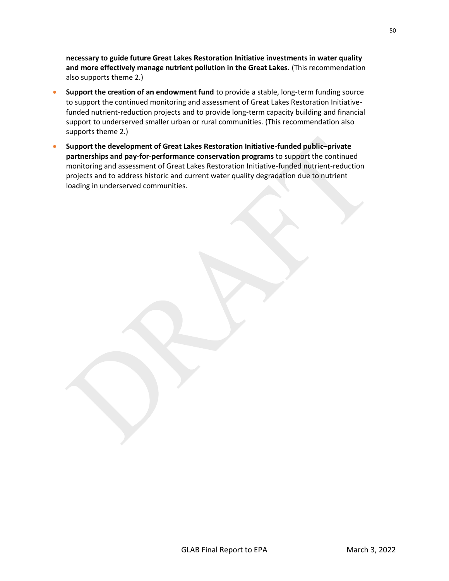**necessary to guide future Great Lakes Restoration Initiative investments in water quality and more effectively manage nutrient pollution in the Great Lakes.** (This recommendation also supports theme 2.)

- **Support the creation of an endowment fund** to provide a stable, long-term funding source to support the continued monitoring and assessment of Great Lakes Restoration Initiativefunded nutrient-reduction projects and to provide long-term capacity building and financial support to underserved smaller urban or rural communities. (This recommendation also supports theme 2.)
- **Support the development of Great Lakes Restoration Initiative-funded public–private partnerships and pay-for-performance conservation programs** to support the continued monitoring and assessment of Great Lakes Restoration Initiative-funded nutrient-reduction projects and to address historic and current water quality degradation due to nutrient loading in underserved communities.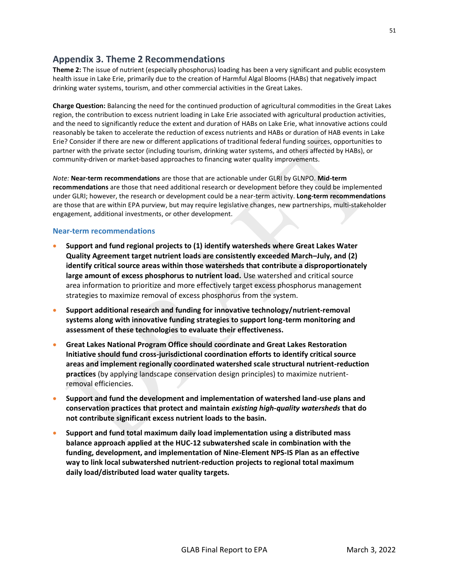# **Appendix 3. Theme 2 Recommendations**

**Theme 2:** The issue of nutrient (especially phosphorus) loading has been a very significant and public ecosystem health issue in Lake Erie, primarily due to the creation of Harmful Algal Blooms (HABs) that negatively impact drinking water systems, tourism, and other commercial activities in the Great Lakes.

**Charge Question:** Balancing the need for the continued production of agricultural commodities in the Great Lakes region, the contribution to excess nutrient loading in Lake Erie associated with agricultural production activities, and the need to significantly reduce the extent and duration of HABs on Lake Erie, what innovative actions could reasonably be taken to accelerate the reduction of excess nutrients and HABs or duration of HAB events in Lake Erie? Consider if there are new or different applications of traditional federal funding sources, opportunities to partner with the private sector (including tourism, drinking water systems, and others affected by HABs), or community-driven or market-based approaches to financing water quality improvements.

*Note:* **Near-term recommendations** are those that are actionable under GLRI by GLNPO. **Mid-term recommendations** are those that need additional research or development before they could be implemented under GLRI; however, the research or development could be a near-term activity. **Long-term recommendations** are those that are within EPA purview, but may require legislative changes, new partnerships, multi-stakeholder engagement, additional investments, or other development.

### **Near-term recommendations**

- **Support and fund regional projects to (1) identify watersheds where Great Lakes Water Quality Agreement target nutrient loads are consistently exceeded March–July, and (2) identify critical source areas within those watersheds that contribute a disproportionately large amount of excess phosphorus to nutrient load.** Use watershed and critical source area information to prioritize and more effectively target excess phosphorus management strategies to maximize removal of excess phosphorus from the system.
- **Support additional research and funding for innovative technology/nutrient-removal systems along with innovative funding strategies to support long-term monitoring and assessment of these technologies to evaluate their effectiveness.**
- **Great Lakes National Program Office should coordinate and Great Lakes Restoration Initiative should fund cross-jurisdictional coordination efforts to identify critical source areas and implement regionally coordinated watershed scale structural nutrient-reduction practices** (by applying landscape conservation design principles) to maximize nutrientremoval efficiencies.
- **Support and fund the development and implementation of watershed land-use plans and conservation practices that protect and maintain** *existing high-quality watersheds* **that do not contribute significant excess nutrient loads to the basin.**
- **Support and fund total maximum daily load implementation using a distributed mass balance approach applied at the HUC-12 subwatershed scale in combination with the funding, development, and implementation of Nine-Element NPS-IS Plan as an effective way to link local subwatershed nutrient-reduction projects to regional total maximum daily load/distributed load water quality targets.**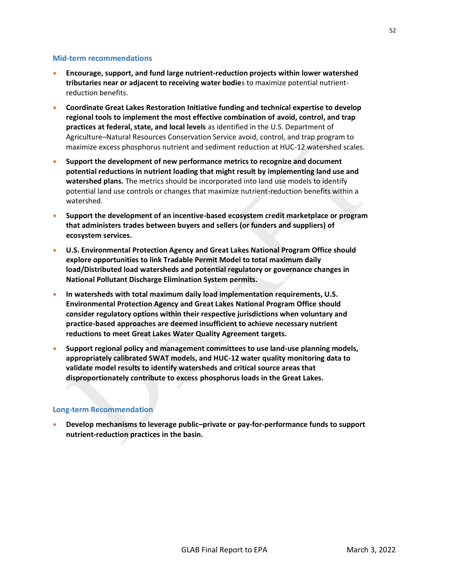#### **Mid-term recommendations**

- **Encourage, support, and fund large nutrient-reduction projects within lower watershed tributaries near or adjacent to receiving water bodie**s to maximize potential nutrientreduction benefits.
- **Coordinate Great Lakes Restoration Initiative funding and technical expertise to develop regional tools to implement the most effective combination of avoid, control, and trap practices at federal, state, and local levels** as identified in the U.S. Department of Agriculture–Natural Resources Conservation Service avoid, control, and trap program to maximize excess phosphorus nutrient and sediment reduction at HUC-12 watershed scales.
- **Support the development of new performance metrics to recognize and document potential reductions in nutrient loading that might result by implementing land use and watershed plans.** The metrics should be incorporated into land use models to identify potential land use controls or changes that maximize nutrient-reduction benefits within a watershed.
- **Support the development of an incentive-based ecosystem credit marketplace or program that administers trades between buyers and sellers (or funders and suppliers) of ecosystem services.**
- **U.S. Environmental Protection Agency and Great Lakes National Program Office should explore opportunities to link Tradable Permit Model to total maximum daily load/Distributed load watersheds and potential regulatory or governance changes in National Pollutant Discharge Elimination System permits.**
- **In watersheds with total maximum daily load implementation requirements, U.S. Environmental Protection Agency and Great Lakes National Program Office should consider regulatory options within their respective jurisdictions when voluntary and practice-based approaches are deemed insufficient to achieve necessary nutrient reductions to meet Great Lakes Water Quality Agreement targets.**
- **Support regional policy and management committees to use land-use planning models, appropriately calibrated SWAT models, and HUC-12 water quality monitoring data to validate model results to identify watersheds and critical source areas that disproportionately contribute to excess phosphorus loads in the Great Lakes.**

### **Long-term Recommendation**

• **Develop mechanisms to leverage public–private or pay-for-performance funds to support nutrient-reduction practices in the basin.**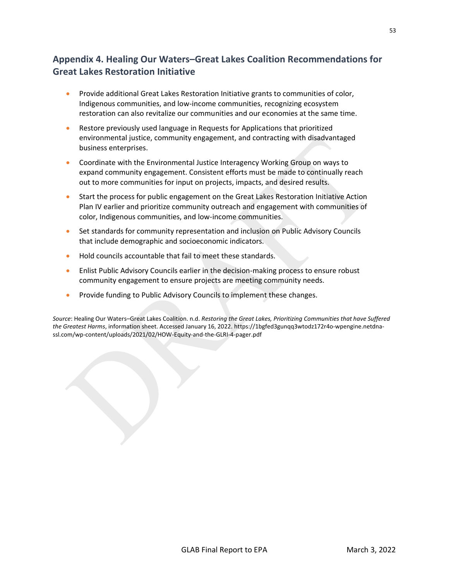# **Appendix 4. Healing Our Waters–Great Lakes Coalition Recommendations for Great Lakes Restoration Initiative**

- Provide additional Great Lakes Restoration Initiative grants to communities of color, Indigenous communities, and low-income communities, recognizing ecosystem restoration can also revitalize our communities and our economies at the same time.
- Restore previously used language in Requests for Applications that prioritized environmental justice, community engagement, and contracting with disadvantaged business enterprises.
- Coordinate with the Environmental Justice Interagency Working Group on ways to expand community engagement. Consistent efforts must be made to continually reach out to more communities for input on projects, impacts, and desired results.
- Start the process for public engagement on the Great Lakes Restoration Initiative Action Plan IV earlier and prioritize community outreach and engagement with communities of color, Indigenous communities, and low-income communities.
- Set standards for community representation and inclusion on Public Advisory Councils that include demographic and socioeconomic indicators.
- Hold councils accountable that fail to meet these standards.
- Enlist Public Advisory Councils earlier in the decision-making process to ensure robust community engagement to ensure projects are meeting community needs.
- Provide funding to Public Advisory Councils to implement these changes.

*Source*: Healing Our Waters–Great Lakes Coalition. n.d. *Restoring the Great Lakes, Prioritizing Communities that have Suffered the Greatest Harms*, information sheet. Accessed January 16, 2022[. https://1bgfed3gunqq3wtodz172r4o-wpengine.netdna](https://1bgfed3gunqq3wtodz172r4o-wpengine.netdna-ssl.com/wp-content/uploads/2021/02/HOW-Equity-and-the-GLRI-4-pager.pdf)[ssl.com/wp-content/uploads/2021/02/HOW-Equity-and-the-GLRI-4-pager.pdf](https://1bgfed3gunqq3wtodz172r4o-wpengine.netdna-ssl.com/wp-content/uploads/2021/02/HOW-Equity-and-the-GLRI-4-pager.pdf)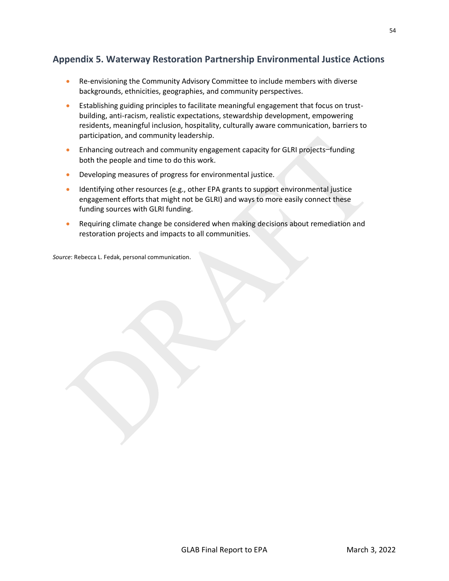# **Appendix 5. Waterway Restoration Partnership Environmental Justice Actions**

- Re-envisioning the Community Advisory Committee to include members with diverse backgrounds, ethnicities, geographies, and community perspectives.
- Establishing guiding principles to facilitate meaningful engagement that focus on trustbuilding, anti-racism, realistic expectations, stewardship development, empowering residents, meaningful inclusion, hospitality, culturally aware communication, barriers to participation, and community leadership.
- Enhancing outreach and community engagement capacity for GLRI projects-funding both the people and time to do this work.
- Developing measures of progress for environmental justice.
- Identifying other resources (e.g., other EPA grants to support environmental justice engagement efforts that might not be GLRI) and ways to more easily connect these funding sources with GLRI funding.
- Requiring climate change be considered when making decisions about remediation and restoration projects and impacts to all communities.

*Source*: Rebecca L. Fedak, personal communication.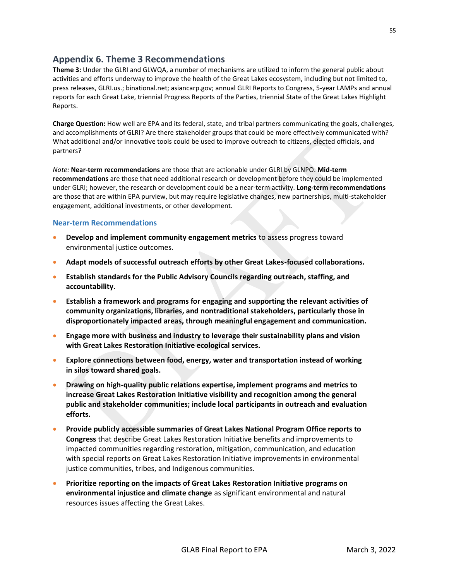## **Appendix 6. Theme 3 Recommendations**

**Theme 3:** Under the GLRI and GLWQA, a number of mechanisms are utilized to inform the general public about activities and efforts underway to improve the health of the Great Lakes ecosystem, including but not limited to, press releases, GLRI.us.; binational.net; asiancarp.gov; annual GLRI Reports to Congress, 5-year LAMPs and annual reports for each Great Lake, triennial Progress Reports of the Parties, triennial State of the Great Lakes Highlight Reports.

**Charge Question:** How well are EPA and its federal, state, and tribal partners communicating the goals, challenges, and accomplishments of GLRI? Are there stakeholder groups that could be more effectively communicated with? What additional and/or innovative tools could be used to improve outreach to citizens, elected officials, and partners?

*Note:* **Near-term recommendations** are those that are actionable under GLRI by GLNPO. **Mid-term recommendations** are those that need additional research or development before they could be implemented under GLRI; however, the research or development could be a near-term activity. **Long-term recommendations** are those that are within EPA purview, but may require legislative changes, new partnerships, multi-stakeholder engagement, additional investments, or other development.

## **Near-term Recommendations**

- **Develop and implement community engagement metrics** to assess progress toward environmental justice outcomes.
- **Adapt models of successful outreach efforts by other Great Lakes-focused collaborations.**
- **Establish standards for the Public Advisory Councils regarding outreach, staffing, and accountability.**
- **Establish a framework and programs for engaging and supporting the relevant activities of community organizations, libraries, and nontraditional stakeholders, particularly those in disproportionately impacted areas, through meaningful engagement and communication.**
- **Engage more with business and industry to leverage their sustainability plans and vision with Great Lakes Restoration Initiative ecological services.**
- **Explore connections between food, energy, water and transportation instead of working in silos toward shared goals.**
- **Drawing on high-quality public relations expertise, implement programs and metrics to increase Great Lakes Restoration Initiative visibility and recognition among the general public and stakeholder communities; include local participants in outreach and evaluation efforts.**
- **Provide publicly accessible summaries of Great Lakes National Program Office reports to Congress** that describe Great Lakes Restoration Initiative benefits and improvements to impacted communities regarding restoration, mitigation, communication, and education with special reports on Great Lakes Restoration Initiative improvements in environmental justice communities, tribes, and Indigenous communities.
- **Prioritize reporting on the impacts of Great Lakes Restoration Initiative programs on environmental injustice and climate change** as significant environmental and natural resources issues affecting the Great Lakes.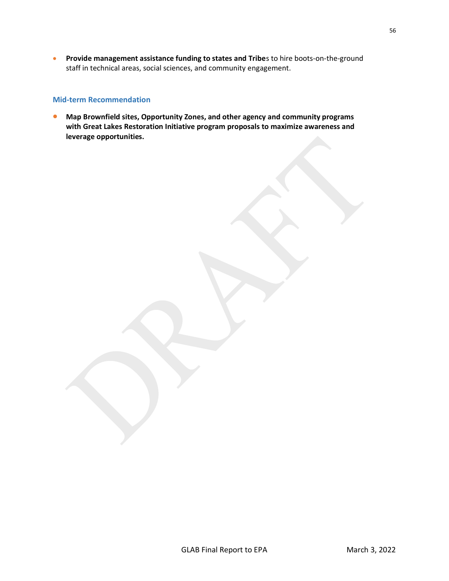• **Provide management assistance funding to states and Tribe**s to hire boots-on-the-ground staff in technical areas, social sciences, and community engagement.

### **Mid-term Recommendation**

• **Map Brownfield sites, Opportunity Zones, and other agency and community programs with Great Lakes Restoration Initiative program proposals to maximize awareness and leverage opportunities.**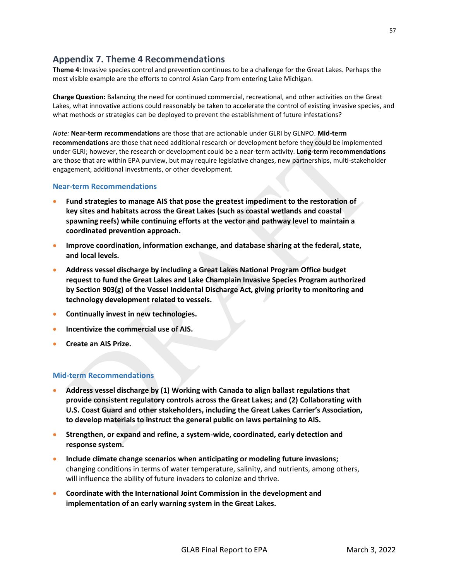# **Appendix 7. Theme 4 Recommendations**

**Theme 4:** Invasive species control and prevention continues to be a challenge for the Great Lakes. Perhaps the most visible example are the efforts to control Asian Carp from entering Lake Michigan.

**Charge Question:** Balancing the need for continued commercial, recreational, and other activities on the Great Lakes, what innovative actions could reasonably be taken to accelerate the control of existing invasive species, and what methods or strategies can be deployed to prevent the establishment of future infestations?

*Note:* **Near-term recommendations** are those that are actionable under GLRI by GLNPO. **Mid-term recommendations** are those that need additional research or development before they could be implemented under GLRI; however, the research or development could be a near-term activity. **Long-term recommendations** are those that are within EPA purview, but may require legislative changes, new partnerships, multi-stakeholder engagement, additional investments, or other development.

### **Near-term Recommendations**

- **Fund strategies to manage AIS that pose the greatest impediment to the restoration of key sites and habitats across the Great Lakes (such as coastal wetlands and coastal spawning reefs) while continuing efforts at the vector and pathway level to maintain a coordinated prevention approach.**
- **Improve coordination, information exchange, and database sharing at the federal, state, and local levels.**
- **Address vessel discharge by including a Great Lakes National Program Office budget request to fund the Great Lakes and Lake Champlain Invasive Species Program authorized by Section 903(g) of the Vessel Incidental Discharge Act, giving priority to monitoring and technology development related to vessels.**
- **Continually invest in new technologies.**
- **Incentivize the commercial use of AIS.**
- **Create an AIS Prize.**

## **Mid-term Recommendations**

- **Address vessel discharge by (1) Working with Canada to align ballast regulations that provide consistent regulatory controls across the Great Lakes; and (2) Collaborating with U.S. Coast Guard and other stakeholders, including the Great Lakes Carrier's Association, to develop materials to instruct the general public on laws pertaining to AIS.**
- **Strengthen, or expand and refine, a system-wide, coordinated, early detection and response system.**
- **Include climate change scenarios when anticipating or modeling future invasions;** changing conditions in terms of water temperature, salinity, and nutrients, among others, will influence the ability of future invaders to colonize and thrive.
- **Coordinate with the International Joint Commission in the development and implementation of an early warning system in the Great Lakes.**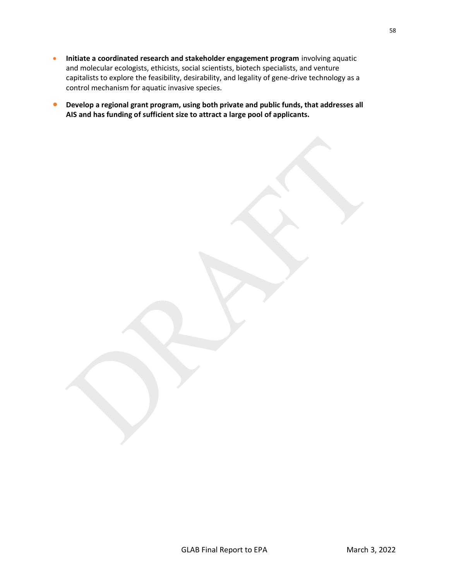- **Initiate a coordinated research and stakeholder engagement program** involving aquatic and molecular ecologists, ethicists, social scientists, biotech specialists, and venture capitalists to explore the feasibility, desirability, and legality of gene-drive technology as a control mechanism for aquatic invasive species.
- **Develop a regional grant program, using both private and public funds, that addresses all AIS and has funding of sufficient size to attract a large pool of applicants.**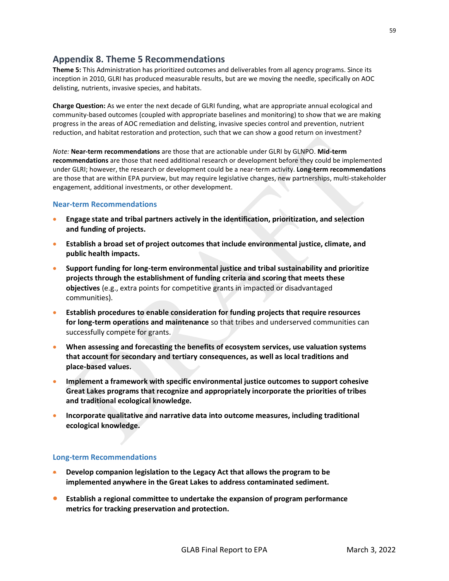# **Appendix 8. Theme 5 Recommendations**

**Theme 5:** This Administration has prioritized outcomes and deliverables from all agency programs. Since its inception in 2010, GLRI has produced measurable results, but are we moving the needle, specifically on AOC delisting, nutrients, invasive species, and habitats.

**Charge Question:** As we enter the next decade of GLRI funding, what are appropriate annual ecological and community-based outcomes (coupled with appropriate baselines and monitoring) to show that we are making progress in the areas of AOC remediation and delisting, invasive species control and prevention, nutrient reduction, and habitat restoration and protection, such that we can show a good return on investment?

*Note:* **Near-term recommendations** are those that are actionable under GLRI by GLNPO. **Mid-term recommendations** are those that need additional research or development before they could be implemented under GLRI; however, the research or development could be a near-term activity. **Long-term recommendations** are those that are within EPA purview, but may require legislative changes, new partnerships, multi-stakeholder engagement, additional investments, or other development.

## **Near-term Recommendations**

- **Engage state and tribal partners actively in the identification, prioritization, and selection and funding of projects.**
- **Establish a broad set of project outcomes that include environmental justice, climate, and public health impacts.**
- **Support funding for long-term environmental justice and tribal sustainability and prioritize projects through the establishment of funding criteria and scoring that meets these objectives** (e.g., extra points for competitive grants in impacted or disadvantaged communities).
- **Establish procedures to enable consideration for funding projects that require resources for long-term operations and maintenance** so that tribes and underserved communities can successfully compete for grants.
- **When assessing and forecasting the benefits of ecosystem services, use valuation systems that account for secondary and tertiary consequences, as well as local traditions and place-based values.**
- **Implement a framework with specific environmental justice outcomes to support cohesive Great Lakes programs that recognize and appropriately incorporate the priorities of tribes and traditional ecological knowledge.**
- **Incorporate qualitative and narrative data into outcome measures, including traditional ecological knowledge.**

## **Long-term Recommendations**

- **Develop companion legislation to the Legacy Act that allows the program to be implemented anywhere in the Great Lakes to address contaminated sediment.**
- **Establish a regional committee to undertake the expansion of program performance metrics for tracking preservation and protection.**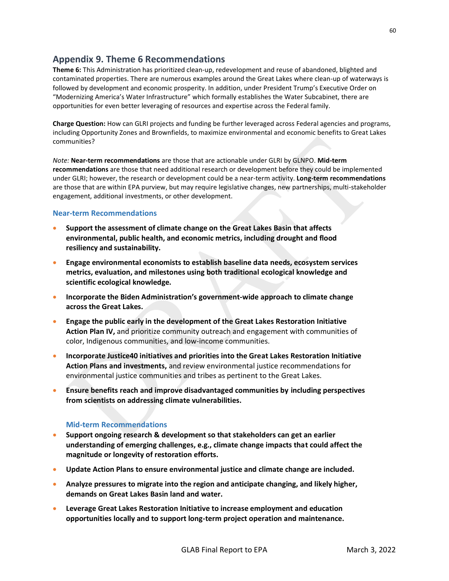## **Appendix 9. Theme 6 Recommendations**

**Theme 6:** This Administration has prioritized clean-up, redevelopment and reuse of abandoned, blighted and contaminated properties. There are numerous examples around the Great Lakes where clean-up of waterways is followed by development and economic prosperity. In addition, under President Trump's Executive Order on "Modernizing America's Water Infrastructure" which formally establishes the Water Subcabinet, there are opportunities for even better leveraging of resources and expertise across the Federal family.

**Charge Question:** How can GLRI projects and funding be further leveraged across Federal agencies and programs, including Opportunity Zones and Brownfields, to maximize environmental and economic benefits to Great Lakes communities?

*Note:* **Near-term recommendations** are those that are actionable under GLRI by GLNPO. **Mid-term recommendations** are those that need additional research or development before they could be implemented under GLRI; however, the research or development could be a near-term activity. **Long-term recommendations** are those that are within EPA purview, but may require legislative changes, new partnerships, multi-stakeholder engagement, additional investments, or other development.

## **Near-term Recommendations**

- **Support the assessment of climate change on the Great Lakes Basin that affects environmental, public health, and economic metrics, including drought and flood resiliency and sustainability.**
- **Engage environmental economists to establish baseline data needs, ecosystem services metrics, evaluation, and milestones using both traditional ecological knowledge and scientific ecological knowledge.**
- **Incorporate the Biden Administration's government-wide approach to climate change across the Great Lakes.**
- **Engage the public early in the development of the Great Lakes Restoration Initiative Action Plan IV,** and prioritize community outreach and engagement with communities of color, Indigenous communities, and low-income communities.
- **Incorporate Justice40 initiatives and priorities into the Great Lakes Restoration Initiative Action Plans and investments,** and review environmental justice recommendations for environmental justice communities and tribes as pertinent to the Great Lakes.
- **Ensure benefits reach and improve disadvantaged communities by including perspectives from scientists on addressing climate vulnerabilities.**

### **Mid-term Recommendations**

- **Support ongoing research & development so that stakeholders can get an earlier understanding of emerging challenges, e.g., climate change impacts that could affect the magnitude or longevity of restoration efforts.**
- **Update Action Plans to ensure environmental justice and climate change are included.**
- **Analyze pressures to migrate into the region and anticipate changing, and likely higher, demands on Great Lakes Basin land and water.**
- **Leverage Great Lakes Restoration Initiative to increase employment and education opportunities locally and to support long-term project operation and maintenance.**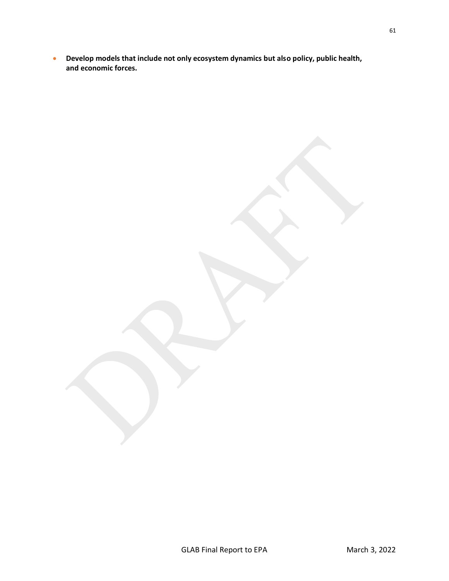• **Develop models that include not only ecosystem dynamics but also policy, public health, and economic forces.**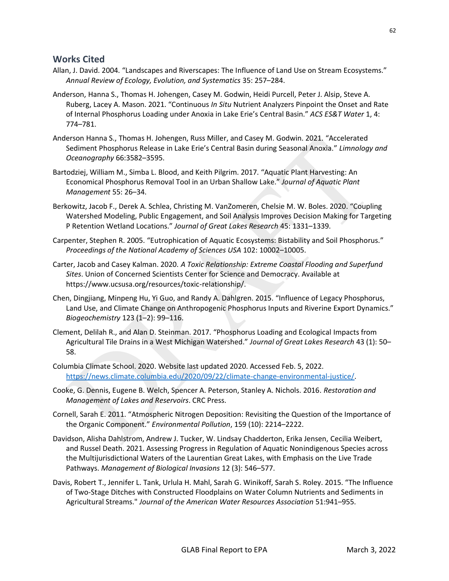## **Works Cited**

- Allan, J. David. 2004. "Landscapes and Riverscapes: The Influence of Land Use on Stream Ecosystems." *Annual Review of Ecology, Evolution, and Systematics* 35: 257–284.
- Anderson, Hanna S., Thomas H. Johengen, Casey M. Godwin, Heidi Purcell, Peter J. Alsip, Steve A. Ruberg, Lacey A. Mason. 2021. "Continuous *In Situ* Nutrient Analyzers Pinpoint the Onset and Rate of Internal Phosphorus Loading under Anoxia in Lake Erie's Central Basin." *ACS ES&T Water* 1, 4: 774–781.
- Anderson Hanna S., Thomas H. Johengen, Russ Miller, and Casey M. Godwin. 2021. "Accelerated Sediment Phosphorus Release in Lake Erie's Central Basin during Seasonal Anoxia." *Limnology and Oceanography* 66:3582–3595.
- Bartodziej, William M., Simba L. Blood, and Keith Pilgrim. 2017. "Aquatic Plant Harvesting: An Economical Phosphorus Removal Tool in an Urban Shallow Lake." *Journal of Aquatic Plant Management* 55: 26–34.
- Berkowitz, Jacob F., Derek A. Schlea, Christing M. VanZomeren, Chelsie M. W. Boles. 2020. "Coupling Watershed Modeling, Public Engagement, and Soil Analysis Improves Decision Making for Targeting P Retention Wetland Locations." *Journal of Great Lakes Research* 45: 1331–1339.
- Carpenter, Stephen R. 2005. "Eutrophication of Aquatic Ecosystems: Bistability and Soil Phosphorus." *Proceedings of the National Academy of Sciences USA* 102: 10002–10005.
- Carter, Jacob and Casey Kalman. 2020. *A Toxic Relationship: Extreme Coastal Flooding and Superfund Sites*. Union of Concerned Scientists Center for Science and Democracy. Available at https://www.ucsusa.org/resources/toxic-relationship/.
- Chen, Dingjiang, Minpeng Hu, Yi Guo, and Randy A. Dahlgren. 2015. "Influence of Legacy Phosphorus, Land Use, and Climate Change on Anthropogenic Phosphorus Inputs and Riverine Export Dynamics." *Biogeochemistry* 123 (1–2): 99–116.
- Clement, Delilah R., and Alan D. Steinman. 2017. "Phosphorus Loading and Ecological Impacts from Agricultural Tile Drains in a West Michigan Watershed." *Journal of Great Lakes Research* 43 (1): 50– 58.
- Columbia Climate School. 2020. Website last updated 2020. Accessed Feb. 5, 2022. [https://news.climate.columbia.edu/2020/09/22/climate-change-environmental-justice/.](https://news.climate.columbia.edu/2020/09/22/climate-change-environmental-justice/)
- Cooke, G. Dennis, Eugene B. Welch, Spencer A. Peterson, Stanley A. Nichols. 2016. *Restoration and Management of Lakes and Reservoirs*. CRC Press.
- Cornell, Sarah E. 2011. "Atmospheric Nitrogen Deposition: Revisiting the Question of the Importance of the Organic Component." *Environmental Pollution*, 159 (10): 2214–2222.
- Davidson, Alisha Dahlstrom, Andrew J. Tucker, W. Lindsay Chadderton, Erika Jensen, Cecilia Weibert, and Russel Death. 2021. Assessing Progress in Regulation of Aquatic Nonindigenous Species across the Multijurisdictional Waters of the Laurentian Great Lakes, with Emphasis on the Live Trade Pathways. *Management of Biological Invasions* 12 (3): 546–577.
- Davis, Robert T., Jennifer L. Tank, Urlula H. Mahl, Sarah G. Winikoff, Sarah S. Roley. 2015. "The Influence of Two-Stage Ditches with Constructed Floodplains on Water Column Nutrients and Sediments in Agricultural Streams." *Journal of the American Water Resources Association* 51:941–955.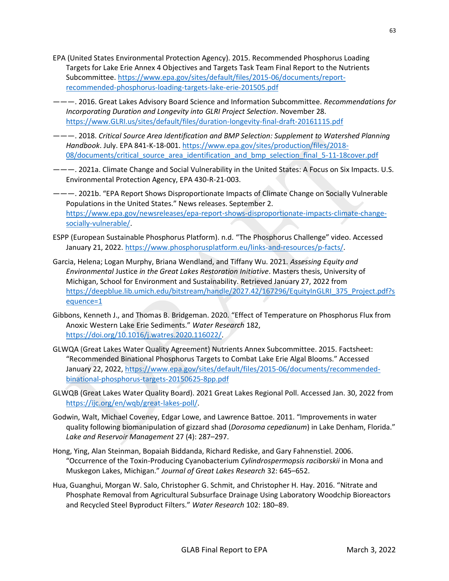- EPA (United States Environmental Protection Agency). 2015. Recommended Phosphorus Loading Targets for Lake Erie Annex 4 Objectives and Targets Task Team Final Report to the Nutrients Subcommittee[. https://www.epa.gov/sites/default/files/2015-06/documents/report](https://www.epa.gov/sites/default/files/2015-06/documents/report-recommended-phosphorus-loading-targets-lake-erie-201505.pdf)[recommended-phosphorus-loading-targets-lake-erie-201505.pdf](https://www.epa.gov/sites/default/files/2015-06/documents/report-recommended-phosphorus-loading-targets-lake-erie-201505.pdf)
- ———. 2016. Great Lakes Advisory Board Science and Information Subcommittee. *Recommendations for Incorporating Duration and Longevity into GLRI Project Selection*. November 28[.](file:///C:/Users/kris/Dropbox/EnDyna/GLAB/Report%20V5/old/%20https:/www.glri.us/sites/default/files/duration-longevity-final-draft-20161115.pdf) [https://www.GLRI.us/sites/default/files/duration-longevity-final-draft-20161115.pdf](file:///C:/Users/kris/Dropbox/EnDyna/GLAB/Report%20V5/old/%20https:/www.glri.us/sites/default/files/duration-longevity-final-draft-20161115.pdf)
- ———. 2018. *Critical Source Area Identification and BMP Selection: Supplement to Watershed Planning Handbook*. July. EPA 841-K-18-001[. https://www.epa.gov/sites/production/files/2018-](https://www.epa.gov/sites/production/files/2018-08/documents/critical_source_area_identification_and_bmp_selection_final_5-11-18cover.pdf) [08/documents/critical\\_source\\_area\\_identification\\_and\\_bmp\\_selection\\_final\\_5-11-18cover.pdf](https://www.epa.gov/sites/production/files/2018-08/documents/critical_source_area_identification_and_bmp_selection_final_5-11-18cover.pdf)
- ———. 2021a. Climate Change and Social Vulnerability in the United States: A Focus on Six Impacts. U.S. Environmental Protection Agency, EPA 430-R-21-003.
- ———. 2021b. "EPA Report Shows Disproportionate Impacts of Climate Change on Socially Vulnerable Populations in the United States." News releases. September 2. [https://www.epa.gov/newsreleases/epa-report-shows-disproportionate-impacts-climate-change](https://www.epa.gov/newsreleases/epa-report-shows-disproportionate-impacts-climate-change-socially-vulnerable/)[socially-vulnerable/.](https://www.epa.gov/newsreleases/epa-report-shows-disproportionate-impacts-climate-change-socially-vulnerable/)
- ESPP (European Sustainable Phosphorus Platform). n.d. "The Phosphorus Challenge" video. Accessed January 21, 2022. [https://www.phosphorusplatform.eu/links-and-resources/p-facts/](https://www.phosphorusplatform.eu/links-and-resources/p-facts).
- Garcia, Helena; Logan Murphy, Briana Wendland, and Tiffany Wu. 2021. *Assessing Equity and Environmental* Justice *in the Great Lakes Restoration Initiative*. Masters thesis, University of Michigan, School for Environment and Sustainability. Retrieved January 27, 2022 from [https://deepblue.lib.umich.edu/bitstream/handle/2027.42/167296/EquityInGLRI\\_375\\_Project.pdf?s](https://deepblue.lib.umich.edu/bitstream/handle/2027.42/167296/EquityInGLRI_375_Project.pdf?sequence=1) [equence=1](https://deepblue.lib.umich.edu/bitstream/handle/2027.42/167296/EquityInGLRI_375_Project.pdf?sequence=1)
- Gibbons, Kenneth J., and Thomas B. Bridgeman. 2020. "Effect of Temperature on Phosphorus Flux from Anoxic Western Lake Erie Sediments." *Water Research* 182, [https://doi.org/10.1016/j.watres.2020.116022/.](https://doi.org/10.1016/j.watres.2020.116022)
- GLWQA (Great Lakes Water Quality Agreement) Nutrients Annex Subcommittee. 2015. Factsheet: "Recommended Binational Phosphorus Targets to Combat Lake Erie Algal Blooms." Accessed January 22, 2022, [https://www.epa.gov/sites/default/files/2015-06/documents/recommended](https://www.epa.gov/sites/default/files/2015-06/documents/recommended-binational-phosphorus-targets-20150625-8pp.pdf)[binational-phosphorus-targets-20150625-8pp.pdf](https://www.epa.gov/sites/default/files/2015-06/documents/recommended-binational-phosphorus-targets-20150625-8pp.pdf)
- GLWQB (Great Lakes Water Quality Board). 2021 Great Lakes Regional Poll. Accessed Jan. 30, 2022 from [https://ijc.org/en/wqb/great-lakes-poll/.](https://ijc.org/en/wqb/great-lakes-poll/)
- Godwin, Walt, Michael Coveney, Edgar Lowe, and Lawrence Battoe. 2011. "Improvements in water quality following biomanipulation of gizzard shad (*Dorosoma cepedianum*) in Lake Denham, Florida." *Lake and Reservoir Management* 27 (4): 287–297.
- Hong, Ying, Alan Steinman, Bopaiah Biddanda, Richard Rediske, and Gary Fahnenstiel. 2006. "Occurrence of the Toxin-Producing Cyanobacterium *Cylindrospermopsis raciborskii* in Mona and Muskegon Lakes, Michigan." *Journal of Great Lakes Research* 32: 645–652.
- Hua, Guanghui, Morgan W. Salo, Christopher G. Schmit, and Christopher H. Hay. 2016. "Nitrate and Phosphate Removal from Agricultural Subsurface Drainage Using Laboratory Woodchip Bioreactors and Recycled Steel Byproduct Filters." *Water Research* 102: 180–89.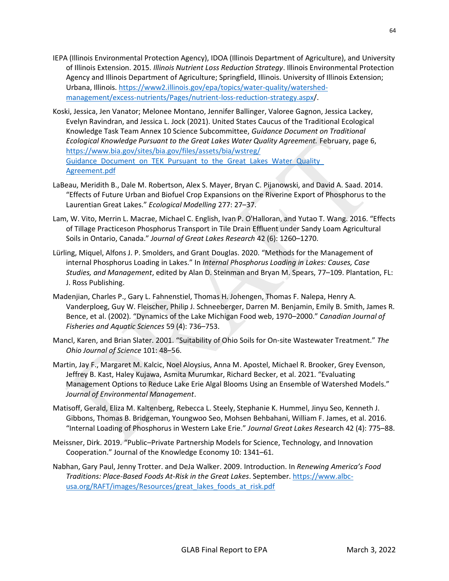- IEPA (Illinois Environmental Protection Agency), IDOA (Illinois Department of Agriculture), and University of Illinois Extension. 2015. *Illinois Nutrient Loss Reduction Strategy*. Illinois Environmental Protection Agency and Illinois Department of Agriculture; Springfield, Illinois. University of Illinois Extension; Urbana, Illinois. [https://www2.illinois.gov/epa/topics/water-quality/watershed](https://www2.illinois.gov/epa/topics/water-quality/watershed-management/excess-nutrients/Pages/nutrient-loss-reduction-strategy.aspx)[management/excess-nutrients/Pages/nutrient-loss-reduction-strategy.aspx/](https://www2.illinois.gov/epa/topics/water-quality/watershed-management/excess-nutrients/Pages/nutrient-loss-reduction-strategy.aspx).
- Koski, Jessica, Jen Vanator; Melonee Montano, Jennifer Ballinger, Valoree Gagnon, Jessica Lackey, Evelyn Ravindran, and Jessica L. Jock (2021). United States Caucus of the Traditional Ecological Knowledge Task Team Annex 10 Science Subcommittee, *Guidance Document on Traditional Ecological Knowledge Pursuant to the Great Lakes Water Quality Agreement.* February, page 6, [https://www.bia.gov/sites/bia.gov/files/assets/bia/wstreg/](https://www.bia.gov/sites/bia.gov/files/assets/bia/wstreg/Guidance_Document_on_TEK_Pursuant_to_the_Great_Lakes_Water_Quality_Agreement.pdf) [Guidance\\_Document\\_on\\_TEK\\_Pursuant\\_to\\_the\\_Great\\_Lakes\\_Water\\_Quality\\_](https://www.bia.gov/sites/bia.gov/files/assets/bia/wstreg/Guidance_Document_on_TEK_Pursuant_to_the_Great_Lakes_Water_Quality_Agreement.pdf) [Agreement.pdf](https://www.bia.gov/sites/bia.gov/files/assets/bia/wstreg/Guidance_Document_on_TEK_Pursuant_to_the_Great_Lakes_Water_Quality_Agreement.pdf)
- LaBeau, Meridith B., Dale M. Robertson, Alex S. Mayer, Bryan C. Pijanowski, and David A. Saad. 2014. "Effects of Future Urban and Biofuel Crop Expansions on the Riverine Export of Phosphorus to the Laurentian Great Lakes." *Ecological Modelling* 277: 27–37.
- Lam, W. Vito, Merrin L. Macrae, Michael C. English, Ivan P. O'Halloran, and Yutao T. Wang. 2016. "Effects of Tillage Practiceson Phosphorus Transport in Tile Drain Effluent under Sandy Loam Agricultural Soils in Ontario, Canada." *Journal of Great Lakes Research* 42 (6): 1260–1270.
- Lürling, Miquel, Alfons J. P. Smolders, and Grant Douglas. 2020. "Methods for the Management of internal Phosphorus Loading in Lakes." In *Internal Phosphorus Loading in Lakes: Causes, Case Studies, and Management*, edited by Alan D. Steinman and Bryan M. Spears, 77–109. Plantation, FL: J. Ross Publishing.
- Madenjian, Charles P., Gary L. Fahnenstiel, Thomas H. Johengen, Thomas F. Nalepa, Henry A. Vanderploeg, Guy W. Fleischer, Philip J. Schneeberger, Darren M. Benjamin, Emily B. Smith, James R. Bence, et al. (2002). "Dynamics of the Lake Michigan Food web, 1970–2000." *Canadian Journal of Fisheries and Aquatic Sciences* 59 (4): 736–753.
- Mancl, Karen, and Brian Slater. 2001. "Suitability of Ohio Soils for On-site Wastewater Treatment." *The Ohio Journal of Science* 101: 48–56.
- Martin, Jay F., Margaret M. Kalcic, Noel Aloysius, Anna M. Apostel, Michael R. Brooker, Grey Evenson, Jeffrey B. Kast, Haley Kujawa, Asmita Murumkar, Richard Becker, et al. 2021. "Evaluating Management Options to Reduce Lake Erie Algal Blooms Using an Ensemble of Watershed Models." *Journal of Environmental Management*.
- Matisoff, Gerald, Eliza M. Kaltenberg, Rebecca L. Steely, Stephanie K. Hummel, Jinyu Seo, Kenneth J. Gibbons, Thomas B. Bridgeman, Youngwoo Seo, Mohsen Behbahani, William F. James, et al. 2016. "Internal Loading of Phosphorus in Western Lake Erie." *Journal Great Lakes Res*earch 42 (4): 775–88.
- Meissner, Dirk. 2019. "Public–Private Partnership Models for Science, Technology, and Innovation Cooperation." Journal of the Knowledge Economy 10: 1341–61.
- Nabhan, Gary Paul, Jenny Trotter. and DeJa Walker. 2009. Introduction. In *Renewing America's Food Traditions: Place-Based Foods At-Risk in the Great Lakes*. September. [https://www.albc](https://www.albc-usa.org/RAFT/images/Resources/great_lakes_foods_at_risk.pdf)[usa.org/RAFT/images/Resources/great\\_lakes\\_foods\\_at\\_risk.pdf](https://www.albc-usa.org/RAFT/images/Resources/great_lakes_foods_at_risk.pdf)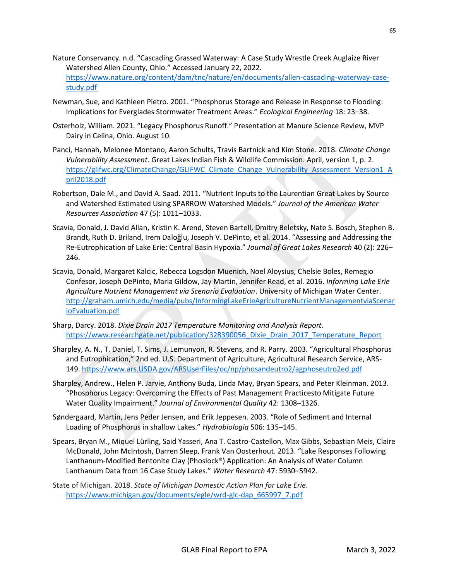- Nature Conservancy. n.d. "Cascading Grassed Waterway: A Case Study Wrestle Creek Auglaize River Watershed Allen County, Ohio." Accessed January 22, 2022. [https://www.nature.org/content/dam/tnc/nature/en/documents/allen-cascading-waterway-case](https://www.nature.org/content/dam/tnc/nature/en/documents/allen-cascading-waterway-case-study.pdf)[study.pdf](https://www.nature.org/content/dam/tnc/nature/en/documents/allen-cascading-waterway-case-study.pdf)
- Newman, Sue, and Kathleen Pietro. 2001. "Phosphorus Storage and Release in Response to Flooding: Implications for Everglades Stormwater Treatment Areas." *Ecological Engineering* 18: 23–38.
- Osterholz, William. 2021. "Legacy Phosphorus Runoff." Presentation at Manure Science Review, MVP Dairy in Celina, Ohio. August 10.
- Panci, Hannah, Melonee Montano, Aaron Schults, Travis Bartnick and Kim Stone. 2018. *Climate Change Vulnerability Assessment*. Great Lakes Indian Fish & Wildlife Commission. April, version 1, p. 2. [https://glifwc.org/ClimateChange/GLIFWC\\_Climate\\_Change\\_Vulnerability\\_Assessment\\_Version1\\_A](https://glifwc.org/ClimateChange/GLIFWC_Climate_Change_Vulnerability_Assessment_Version1_April2018.pdf) [pril2018.pdf](https://glifwc.org/ClimateChange/GLIFWC_Climate_Change_Vulnerability_Assessment_Version1_April2018.pdf)
- Robertson, Dale M., and David A. Saad. 2011. "Nutrient Inputs to the Laurentian Great Lakes by Source and Watershed Estimated Using SPARROW Watershed Models." *Journal of the American Water Resources Association* 47 (5): 1011–1033.
- Scavia, Donald, J. David Allan, Kristin K. Arend, Steven Bartell, Dmitry Beletsky, Nate S. Bosch, Stephen B. Brandt, Ruth D. Briland, Irem Daloğlu, Joseph V. DePinto, et al. 2014. "Assessing and Addressing the Re-Eutrophication of Lake Erie: Central Basin Hypoxia." *Journal of Great Lakes Research* 40 (2): 226– 246.
- Scavia, Donald, Margaret Kalcic, Rebecca Logsdon Muenich, Noel Aloysius, Chelsie Boles, Remegio Confesor, Joseph DePinto, Maria Gildow, Jay Martin, Jennifer Read, et al. 2016. *Informing Lake Erie Agriculture Nutrient Management via Scenario Evaluation*. University of Michigan Water Center. [http://graham.umich.edu/media/pubs/InformingLakeErieAgricultureNutrientManagementviaScenar](http://graham.umich.edu/media/pubs/InformingLakeErieAgricultureNutrientManagementviaScenarioEvaluation.pdf) [ioEvaluation.pdf](http://graham.umich.edu/media/pubs/InformingLakeErieAgricultureNutrientManagementviaScenarioEvaluation.pdf)
- Sharp, Darcy. 2018. *Dixie Drain 2017 Temperature Monitoring and Analysis Report*. [https://www.researchgate.net/publication/328390056\\_Dixie\\_Drain\\_2017\\_Temperature\\_Report](https://www.researchgate.net/publication/328390056_Dixie_Drain_2017_Temperature_Report)
- Sharpley, A. N., T. Daniel, T. Sims, J. Lemunyon, R. Stevens, and R. Parry. 2003. "Agricultural Phosphorus and Eutrophication," 2nd ed. U.S. Department of Agriculture, Agricultural Research Service, ARS-149. [https://www.ars.USDA.gov/ARSUserFiles/oc/np/phosandeutro2/agphoseutro2ed.pdf](https://www.ars.usda.gov/ARSUserFiles/oc/np/phosandeutro2/agphoseutro2ed.pdf)
- Sharpley, Andrew., Helen P. Jarvie, Anthony Buda, Linda May, Bryan Spears, and Peter Kleinman. 2013. "Phosphorus Legacy: Overcoming the Effects of Past Management Practicesto Mitigate Future Water Quality Impairment." *Journal of Environmental Quality* 42: 1308–1326.
- Søndergaard, Martin, Jens Peder Jensen, and Erik Jeppesen. 2003. "Role of Sediment and Internal Loading of Phosphorus in shallow Lakes." *Hydrobiologia* 506: 135–145.
- Spears, Bryan M., Miquel Lürling, Said Yasseri, Ana T. Castro-Castellon, Max Gibbs, Sebastian Meis, Claire McDonald, John McIntosh, Darren Sleep, Frank Van Oosterhout. 2013. "Lake Responses Following Lanthanum-Modified Bentonite Clay (Phoslock®) Application: An Analysis of Water Column Lanthanum Data from 16 Case Study Lakes." *Water Research* 47: 5930–5942.
- State of Michigan. 2018. *State of Michigan Domestic Action Plan for Lake Erie*. [https://www.michigan.gov/documents/egle/wrd-glc-dap\\_665997\\_7.pdf](https://www.michigan.gov/documents/egle/wrd-glc-dap_665997_7.pdf)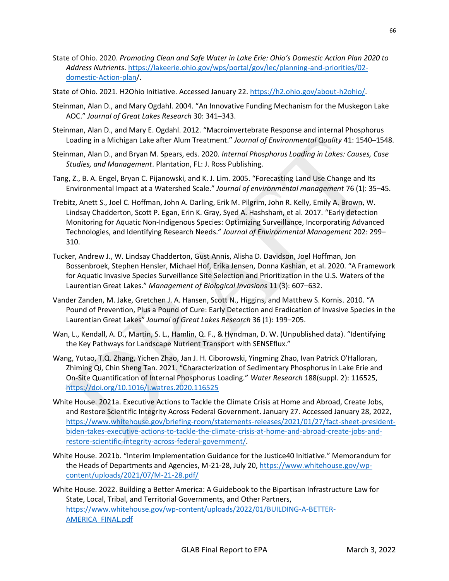- State of Ohio. 2020. *Promoting Clean and Safe Water in Lake Erie: Ohio's Domestic Action Plan 2020 to Address Nutrients*[. https://lakeerie.ohio.gov/wps/portal/gov/lec/planning-and-priorities/02](https://lakeerie.ohio.gov/wps/portal/gov/lec/planning-and-priorities/02-domestic-Action-plan) [domestic-Action-plan/](https://lakeerie.ohio.gov/wps/portal/gov/lec/planning-and-priorities/02-domestic-Action-plan).
- State of Ohio. 2021. H2Ohio Initiative. Accessed January 22. [https://h2.ohio.gov/about-h2ohio/.](https://h2.ohio.gov/about-h2ohio/)
- Steinman, Alan D., and Mary Ogdahl. 2004. "An Innovative Funding Mechanism for the Muskegon Lake AOC." *Journal of Great Lakes Research* 30: 341–343.
- Steinman, Alan D., and Mary E. Ogdahl. 2012. "Macroinvertebrate Response and internal Phosphorus Loading in a Michigan Lake after Alum Treatment." *Journal of Environmental Quality* 41: 1540–1548.
- Steinman, Alan D., and Bryan M. Spears, eds. 2020. *Internal Phosphorus Loading in Lakes: Causes, Case Studies, and Management*. Plantation, FL: J. Ross Publishing.
- Tang, Z., B. A. Engel, Bryan C. Pijanowski, and K. J. Lim. 2005. "Forecasting Land Use Change and Its Environmental Impact at a Watershed Scale." *Journal of environmental management* 76 (1): 35–45.
- Trebitz, Anett S., Joel C. Hoffman, John A. Darling, Erik M. Pilgrim, John R. Kelly, Emily A. Brown, W. Lindsay Chadderton, Scott P. Egan, Erin K. Gray, Syed A. Hashsham, et al. 2017. "Early detection Monitoring for Aquatic Non-Indigenous Species: Optimizing Surveillance, Incorporating Advanced Technologies, and Identifying Research Needs." *Journal of Environmental Management* 202: 299– 310.
- Tucker, Andrew J., W. Lindsay Chadderton, Gust Annis, Alisha D. Davidson, Joel Hoffman, Jon Bossenbroek, Stephen Hensler, Michael Hof, Erika Jensen, Donna Kashian, et al. 2020. "A Framework for Aquatic Invasive Species Surveillance Site Selection and Prioritization in the U.S. Waters of the Laurentian Great Lakes." *Management of Biological Invasions* 11 (3): 607–632.
- Vander Zanden, M. Jake, Gretchen J. A. Hansen, Scott N., Higgins, and Matthew S. Kornis. 2010. "A Pound of Prevention, Plus a Pound of Cure: Early Detection and Eradication of Invasive Species in the Laurentian Great Lakes" *Journal of Great Lakes Research* 36 (1): 199–205.
- Wan, L., Kendall, A. D., Martin, S. L., Hamlin, Q. F., & Hyndman, D. W. (Unpublished data). "Identifying the Key Pathways for Landscape Nutrient Transport with SENSEflux."
- Wang, Yutao, T.Q. Zhang, Yichen Zhao, Jan J. H. Ciborowski, Yingming Zhao, Ivan Patrick O'Halloran, Zhiming Qi, Chin Sheng Tan. 2021. "Characterization of Sedimentary Phosphorus in Lake Erie and On-Site Quantification of Internal Phosphorus Loading." *Water Research* 188(suppl. 2): 116525, <https://doi.org/10.1016/j.watres.2020.116525>
- White House. 2021a. Executive Actions to Tackle the Climate Crisis at Home and Abroad, Create Jobs, and Restore Scientific Integrity Across Federal Government. January 27. Accessed January 28, 2022, [https://www.whitehouse.gov/briefing-room/statements-releases/2021/01/27/fact-sheet-president](https://www.whitehouse.gov/briefing-room/statements-releases/2021/01/27/fact-sheet-president-biden-takes-executive-actions-to-tackle-the-climate-crisis-at-home-and-abroad-create-jobs-and-restore-scientific-integrity-across-federal-government/)[biden-takes-executive-actions-to-tackle-the-climate-crisis-at-home-and-abroad-create-jobs-and](https://www.whitehouse.gov/briefing-room/statements-releases/2021/01/27/fact-sheet-president-biden-takes-executive-actions-to-tackle-the-climate-crisis-at-home-and-abroad-create-jobs-and-restore-scientific-integrity-across-federal-government/)[restore-scientific-integrity-across-federal-government/.](https://www.whitehouse.gov/briefing-room/statements-releases/2021/01/27/fact-sheet-president-biden-takes-executive-actions-to-tackle-the-climate-crisis-at-home-and-abroad-create-jobs-and-restore-scientific-integrity-across-federal-government/)
- White House. 2021b. "Interim Implementation Guidance for the Justice40 Initiative." Memorandum for the Heads of Departments and Agencies, M-21-28, July 20, [https://www.whitehouse.gov/wp](https://www.whitehouse.gov/wp-content/uploads/2021/07/M-21-28.pdf/)[content/uploads/2021/07/M-21-28.pdf/](https://www.whitehouse.gov/wp-content/uploads/2021/07/M-21-28.pdf/)

White House. 2022. Building a Better America: A Guidebook to the Bipartisan Infrastructure Law for State, Local, Tribal, and Territorial Governments, and Other Partners, [https://www.whitehouse.gov/wp-content/uploads/2022/01/BUILDING-A-BETTER-](https://www.whitehouse.gov/wp-content/uploads/2022/01/BUILDING-A-BETTER-AMERICA_FINAL.pdf)[AMERICA\\_FINAL.pdf](https://www.whitehouse.gov/wp-content/uploads/2022/01/BUILDING-A-BETTER-AMERICA_FINAL.pdf)